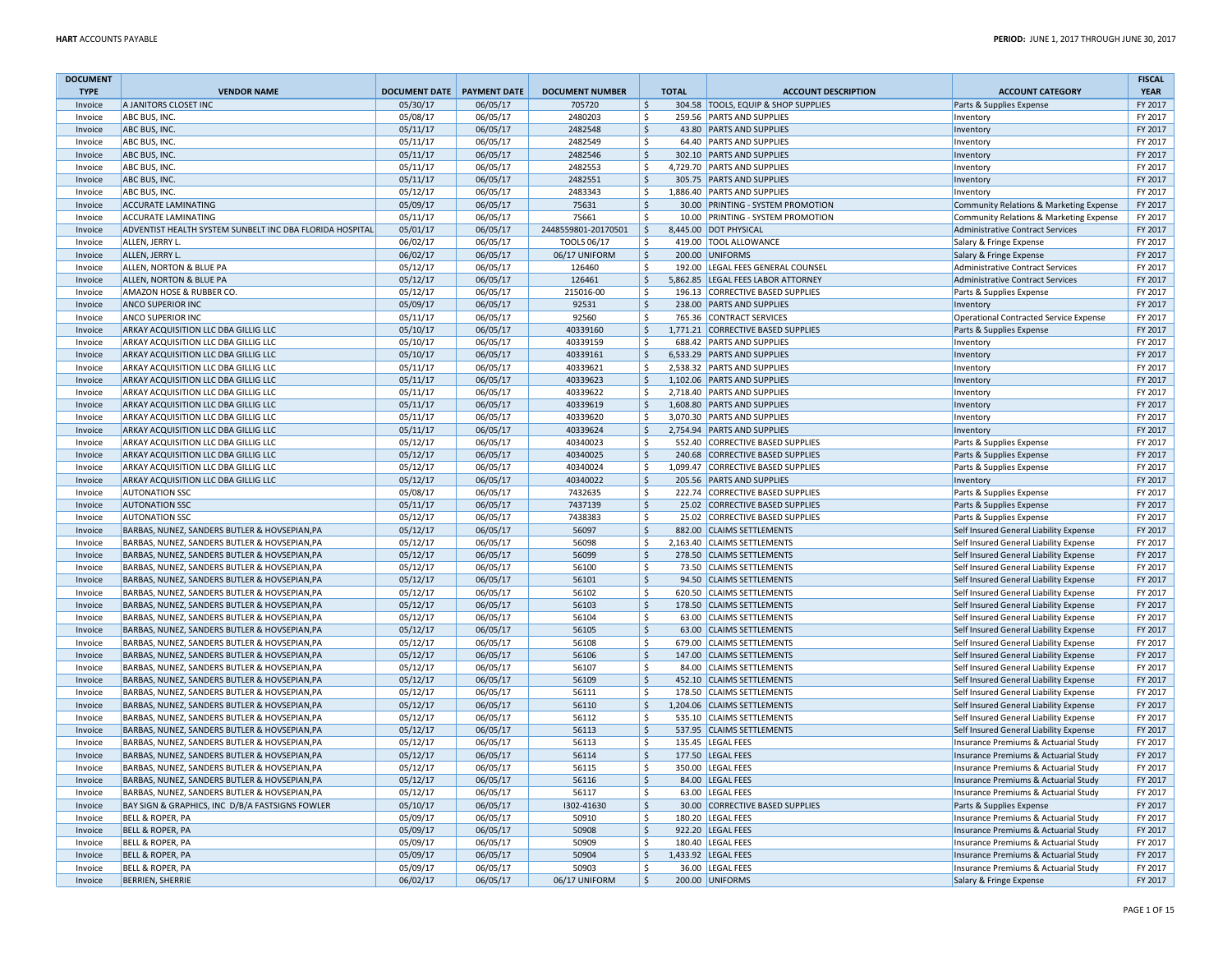| <b>DOCUMENT</b> |                                                          |                              |          |                        |                     |                                     |                                         | <b>FISCAL</b> |
|-----------------|----------------------------------------------------------|------------------------------|----------|------------------------|---------------------|-------------------------------------|-----------------------------------------|---------------|
| <b>TYPE</b>     | <b>VENDOR NAME</b>                                       | DOCUMENT DATE   PAYMENT DATE |          | <b>DOCUMENT NUMBER</b> | <b>TOTAL</b>        | <b>ACCOUNT DESCRIPTION</b>          | <b>ACCOUNT CATEGORY</b>                 | <b>YEAR</b>   |
| Invoice         | A JANITORS CLOSET INC                                    | 05/30/17                     | 06/05/17 | 705720                 | Ŝ.                  | 304.58 TOOLS, EQUIP & SHOP SUPPLIES | Parts & Supplies Expense                | FY 2017       |
| Invoice         | ABC BUS, INC.                                            | 05/08/17                     | 06/05/17 | 2480203                | \$                  | 259.56 PARTS AND SUPPLIES           | Inventory                               | FY 2017       |
| Invoice         | ABC BUS, INC.                                            | 05/11/17                     | 06/05/17 | 2482548                | $\zeta$             | 43.80 PARTS AND SUPPLIES            | Inventory                               | FY 2017       |
| Invoice         | ABC BUS, INC.                                            | 05/11/17                     | 06/05/17 | 2482549                | <sup>5</sup>        | 64.40 PARTS AND SUPPLIES            | Inventory                               | FY 2017       |
| Invoice         | ABC BUS, INC.                                            | 05/11/17                     | 06/05/17 | 2482546                | $\zeta$             | 302.10 PARTS AND SUPPLIES           | Inventory                               | FY 2017       |
| Invoice         | ABC BUS, INC.                                            | 05/11/17                     | 06/05/17 | 2482553                | -Ś                  | 4,729.70 PARTS AND SUPPLIES         | Inventory                               | FY 2017       |
| Invoice         | ABC BUS, INC.                                            | 05/11/17                     | 06/05/17 | 2482551                | $\zeta$             | 305.75 PARTS AND SUPPLIES           | Inventory                               | FY 2017       |
| Invoice         | ABC BUS, INC.                                            | 05/12/17                     | 06/05/17 | 2483343                | \$                  | 1,886.40 PARTS AND SUPPLIES         | Inventory                               | FY 2017       |
| Invoice         | <b>ACCURATE LAMINATING</b>                               | 05/09/17                     | 06/05/17 | 75631                  | Ŝ.                  | 30.00 PRINTING - SYSTEM PROMOTION   | Community Relations & Marketing Expense | FY 2017       |
| Invoice         | ACCURATE LAMINATING                                      | 05/11/17                     | 06/05/17 | 75661                  | $\mathsf{\$}$       | 10.00 PRINTING - SYSTEM PROMOTION   | Community Relations & Marketing Expense | FY 2017       |
| Invoice         | ADVENTIST HEALTH SYSTEM SUNBELT INC DBA FLORIDA HOSPITAL | 05/01/17                     | 06/05/17 | 2448559801-20170501    | \$                  | 8,445.00 DOT PHYSICAL               | Administrative Contract Services        | FY 2017       |
| Invoice         | ALLEN, JERRY L.                                          | 06/02/17                     | 06/05/17 | <b>TOOLS 06/17</b>     | \$                  | 419.00 TOOL ALLOWANCE               | Salary & Fringe Expense                 | FY 2017       |
| Invoice         | ALLEN, JERRY L.                                          | 06/02/17                     | 06/05/17 | 06/17 UNIFORM          | $\zeta$             | 200.00 UNIFORMS                     | Salary & Fringe Expense                 | FY 2017       |
| Invoice         | ALLEN, NORTON & BLUE PA                                  | 05/12/17                     | 06/05/17 | 126460                 | <sup>\$</sup>       | 192.00 LEGAL FEES GENERAL COUNSEL   | <b>Administrative Contract Services</b> | FY 2017       |
| Invoice         | ALLEN, NORTON & BLUE PA                                  | 05/12/17                     | 06/05/17 | 126461                 | $\mathsf{S}$        | 5,862.85 LEGAL FEES LABOR ATTORNEY  | <b>Administrative Contract Services</b> | FY 2017       |
| Invoice         | AMAZON HOSE & RUBBER CO                                  | 05/12/17                     | 06/05/17 | 215016-00              | $\ddot{\mathsf{S}}$ | 196.13 CORRECTIVE BASED SUPPLIES    | Parts & Supplies Expense                | FY 2017       |
| Invoice         | <b>ANCO SUPERIOR INC</b>                                 | 05/09/17                     | 06/05/17 | 92531                  | $\mathsf{S}$        | 238.00 PARTS AND SUPPLIES           | Inventory                               | FY 2017       |
| Invoice         | <b>ANCO SUPERIOR INC</b>                                 | 05/11/17                     | 06/05/17 | 92560                  | \$                  | 765.36 CONTRACT SERVICES            | Operational Contracted Service Expense  | FY 2017       |
| Invoice         | ARKAY ACQUISITION LLC DBA GILLIG LLC                     | 05/10/17                     | 06/05/17 | 40339160               | $\mathsf{S}$        | 1,771.21 CORRECTIVE BASED SUPPLIES  | Parts & Supplies Expense                | FY 2017       |
| Invoice         | ARKAY ACQUISITION LLC DBA GILLIG LLC                     | 05/10/17                     | 06/05/17 | 40339159               | \$                  | 688.42 PARTS AND SUPPLIES           | Inventory                               | FY 2017       |
| Invoice         | ARKAY ACQUISITION LLC DBA GILLIG LLC                     | 05/10/17                     | 06/05/17 | 40339161               | $\ddot{\mathsf{S}}$ | 6,533.29 PARTS AND SUPPLIES         | Inventory                               | FY 2017       |
| Invoice         | ARKAY ACQUISITION LLC DBA GILLIG LLC                     | 05/11/17                     | 06/05/17 | 40339621               | \$                  | 2,538.32 PARTS AND SUPPLIES         | Inventory                               | FY 2017       |
| Invoice         | ARKAY ACQUISITION LLC DBA GILLIG LLC                     | 05/11/17                     | 06/05/17 | 40339623               | $\mathsf{S}$        | 1,102.06 PARTS AND SUPPLIES         | Inventory                               | FY 2017       |
| Invoice         | ARKAY ACQUISITION LLC DBA GILLIG LLC                     | 05/11/17                     | 06/05/17 | 40339622               | <sup>\$</sup>       | 2,718.40 PARTS AND SUPPLIES         | Inventory                               | FY 2017       |
| Invoice         | ARKAY ACQUISITION LLC DBA GILLIG LLC                     | 05/11/17                     | 06/05/17 | 40339619               | $\mathsf{S}$        | 1,608.80 PARTS AND SUPPLIES         | Inventory                               | FY 2017       |
| Invoice         | ARKAY ACQUISITION LLC DBA GILLIG LLC                     | 05/11/17                     | 06/05/17 | 40339620               | <sup>S</sup>        | 3,070.30 PARTS AND SUPPLIES         | Inventory                               | FY 2017       |
| Invoice         | ARKAY ACQUISITION LLC DBA GILLIG LLC                     | 05/11/17                     | 06/05/17 | 40339624               | Ŝ.                  | 2,754.94 PARTS AND SUPPLIES         | Inventory                               | FY 2017       |
| Invoice         | ARKAY ACQUISITION LLC DBA GILLIG LLC                     | 05/12/17                     | 06/05/17 | 40340023               | Ŝ.                  | 552.40 CORRECTIVE BASED SUPPLIES    | Parts & Supplies Expense                | FY 2017       |
| Invoice         | ARKAY ACQUISITION LLC DBA GILLIG LLC                     | 05/12/17                     | 06/05/17 | 40340025               | $\ddot{\mathsf{S}}$ | 240.68 CORRECTIVE BASED SUPPLIES    | Parts & Supplies Expense                | FY 2017       |
| Invoice         | ARKAY ACQUISITION LLC DBA GILLIG LLC                     | 05/12/17                     | 06/05/17 | 40340024               | \$                  | 1,099.47 CORRECTIVE BASED SUPPLIES  | Parts & Supplies Expense                | FY 2017       |
| Invoice         | ARKAY ACQUISITION LLC DBA GILLIG LLC                     | 05/12/17                     | 06/05/17 | 40340022               | $\ddot{\mathsf{S}}$ | 205.56 PARTS AND SUPPLIES           | Inventory                               | FY 2017       |
| Invoice         | <b>AUTONATION SSC</b>                                    | 05/08/17                     | 06/05/17 | 7432635                | \$                  | 222.74 CORRECTIVE BASED SUPPLIES    | Parts & Supplies Expense                | FY 2017       |
| Invoice         | <b>AUTONATION SSC</b>                                    | 05/11/17                     | 06/05/17 | 7437139                | $\mathsf{S}$        | 25.02 CORRECTIVE BASED SUPPLIES     | Parts & Supplies Expense                | FY 2017       |
| Invoice         | <b>AUTONATION SSC</b>                                    | 05/12/17                     | 06/05/17 | 7438383                | <sup>\$</sup>       | 25.02 CORRECTIVE BASED SUPPLIES     | Parts & Supplies Expense                | FY 2017       |
| Invoice         | BARBAS, NUNEZ, SANDERS BUTLER & HOVSEPIAN, PA            | 05/12/17                     | 06/05/17 | 56097                  | $\mathsf{S}$        | 882.00 CLAIMS SETTLEMENTS           | Self Insured General Liability Expense  | FY 2017       |
| Invoice         | BARBAS, NUNEZ, SANDERS BUTLER & HOVSEPIAN, PA            | 05/12/17                     | 06/05/17 | 56098                  | \$                  | 2,163.40 CLAIMS SETTLEMENTS         | Self Insured General Liability Expense  | FY 2017       |
| Invoice         | BARBAS, NUNEZ, SANDERS BUTLER & HOVSEPIAN, PA            | 05/12/17                     | 06/05/17 | 56099                  | $\ddot{\mathsf{S}}$ | 278.50 CLAIMS SETTLEMENTS           | Self Insured General Liability Expense  | FY 2017       |
| Invoice         | BARBAS, NUNEZ, SANDERS BUTLER & HOVSEPIAN, PA            | 05/12/17                     | 06/05/17 | 56100                  | \$                  | 73.50 CLAIMS SETTLEMENTS            | Self Insured General Liability Expense  | FY 2017       |
| Invoice         | BARBAS, NUNEZ, SANDERS BUTLER & HOVSEPIAN, PA            | 05/12/17                     | 06/05/17 | 56101                  | $\mathsf{S}$        | 94.50 CLAIMS SETTLEMENTS            | Self Insured General Liability Expense  | FY 2017       |
| Invoice         | BARBAS, NUNEZ, SANDERS BUTLER & HOVSEPIAN, PA            | 05/12/17                     | 06/05/17 | 56102                  | <sup>\$</sup>       | 620.50 CLAIMS SETTLEMENTS           | Self Insured General Liability Expense  | FY 2017       |
| Invoice         | BARBAS, NUNEZ, SANDERS BUTLER & HOVSEPIAN, PA            | 05/12/17                     | 06/05/17 | 56103                  | $\ddot{\mathsf{S}}$ | 178.50 CLAIMS SETTLEMENTS           | Self Insured General Liability Expense  | FY 2017       |
| Invoice         | BARBAS, NUNEZ, SANDERS BUTLER & HOVSEPIAN, PA            | 05/12/17                     | 06/05/17 | 56104                  | \$                  | 63.00 CLAIMS SETTLEMENTS            | Self Insured General Liability Expense  | FY 2017       |
| Invoice         | BARBAS, NUNEZ, SANDERS BUTLER & HOVSEPIAN, PA            | 05/12/17                     | 06/05/17 | 56105                  | $\mathsf{S}$        | 63.00 CLAIMS SETTLEMENTS            | Self Insured General Liability Expense  | FY 2017       |
| Invoice         | BARBAS, NUNEZ, SANDERS BUTLER & HOVSEPIAN, PA            | 05/12/17                     | 06/05/17 | 56108                  | <sup>\$</sup>       | 679.00 CLAIMS SETTLEMENTS           | Self Insured General Liability Expense  | FY 2017       |
| Invoice         | BARBAS, NUNEZ, SANDERS BUTLER & HOVSEPIAN, PA            | 05/12/17                     | 06/05/17 | 56106                  | $\mathsf{S}$        | 147.00 CLAIMS SETTLEMENTS           | Self Insured General Liability Expense  | FY 2017       |
| Invoice         | BARBAS, NUNEZ, SANDERS BUTLER & HOVSEPIAN, PA            | 05/12/17                     | 06/05/17 | 56107                  | $\mathsf{\hat{S}}$  | 84.00 CLAIMS SETTLEMENTS            | Self Insured General Liability Expense  | FY 2017       |
| Invoice         | BARBAS, NUNEZ, SANDERS BUTLER & HOVSEPIAN, PA            | 05/12/17                     | 06/05/17 | 56109                  | $\ddot{\mathsf{S}}$ | 452.10 CLAIMS SETTLEMENTS           | Self Insured General Liability Expense  | FY 2017       |
| Invoice         | BARBAS, NUNEZ, SANDERS BUTLER & HOVSEPIAN, PA            | 05/12/17                     | 06/05/17 | 56111                  | \$                  | 178.50 CLAIMS SETTLEMENTS           | Self Insured General Liability Expense  | FY 2017       |
| Invoice         | BARBAS, NUNEZ, SANDERS BUTLER & HOVSEPIAN, PA            | 05/12/17                     | 06/05/17 | 56110                  | $\ddot{\mathsf{S}}$ | 1,204.06 CLAIMS SETTLEMENTS         | Self Insured General Liability Expense  | FY 2017       |
| Invoice         | BARBAS, NUNEZ, SANDERS BUTLER & HOVSEPIAN, PA            | 05/12/17                     | 06/05/17 | 56112                  | <sup>\$</sup>       | 535.10 CLAIMS SETTLEMENTS           | Self Insured General Liability Expense  | FY 2017       |
| Invoice         | BARBAS, NUNEZ, SANDERS BUTLER & HOVSEPIAN, PA            | 05/12/17                     | 06/05/17 | 56113                  | $\mathsf{S}$        | 537.95 CLAIMS SETTLEMENTS           | Self Insured General Liability Expense  | FY 2017       |
| Invoice         | BARBAS, NUNEZ, SANDERS BUTLER & HOVSEPIAN, PA            | 05/12/17                     | 06/05/17 | 56113                  | Ŝ.                  | 135.45 LEGAL FEES                   | Insurance Premiums & Actuarial Study    | FY 2017       |
| Invoice         | BARBAS, NUNEZ, SANDERS BUTLER & HOVSEPIAN, PA            | 05/12/17                     | 06/05/17 | 56114                  | <sub>S</sub>        | 177.50 LEGAL FEES                   | Insurance Premiums & Actuarial Study    | FY 2017       |
| Invoice         | BARBAS, NUNEZ, SANDERS BUTLER & HOVSEPIAN, PA            | 05/12/17                     | 06/05/17 | 56115                  | <sup>\$</sup>       | 350.00 LEGAL FEES                   | Insurance Premiums & Actuarial Study    | FY 2017       |
| Invoice         | BARBAS, NUNEZ, SANDERS BUTLER & HOVSEPIAN, PA            | 05/12/17                     | 06/05/17 | 56116                  | $\mathsf{S}$        | 84.00 LEGAL FEES                    | Insurance Premiums & Actuarial Study    | FY 2017       |
| Invoice         | BARBAS, NUNEZ, SANDERS BUTLER & HOVSEPIAN, PA            | 05/12/17                     | 06/05/17 | 56117                  | \$                  | 63.00 LEGAL FEES                    | Insurance Premiums & Actuarial Study    | FY 2017       |
| Invoice         | BAY SIGN & GRAPHICS, INC D/B/A FASTSIGNS FOWLER          | 05/10/17                     | 06/05/17 | 1302-41630             | $\ddot{\mathsf{S}}$ | 30.00 CORRECTIVE BASED SUPPLIES     | Parts & Supplies Expense                | FY 2017       |
| Invoice         | <b>BELL &amp; ROPER, PA</b>                              | 05/09/17                     | 06/05/17 | 50910                  | Ŝ.                  | 180.20 LEGAL FEES                   | Insurance Premiums & Actuarial Study    | FY 2017       |
| Invoice         | <b>BELL &amp; ROPER, PA</b>                              | 05/09/17                     | 06/05/17 | 50908                  | $\mathsf{\hat{S}}$  | 922.20 LEGAL FEES                   | Insurance Premiums & Actuarial Study    | FY 2017       |
| Invoice         | <b>BELL &amp; ROPER, PA</b>                              | 05/09/17                     | 06/05/17 | 50909                  | <sup>\$</sup>       | 180.40 LEGAL FEES                   | Insurance Premiums & Actuarial Study    | FY 2017       |
| Invoice         | <b>BELL &amp; ROPER, PA</b>                              | 05/09/17                     | 06/05/17 | 50904                  | $\mathsf{S}$        | 1,433.92 LEGAL FEES                 | Insurance Premiums & Actuarial Study    | FY 2017       |
| Invoice         | <b>BELL &amp; ROPER, PA</b>                              | 05/09/17                     | 06/05/17 | 50903                  | $\mathsf{\hat{S}}$  | 36.00 LEGAL FEES                    | Insurance Premiums & Actuarial Study    | FY 2017       |
| Invoice         | <b>BERRIEN, SHERRIE</b>                                  | 06/02/17                     | 06/05/17 | 06/17 UNIFORM          | $\mathsf{S}$        | 200.00 UNIFORMS                     | Salary & Fringe Expense                 | FY 2017       |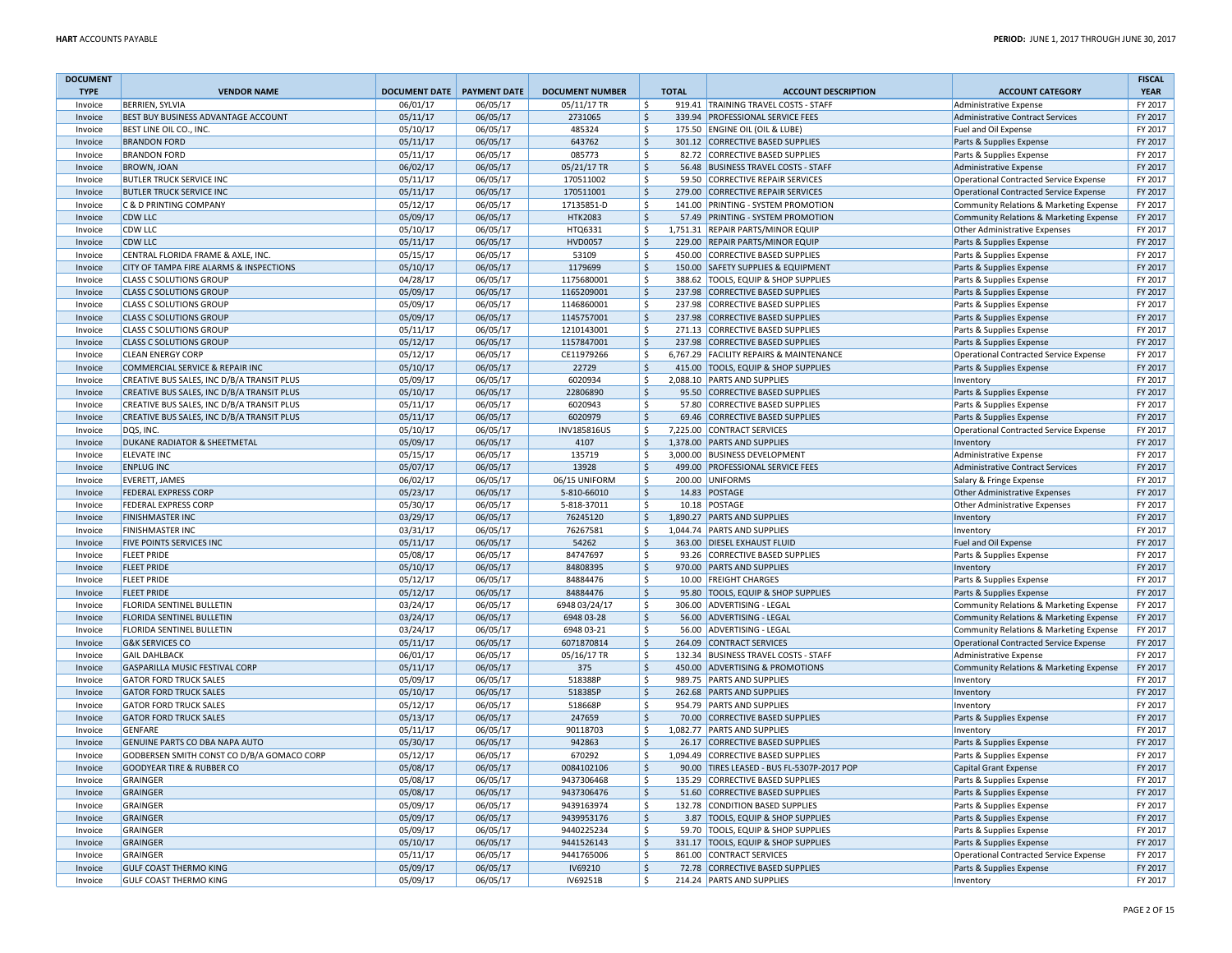| <b>DOCUMENT</b>    |                                                |                              |                      |                         |                         |                                                             |                                                          | <b>FISCAL</b>      |
|--------------------|------------------------------------------------|------------------------------|----------------------|-------------------------|-------------------------|-------------------------------------------------------------|----------------------------------------------------------|--------------------|
| <b>TYPE</b>        | <b>VENDOR NAME</b>                             | DOCUMENT DATE   PAYMENT DATE |                      | <b>DOCUMENT NUMBER</b>  | <b>TOTAL</b>            | <b>ACCOUNT DESCRIPTION</b>                                  | <b>ACCOUNT CATEGORY</b>                                  | <b>YEAR</b>        |
| Invoice            | <b>BERRIEN, SYLVIA</b>                         | 06/01/17                     | 06/05/17             | 05/11/17 TR             | Ŝ.                      | 919.41 TRAINING TRAVEL COSTS - STAFF                        | Administrative Expense                                   | FY 2017            |
| Invoice            | BEST BUY BUSINESS ADVANTAGE ACCOUNT            | 05/11/17                     | 06/05/17             | 2731065                 | $\zeta$                 | 339.94 PROFESSIONAL SERVICE FEES                            | Administrative Contract Services                         | FY 2017            |
| Invoice            | BEST LINE OIL CO., INC.                        | 05/10/17                     | 06/05/17             | 485324                  | $\zeta$                 | 175.50 ENGINE OIL (OIL & LUBE)                              | Fuel and Oil Expense                                     | FY 2017            |
| Invoice            | <b>BRANDON FORD</b>                            | 05/11/17                     | 06/05/17             | 643762                  | $\ddot{\varsigma}$      | 301.12 CORRECTIVE BASED SUPPLIES                            | Parts & Supplies Expense                                 | FY 2017            |
| Invoice            | <b>BRANDON FORD</b>                            | 05/11/17                     | 06/05/17             | 085773                  | \$                      | 82.72 CORRECTIVE BASED SUPPLIES                             | Parts & Supplies Expense                                 | FY 2017            |
| Invoice            | <b>BROWN, JOAN</b>                             | 06/02/17                     | 06/05/17             | 05/21/17 TR             | $\ddot{\mathsf{S}}$     | 56.48 BUSINESS TRAVEL COSTS - STAFF                         | Administrative Expense                                   | FY 2017            |
| Invoice            | <b>BUTLER TRUCK SERVICE INC</b>                | 05/11/17                     | 06/05/17             | 170511002               | \$<br>59.50             | <b>CORRECTIVE REPAIR SERVICES</b>                           | <b>Operational Contracted Service Expense</b>            | FY 2017            |
| Invoice            | <b>BUTLER TRUCK SERVICE INC</b>                | 05/11/17                     | 06/05/17             | 170511001               | $\ddot{\varsigma}$      | 279.00 CORRECTIVE REPAIR SERVICES                           | Operational Contracted Service Expense                   | FY 2017            |
| Invoice            | <b>C &amp; D PRINTING COMPANY</b>              | 05/12/17                     | 06/05/17             | 17135851-D              | \$                      | 141.00 PRINTING - SYSTEM PROMOTION                          | Community Relations & Marketing Expense                  | FY 2017            |
| Invoice            | <b>CDW LLC</b>                                 | 05/09/17                     | 06/05/17             | <b>HTK2083</b>          | $\ddot{\varsigma}$      | 57.49 PRINTING - SYSTEM PROMOTION                           | Community Relations & Marketing Expense                  | FY 2017            |
| Invoice            | <b>CDW LLC</b>                                 | 05/10/17                     | 06/05/17             | HTQ6331                 | \$                      | 1,751.31 REPAIR PARTS/MINOR EQUIP                           | <b>Other Administrative Expenses</b>                     | FY 2017            |
| Invoice            | <b>CDW LLC</b>                                 | 05/11/17                     | 06/05/17             | <b>HVD0057</b>          | $\zeta$                 | 229.00 REPAIR PARTS/MINOR EQUIP                             | Parts & Supplies Expense                                 | FY 2017            |
| Invoice            | CENTRAL FLORIDA FRAME & AXLE, INC              | 05/15/17                     | 06/05/17             | 53109                   | $\ddot{\mathsf{S}}$     | 450.00 CORRECTIVE BASED SUPPLIES                            | Parts & Supplies Expense                                 | FY 2017            |
| Invoice            | CITY OF TAMPA FIRE ALARMS & INSPECTIONS        | 05/10/17                     | 06/05/17             | 1179699                 | $\ddot{\varsigma}$      | 150.00 SAFETY SUPPLIES & EQUIPMENT                          | Parts & Supplies Expense                                 | FY 2017            |
| Invoice            | <b>CLASS C SOLUTIONS GROUP</b>                 | 04/28/17                     | 06/05/17             | 1175680001              | \$                      | 388.62 TOOLS, EQUIP & SHOP SUPPLIES                         | Parts & Supplies Expense                                 | FY 2017            |
| Invoice            | <b>CLASS C SOLUTIONS GROUP</b>                 | 05/09/17                     | 06/05/17             | 1165209001              | $\ddot{\varsigma}$      | 237.98 CORRECTIVE BASED SUPPLIES                            | Parts & Supplies Expense                                 | FY 2017            |
| Invoice            | <b>CLASS C SOLUTIONS GROUP</b>                 | 05/09/17                     | 06/05/17             | 1146860001              | \$                      | 237.98 CORRECTIVE BASED SUPPLIES                            | Parts & Supplies Expense                                 | FY 2017            |
| Invoice            | <b>CLASS C SOLUTIONS GROUP</b>                 | 05/09/17                     | 06/05/17             | 1145757001              | $\ddot{\varsigma}$      | 237.98 CORRECTIVE BASED SUPPLIES                            | Parts & Supplies Expense                                 | FY 2017            |
| Invoice            | <b>CLASS C SOLUTIONS GROUP</b>                 | 05/11/17                     | 06/05/17             | 1210143001              | \$                      | 271.13 CORRECTIVE BASED SUPPLIES                            | Parts & Supplies Expense                                 | FY 2017            |
| Invoice            | <b>CLASS C SOLUTIONS GROUP</b>                 | 05/12/17                     | 06/05/17             | 1157847001              | $\mathsf{S}$            | 237.98 CORRECTIVE BASED SUPPLIES                            | Parts & Supplies Expense                                 | FY 2017            |
| Invoice            | <b>CLEAN ENERGY CORP</b>                       | 05/12/17                     | 06/05/17             | CE11979266              | $\ddot{\mathsf{S}}$     | 6,767.29 FACILITY REPAIRS & MAINTENANCE                     | Operational Contracted Service Expense                   | FY 2017            |
| Invoice            | COMMERCIAL SERVICE & REPAIR INC                | 05/10/17                     | 06/05/17             | 22729                   | $\ddot{\varsigma}$      | 415.00 TOOLS, EQUIP & SHOP SUPPLIES                         | Parts & Supplies Expense                                 | FY 2017            |
| Invoice            | CREATIVE BUS SALES, INC D/B/A TRANSIT PLUS     | 05/09/17                     | 06/05/17             | 6020934                 | $\zeta$                 | 2,088.10 PARTS AND SUPPLIES                                 | Inventory                                                | FY 2017            |
| Invoice            | CREATIVE BUS SALES, INC D/B/A TRANSIT PLUS     | 05/10/17                     | 06/05/17             | 22806890                | $\ddot{\varsigma}$      | 95.50 CORRECTIVE BASED SUPPLIES                             | Parts & Supplies Expense                                 | FY 2017            |
| Invoice            | CREATIVE BUS SALES, INC D/B/A TRANSIT PLUS     | 05/11/17                     | 06/05/17             | 6020943                 | $\zeta$                 | 57.80 CORRECTIVE BASED SUPPLIES                             | Parts & Supplies Expense                                 | FY 2017            |
| Invoice            | CREATIVE BUS SALES, INC D/B/A TRANSIT PLUS     | 05/11/17                     | 06/05/17             | 6020979                 | $\zeta$                 | 69.46 CORRECTIVE BASED SUPPLIES                             | Parts & Supplies Expense                                 | FY 2017            |
| Invoice            | DQS, INC.                                      | 05/10/17                     | 06/05/17             | INV185816US             | \$                      | 7,225.00 CONTRACT SERVICES                                  | <b>Operational Contracted Service Expense</b>            | FY 2017            |
| Invoice            | DUKANE RADIATOR & SHEETMETAL                   | 05/09/17                     | 06/05/17             | 4107                    | $\mathsf{S}$            | 1,378.00 PARTS AND SUPPLIES                                 | Inventory                                                | FY 2017            |
| Invoice            | <b>ELEVATE INC</b>                             | 05/15/17                     | 06/05/17             | 135719                  | $\ddot{\mathsf{S}}$     | 3,000.00 BUSINESS DEVELOPMENT                               | Administrative Expense                                   | FY 2017            |
| Invoice            | <b>ENPLUG INC</b>                              | 05/07/17                     | 06/05/17             | 13928                   | $\zeta$                 | 499.00 PROFESSIONAL SERVICE FEES                            | <b>Administrative Contract Services</b>                  | FY 2017            |
|                    | <b>EVERETT, JAMES</b>                          | 06/02/17                     | 06/05/17             | 06/15 UNIFORM           | $\ddot{\mathsf{S}}$     | 200.00 UNIFORMS                                             |                                                          | FY 2017            |
| Invoice<br>Invoice | <b>FEDERAL EXPRESS CORP</b>                    | 05/23/17                     | 06/05/17             | 5-810-66010             | $\mathsf{S}$            | 14.83 POSTAGE                                               | Salary & Fringe Expense<br>Other Administrative Expenses | FY 2017            |
| Invoice            | <b>FEDERAL EXPRESS CORP</b>                    | 05/30/17                     | 06/05/17             |                         | <sup>\$</sup><br>10.18  | POSTAGE                                                     |                                                          | FY 2017            |
|                    | <b>FINISHMASTER INC</b>                        |                              |                      | 5-818-37011<br>76245120 | $\ddot{\varsigma}$      | 1,890.27 PARTS AND SUPPLIES                                 | <b>Other Administrative Expenses</b>                     | FY 2017            |
| Invoice            | <b>FINISHMASTER INC</b>                        | 03/29/17<br>03/31/17         | 06/05/17<br>06/05/17 | 76267581                | \$                      | 1,044.74 PARTS AND SUPPLIES                                 | Inventory                                                | FY 2017            |
| Invoice            |                                                | 05/11/17                     | 06/05/17             | 54262                   | $\ddot{\varsigma}$      | 363.00 DIESEL EXHAUST FLUID                                 | Inventory                                                | FY 2017            |
| Invoice            | FIVE POINTS SERVICES INC<br><b>FLEET PRIDE</b> |                              |                      | 84747697                |                         | 93.26 CORRECTIVE BASED SUPPLIES                             | Fuel and Oil Expense                                     |                    |
| Invoice            |                                                | 05/08/17                     | 06/05/17             | 84808395                | $\ddot{\mathsf{S}}$     |                                                             | Parts & Supplies Expense                                 | FY 2017<br>FY 2017 |
| Invoice            | <b>FLEET PRIDE</b>                             | 05/10/17                     | 06/05/17             |                         | $\mathsf{S}$            | 970.00 PARTS AND SUPPLIES                                   | Inventory                                                |                    |
| Invoice            | <b>FLEET PRIDE</b>                             | 05/12/17                     | 06/05/17<br>06/05/17 | 84884476<br>84884476    | $\ddot{\mathsf{S}}$     | 10.00 FREIGHT CHARGES<br>95.80 TOOLS, EQUIP & SHOP SUPPLIES | Parts & Supplies Expense                                 | FY 2017<br>FY 2017 |
| Invoice            | <b>FLEET PRIDE</b>                             | 05/12/17                     |                      |                         | $\mathsf{S}$            |                                                             | Parts & Supplies Expense                                 |                    |
| Invoice            | FLORIDA SENTINEL BULLETIN                      | 03/24/17                     | 06/05/17             | 6948 03/24/17           | $\ddot{\mathsf{S}}$     | 306.00 ADVERTISING - LEGAL                                  | Community Relations & Marketing Expense                  | FY 2017            |
| Invoice            | <b>FLORIDA SENTINEL BULLETIN</b>               | 03/24/17                     | 06/05/17             | 6948 03-28              | $\zeta$<br>$\mathsf{S}$ | 56.00 ADVERTISING - LEGAL                                   | Community Relations & Marketing Expense                  | FY 2017            |
| Invoice            | FLORIDA SENTINEL BULLETIN                      | 03/24/17                     | 06/05/17             | 6948 03-21              |                         | 56.00 ADVERTISING - LEGAL                                   | Community Relations & Marketing Expense                  | FY 2017            |
| Invoice            | <b>G&amp;K SERVICES CO</b>                     | 05/11/17                     | 06/05/17             | 6071870814              | $\ddot{\mathsf{S}}$     | 264.09 CONTRACT SERVICES                                    | Operational Contracted Service Expense                   | FY 2017            |
| Invoice            | <b>GAIL DAHLBACK</b>                           | 06/01/17                     | 06/05/17             | 05/16/17 TR             | -\$                     | 132.34 BUSINESS TRAVEL COSTS - STAFF                        | Administrative Expense                                   | FY 2017            |
| Invoice            | <b>GASPARILLA MUSIC FESTIVAL CORP</b>          | 05/11/17                     | 06/05/17             | 375                     | $\mathsf{\hat{S}}$      | 450.00 ADVERTISING & PROMOTIONS                             | Community Relations & Marketing Expense                  | FY 2017            |
| Invoice            | <b>GATOR FORD TRUCK SALES</b>                  | 05/09/17                     | 06/05/17             | 518388P                 | $\zeta$                 | 989.75 PARTS AND SUPPLIES                                   | Inventory                                                | FY 2017            |
| Invoice            | <b>GATOR FORD TRUCK SALES</b>                  | 05/10/17                     | 06/05/17             | 518385P                 | $\zeta$                 | 262.68 PARTS AND SUPPLIES                                   | Inventory                                                | FY 2017            |
| Invoice            | <b>GATOR FORD TRUCK SALES</b>                  | 05/12/17                     | 06/05/17             | 518668P                 | $\zeta$                 | 954.79 PARTS AND SUPPLIES                                   | Inventory                                                | FY 2017            |
| Invoice            | <b>GATOR FORD TRUCK SALES</b>                  | 05/13/17                     | 06/05/17             | 247659                  | $\ddot{\mathsf{S}}$     | 70.00 CORRECTIVE BASED SUPPLIES                             | Parts & Supplies Expense                                 | FY 2017            |
| Invoice            | <b>GENFARE</b>                                 | 05/11/17                     | 06/05/17             | 90118703                | \$                      | 1,082.77 PARTS AND SUPPLIES                                 | Inventory                                                | FY 2017            |
| Invoice            | GENUINE PARTS CO DBA NAPA AUTO                 | 05/30/17                     | 06/05/17             | 942863                  | $\zeta$                 | 26.17 CORRECTIVE BASED SUPPLIES                             | Parts & Supplies Expense                                 | FY 2017            |
| Invoice            | GODBERSEN SMITH CONST CO D/B/A GOMACO CORP     | 05/12/17                     | 06/05/17             | 670292                  | \$                      | 1,094.49 CORRECTIVE BASED SUPPLIES                          | Parts & Supplies Expense                                 | FY 2017            |
| Invoice            | <b>GOODYEAR TIRE &amp; RUBBER CO</b>           | 05/08/17                     | 06/05/17             | 0084102106              | $\ddot{\mathsf{S}}$     | 90.00 TIRES LEASED - BUS FL-5307P-2017 POP                  | <b>Capital Grant Expense</b>                             | FY 2017            |
| Invoice            | <b>GRAINGER</b>                                | 05/08/17                     | 06/05/17             | 9437306468              | \$                      | 135.29 CORRECTIVE BASED SUPPLIES                            | Parts & Supplies Expense                                 | FY 2017            |
| Invoice            | <b>GRAINGER</b>                                | 05/08/17                     | 06/05/17             | 9437306476              | $\zeta$                 | 51.60 CORRECTIVE BASED SUPPLIES                             | Parts & Supplies Expense                                 | FY 2017            |
| Invoice            | <b>GRAINGER</b>                                | 05/09/17                     | 06/05/17             | 9439163974              | $\zeta$                 | 132.78 CONDITION BASED SUPPLIES                             | Parts & Supplies Expense                                 | FY 2017            |
| Invoice            | <b>GRAINGER</b>                                | 05/09/17                     | 06/05/17             | 9439953176              | $\mathsf{\hat{S}}$      | 3.87 TOOLS, EQUIP & SHOP SUPPLIES                           | Parts & Supplies Expense                                 | FY 2017            |
| Invoice            | GRAINGER                                       | 05/09/17                     | 06/05/17             | 9440225234              | <sup>\$</sup>           | 59.70 TOOLS, EQUIP & SHOP SUPPLIES                          | Parts & Supplies Expense                                 | FY 2017            |
| Invoice            | <b>GRAINGER</b>                                | 05/10/17                     | 06/05/17             | 9441526143              | $\zeta$                 | 331.17 TOOLS, EQUIP & SHOP SUPPLIES                         | Parts & Supplies Expense                                 | FY 2017            |
| Invoice            | GRAINGER                                       | 05/11/17                     | 06/05/17             | 9441765006              | S.                      | 861.00 CONTRACT SERVICES                                    | <b>Operational Contracted Service Expense</b>            | FY 2017            |
| Invoice            | <b>GULF COAST THERMO KING</b>                  | 05/09/17                     | 06/05/17             | IV69210                 | $\ddot{\mathsf{S}}$     | 72.78 CORRECTIVE BASED SUPPLIES                             | Parts & Supplies Expense                                 | FY 2017            |
| Invoice            | <b>GULF COAST THERMO KING</b>                  | 05/09/17                     | 06/05/17             | IV69251B                | $\mathsf{S}$            | 214.24 PARTS AND SUPPLIES                                   | Inventory                                                | FY 2017            |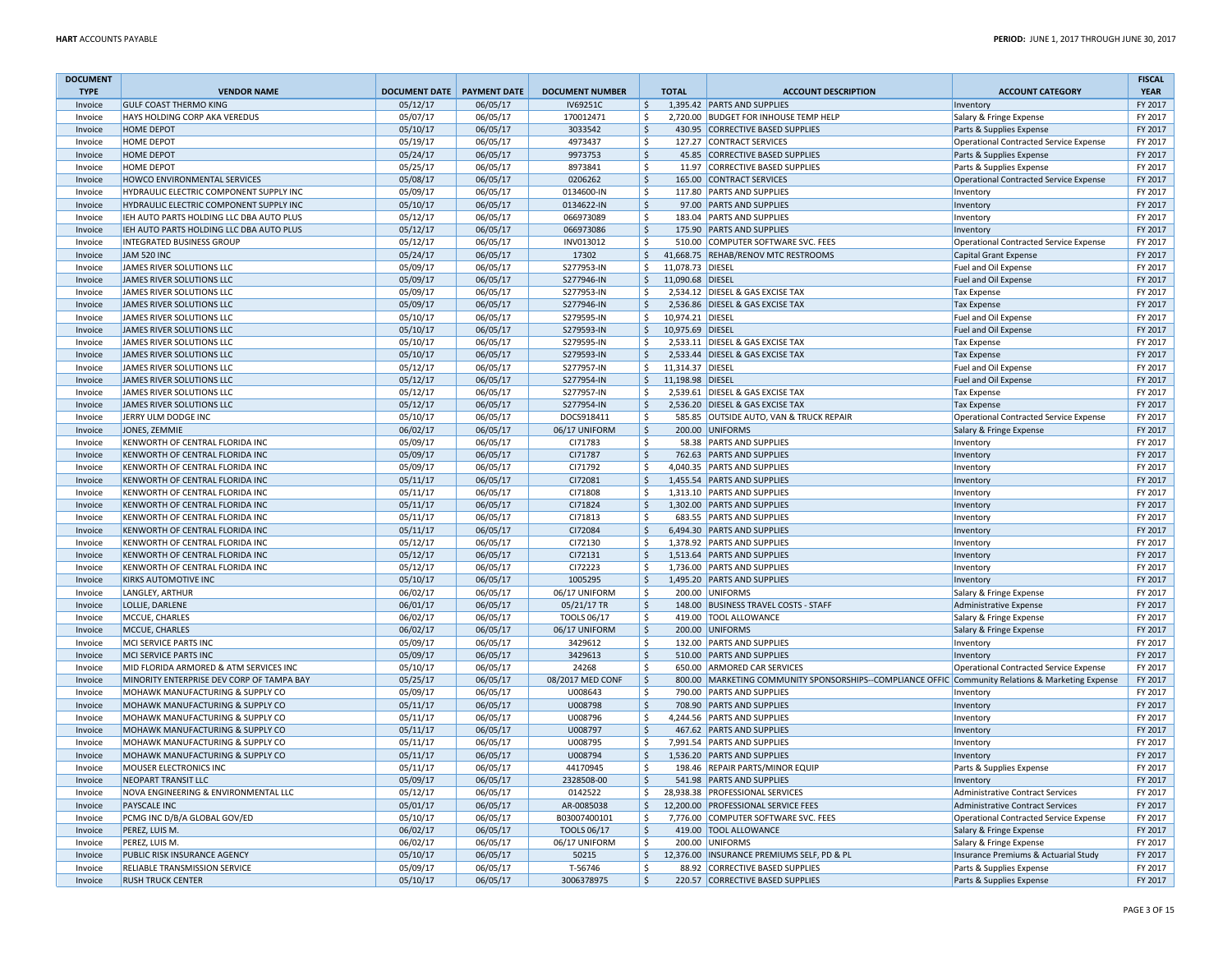| <b>DOCUMENT</b> |                                           |                            |          |                        |                               |                                                                                                   |                                         | <b>FISCAL</b> |
|-----------------|-------------------------------------------|----------------------------|----------|------------------------|-------------------------------|---------------------------------------------------------------------------------------------------|-----------------------------------------|---------------|
| <b>TYPE</b>     | <b>VENDOR NAME</b>                        | DOCUMENT DATE PAYMENT DATE |          | <b>DOCUMENT NUMBER</b> | <b>TOTAL</b>                  | <b>ACCOUNT DESCRIPTION</b>                                                                        | <b>ACCOUNT CATEGORY</b>                 | <b>YEAR</b>   |
| Invoice         | <b>GULF COAST THERMO KING</b>             | 05/12/17                   | 06/05/17 | IV69251C               | Ŝ.                            | 1,395.42 PARTS AND SUPPLIES                                                                       | Inventory                               | FY 2017       |
| Invoice         | HAYS HOLDING CORP AKA VEREDUS             | 05/07/17                   | 06/05/17 | 170012471              | \$                            | 2,720.00 BUDGET FOR INHOUSE TEMP HELP                                                             | Salary & Fringe Expense                 | FY 2017       |
| Invoice         | <b>HOME DEPOT</b>                         | 05/10/17                   | 06/05/17 | 3033542                | $\mathsf{\hat{S}}$            | 430.95 CORRECTIVE BASED SUPPLIES                                                                  | Parts & Supplies Expense                | FY 2017       |
| Invoice         | HOME DEPOT                                | 05/19/17                   | 06/05/17 | 4973437                | \$                            | 127.27 CONTRACT SERVICES                                                                          | Operational Contracted Service Expense  | FY 2017       |
| Invoice         | HOME DEPOT                                | 05/24/17                   | 06/05/17 | 9973753                | $\mathsf{\dot{S}}$            | 45.85 CORRECTIVE BASED SUPPLIES                                                                   | Parts & Supplies Expense                | FY 2017       |
| Invoice         | HOME DEPOT                                | 05/25/17                   | 06/05/17 | 8973841                | \$                            | 11.97 CORRECTIVE BASED SUPPLIES                                                                   | Parts & Supplies Expense                | FY 2017       |
| Invoice         | HOWCO ENVIRONMENTAL SERVICES              | 05/08/17                   | 06/05/17 | 0206262                | $\mathsf{\hat{S}}$            | 165.00 CONTRACT SERVICES                                                                          | Operational Contracted Service Expense  | FY 2017       |
| Invoice         | HYDRAULIC ELECTRIC COMPONENT SUPPLY INC   | 05/09/17                   | 06/05/17 | 0134600-IN             | <sub>S</sub>                  | 117.80 PARTS AND SUPPLIES                                                                         | Inventory                               | FY 2017       |
| Invoice         | HYDRAULIC ELECTRIC COMPONENT SUPPLY INC   | 05/10/17                   | 06/05/17 | 0134622-IN             | S.                            | 97.00 PARTS AND SUPPLIES                                                                          | Inventory                               | FY 2017       |
| Invoice         | IEH AUTO PARTS HOLDING LLC DBA AUTO PLUS  | 05/12/17                   | 06/05/17 | 066973089              | $\zeta$                       | 183.04 PARTS AND SUPPLIES                                                                         | Inventory                               | FY 2017       |
| Invoice         | IEH AUTO PARTS HOLDING LLC DBA AUTO PLUS  | 05/12/17                   | 06/05/17 | 066973086              | $\zeta$                       | 175.90 PARTS AND SUPPLIES                                                                         | Inventory                               | FY 2017       |
|                 |                                           |                            |          |                        |                               |                                                                                                   |                                         |               |
| Invoice         | INTEGRATED BUSINESS GROUP                 | 05/12/17                   | 06/05/17 | INV013012              | \$                            | 510.00 COMPUTER SOFTWARE SVC. FEES                                                                | Operational Contracted Service Expense  | FY 2017       |
| Invoice         | <b>JAM 520 INC</b>                        | 05/24/17                   | 06/05/17 | 17302                  | $\zeta$                       | 41,668.75 REHAB/RENOV MTC RESTROOMS                                                               | Capital Grant Expense                   | FY 2017       |
| Invoice         | JAMES RIVER SOLUTIONS LLC                 | 05/09/17                   | 06/05/17 | S277953-IN             | \$<br>11,078.73 DIESEL        |                                                                                                   | Fuel and Oil Expense                    | FY 2017       |
| Invoice         | JAMES RIVER SOLUTIONS LLC                 | 05/09/17                   | 06/05/17 | S277946-IN             | 11,090.68 DIESEL<br>$\zeta$   |                                                                                                   | Fuel and Oil Expense                    | FY 2017       |
| Invoice         | JAMES RIVER SOLUTIONS LLC                 | 05/09/17                   | 06/05/17 | S277953-IN             | \$                            | 2,534.12 DIESEL & GAS EXCISE TAX                                                                  | <b>Tax Expense</b>                      | FY 2017       |
| Invoice         | JAMES RIVER SOLUTIONS LLC                 | 05/09/17                   | 06/05/17 | S277946-IN             | $\mathsf{\hat{S}}$            | 2,536.86 DIESEL & GAS EXCISE TAX                                                                  | <b>Tax Expense</b>                      | FY 2017       |
| Invoice         | JAMES RIVER SOLUTIONS LLC                 | 05/10/17                   | 06/05/17 | S279595-IN             | \$<br>10,974.21 DIESEL        |                                                                                                   | Fuel and Oil Expense                    | FY 2017       |
| Invoice         | JAMES RIVER SOLUTIONS LLC                 | 05/10/17                   | 06/05/17 | S279593-IN             | 10,975.69 DIESEL<br>$\zeta$   |                                                                                                   | Fuel and Oil Expense                    | FY 2017       |
| Invoice         | JAMES RIVER SOLUTIONS LLC                 | 05/10/17                   | 06/05/17 | S279595-IN             | Ŝ.                            | 2,533.11 DIESEL & GAS EXCISE TAX                                                                  | <b>Tax Expense</b>                      | FY 2017       |
| Invoice         | JAMES RIVER SOLUTIONS LLC                 | 05/10/17                   | 06/05/17 | S279593-IN             | $\mathsf{\hat{S}}$            | 2,533.44 DIESEL & GAS EXCISE TAX                                                                  | <b>Tax Expense</b>                      | FY 2017       |
| Invoice         | JAMES RIVER SOLUTIONS LLC                 | 05/12/17                   | 06/05/17 | S277957-IN             | \$<br>11,314.37 DIESEL        |                                                                                                   | Fuel and Oil Expense                    | FY 2017       |
| Invoice         | JAMES RIVER SOLUTIONS LLC                 | 05/12/17                   | 06/05/17 | S277954-IN             | $\zeta$<br>11,198.98 DIESEL   |                                                                                                   | Fuel and Oil Expense                    | FY 2017       |
| Invoice         | JAMES RIVER SOLUTIONS LLC                 | 05/12/17                   | 06/05/17 | S277957-IN             | \$                            | 2,539.61 DIESEL & GAS EXCISE TAX                                                                  | <b>Tax Expense</b>                      | FY 2017       |
| Invoice         | JAMES RIVER SOLUTIONS LLC                 | 05/12/17                   | 06/05/17 | S277954-IN             | -\$                           | 2,536.20 DIESEL & GAS EXCISE TAX                                                                  | <b>Tax Expense</b>                      | FY 2017       |
| Invoice         | JERRY ULM DODGE INC                       | 05/10/17                   | 06/05/17 | DOCS918411             | $\zeta$                       | 585.85 OUTSIDE AUTO, VAN & TRUCK REPAIR                                                           | Operational Contracted Service Expense  | FY 2017       |
| Invoice         | JONES, ZEMMIE                             | 06/02/17                   | 06/05/17 | 06/17 UNIFORM          | S.                            | 200.00 UNIFORMS                                                                                   | Salary & Fringe Expense                 | FY 2017       |
| Invoice         | KENWORTH OF CENTRAL FLORIDA INC           | 05/09/17                   | 06/05/17 | CI71783                | \$                            | 58.38 PARTS AND SUPPLIES                                                                          | Inventory                               | FY 2017       |
| Invoice         | KENWORTH OF CENTRAL FLORIDA INC           | 05/09/17                   | 06/05/17 | CI71787                | $\zeta$                       | 762.63 PARTS AND SUPPLIES                                                                         | Inventory                               | FY 2017       |
|                 | KENWORTH OF CENTRAL FLORIDA INC           | 05/09/17                   | 06/05/17 | CI71792                | $\zeta$                       | 4,040.35 PARTS AND SUPPLIES                                                                       | Inventory                               | FY 2017       |
| Invoice         | KENWORTH OF CENTRAL FLORIDA INC           | 05/11/17                   |          | CI72081                | $\zeta$                       | 1,455.54 PARTS AND SUPPLIES                                                                       |                                         | FY 2017       |
| Invoice         |                                           |                            | 06/05/17 |                        | -Ś                            |                                                                                                   | Inventory                               |               |
| Invoice         | KENWORTH OF CENTRAL FLORIDA INC           | 05/11/17                   | 06/05/17 | CI71808                |                               | 1,313.10 PARTS AND SUPPLIES                                                                       | Inventory                               | FY 2017       |
| Invoice         | KENWORTH OF CENTRAL FLORIDA INC           | 05/11/17                   | 06/05/17 | CI71824                | $\mathsf{\hat{S}}$            | 1,302.00 PARTS AND SUPPLIES                                                                       | Inventory                               | FY 2017       |
| Invoice         | KENWORTH OF CENTRAL FLORIDA INC           | 05/11/17                   | 06/05/17 | CI71813                | \$                            | 683.55 PARTS AND SUPPLIES                                                                         | Inventory                               | FY 2017       |
| Invoice         | KENWORTH OF CENTRAL FLORIDA INC           | 05/11/17                   | 06/05/17 | CI72084                | $\mathsf{\hat{S}}$            | 6,494.30 PARTS AND SUPPLIES                                                                       | Inventory                               | FY 2017       |
| Invoice         | KENWORTH OF CENTRAL FLORIDA INC           | 05/12/17                   | 06/05/17 | CI72130                | \$                            | 1,378.92 PARTS AND SUPPLIES                                                                       | Inventory                               | FY 2017       |
| Invoice         | KENWORTH OF CENTRAL FLORIDA INC           | 05/12/17                   | 06/05/17 | CI72131                | $\mathsf{S}$                  | 1,513.64 PARTS AND SUPPLIES                                                                       | Inventory                               | FY 2017       |
| Invoice         | KENWORTH OF CENTRAL FLORIDA INC           | 05/12/17                   | 06/05/17 | CI72223                | \$                            | 1,736.00 PARTS AND SUPPLIES                                                                       | Inventory                               | FY 2017       |
| Invoice         | KIRKS AUTOMOTIVE INC                      | 05/10/17                   | 06/05/17 | 1005295                | $\mathsf{S}$                  | 1,495.20 PARTS AND SUPPLIES                                                                       | Inventory                               | FY 2017       |
| Invoice         | LANGLEY, ARTHUR                           | 06/02/17                   | 06/05/17 | 06/17 UNIFORM          | -Ś                            | 200.00 UNIFORMS                                                                                   | Salary & Fringe Expense                 | FY 2017       |
| Invoice         | LOLLIE, DARLENE                           | 06/01/17                   | 06/05/17 | 05/21/17 TR            | S.                            | 148.00 BUSINESS TRAVEL COSTS - STAFF                                                              | Administrative Expense                  | FY 2017       |
| Invoice         | MCCUE, CHARLES                            | 06/02/17                   | 06/05/17 | TOOLS 06/17            | S.                            | 419.00 TOOL ALLOWANCE                                                                             | Salary & Fringe Expense                 | FY 2017       |
| Invoice         | MCCUE, CHARLES                            | 06/02/17                   | 06/05/17 | 06/17 UNIFORM          | S.                            | 200.00 UNIFORMS                                                                                   | Salary & Fringe Expense                 | FY 2017       |
| Invoice         | MCI SERVICE PARTS INC                     | 05/09/17                   | 06/05/17 | 3429612                | $\dot{\mathsf{S}}$            | 132.00 PARTS AND SUPPLIES                                                                         | Inventory                               | FY 2017       |
| Invoice         | MCI SERVICE PARTS INC                     | 05/09/17                   | 06/05/17 | 3429613                | $\zeta$                       | 510.00 PARTS AND SUPPLIES                                                                         | Inventory                               | FY 2017       |
| Invoice         | MID FLORIDA ARMORED & ATM SERVICES INC    | 05/10/17                   | 06/05/17 | 24268                  | $\mathsf{S}$                  | 650.00 ARMORED CAR SERVICES                                                                       | Operational Contracted Service Expense  | FY 2017       |
| Invoice         | MINORITY ENTERPRISE DEV CORP OF TAMPA BAY | 05/25/17                   | 06/05/17 | 08/2017 MED CONF       | S.                            | 800.00 MARKETING COMMUNITY SPONSORSHIPS--COMPLIANCE OFFIC Community Relations & Marketing Expense |                                         | FY 2017       |
| Invoice         | MOHAWK MANUFACTURING & SUPPLY CO          | 05/09/17                   | 06/05/17 | U008643                | \$                            | 790.00 PARTS AND SUPPLIES                                                                         | Inventory                               | FY 2017       |
| Invoice         | MOHAWK MANUFACTURING & SUPPLY CO          | 05/11/17                   | 06/05/17 | U008798                | $\mathsf{\dot{S}}$            | 708.90 PARTS AND SUPPLIES                                                                         | Inventory                               | FY 2017       |
| Invoice         | MOHAWK MANUFACTURING & SUPPLY CO          | 05/11/17                   | 06/05/17 | U008796                | $\mathsf{\hat{S}}$            | 4,244.56 PARTS AND SUPPLIES                                                                       |                                         | FY 2017       |
|                 |                                           |                            |          |                        |                               |                                                                                                   | Inventory                               | FY 2017       |
| Invoice         | MOHAWK MANUFACTURING & SUPPLY CO          | 05/11/17                   | 06/05/17 | U008797                | $\zeta$<br>$\mathsf{\hat{S}}$ | 467.62 PARTS AND SUPPLIES                                                                         | Inventory                               |               |
| Invoice         | MOHAWK MANUFACTURING & SUPPLY CO          | 05/11/17                   | 06/05/17 | U008795                |                               | 7,991.54 PARTS AND SUPPLIES                                                                       | Inventory                               | FY 2017       |
| Invoice         | MOHAWK MANUFACTURING & SUPPLY CO          | 05/11/17                   | 06/05/17 | U008794                | $\mathsf{S}$                  | 1.536.20 PARTS AND SUPPLIES                                                                       | Inventory                               | FY 2017       |
| Invoice         | MOUSER ELECTRONICS INC                    | 05/11/17                   | 06/05/17 | 44170945               | Ś                             | 198.46 REPAIR PARTS/MINOR EQUIP                                                                   | Parts & Supplies Expense                | FY 2017       |
| Invoice         | <b>NEOPART TRANSIT LLC</b>                | 05/09/17                   | 06/05/17 | 2328508-00             | $\mathsf{\hat{S}}$            | 541.98 PARTS AND SUPPLIES                                                                         | Inventory                               | FY 2017       |
| Invoice         | NOVA ENGINEERING & ENVIRONMENTAL LLC      | 05/12/17                   | 06/05/17 | 0142522                | $\zeta$                       | 28,938.38 PROFESSIONAL SERVICES                                                                   | Administrative Contract Services        | FY 2017       |
| Invoice         | PAYSCALE INC                              | 05/01/17                   | 06/05/17 | AR-0085038             | $\zeta$                       | 12,200.00 PROFESSIONAL SERVICE FEES                                                               | <b>Administrative Contract Services</b> | FY 2017       |
| Invoice         | PCMG INC D/B/A GLOBAL GOV/ED              | 05/10/17                   | 06/05/17 | B03007400101           | -S                            | 7,776.00 COMPUTER SOFTWARE SVC. FEES                                                              | Operational Contracted Service Expense  | FY 2017       |
| Invoice         | PEREZ, LUIS M.                            | 06/02/17                   | 06/05/17 | <b>TOOLS 06/17</b>     | S.                            | 419.00 TOOL ALLOWANCE                                                                             | Salary & Fringe Expense                 | FY 2017       |
| Invoice         | PEREZ. LUIS M.                            | 06/02/17                   | 06/05/17 | 06/17 UNIFORM          | $\mathsf{\hat{S}}$            | 200.00 UNIFORMS                                                                                   | Salary & Fringe Expense                 | FY 2017       |
| Invoice         | PUBLIC RISK INSURANCE AGENCY              | 05/10/17                   | 06/05/17 | 50215                  | $\zeta$                       | 12,376.00 INSURANCE PREMIUMS SELF, PD & PL                                                        | Insurance Premiums & Actuarial Study    | FY 2017       |
| Invoice         | RELIABLE TRANSMISSION SERVICE             | 05/09/17                   | 06/05/17 | T-56746                | Ś                             | 88.92 CORRECTIVE BASED SUPPLIES                                                                   | Parts & Supplies Expense                | FY 2017       |
| Invoice         | <b>RUSH TRUCK CENTER</b>                  | 05/10/17                   | 06/05/17 | 3006378975             | $\zeta$                       | 220.57 CORRECTIVE BASED SUPPLIES                                                                  | Parts & Supplies Expense                | FY 2017       |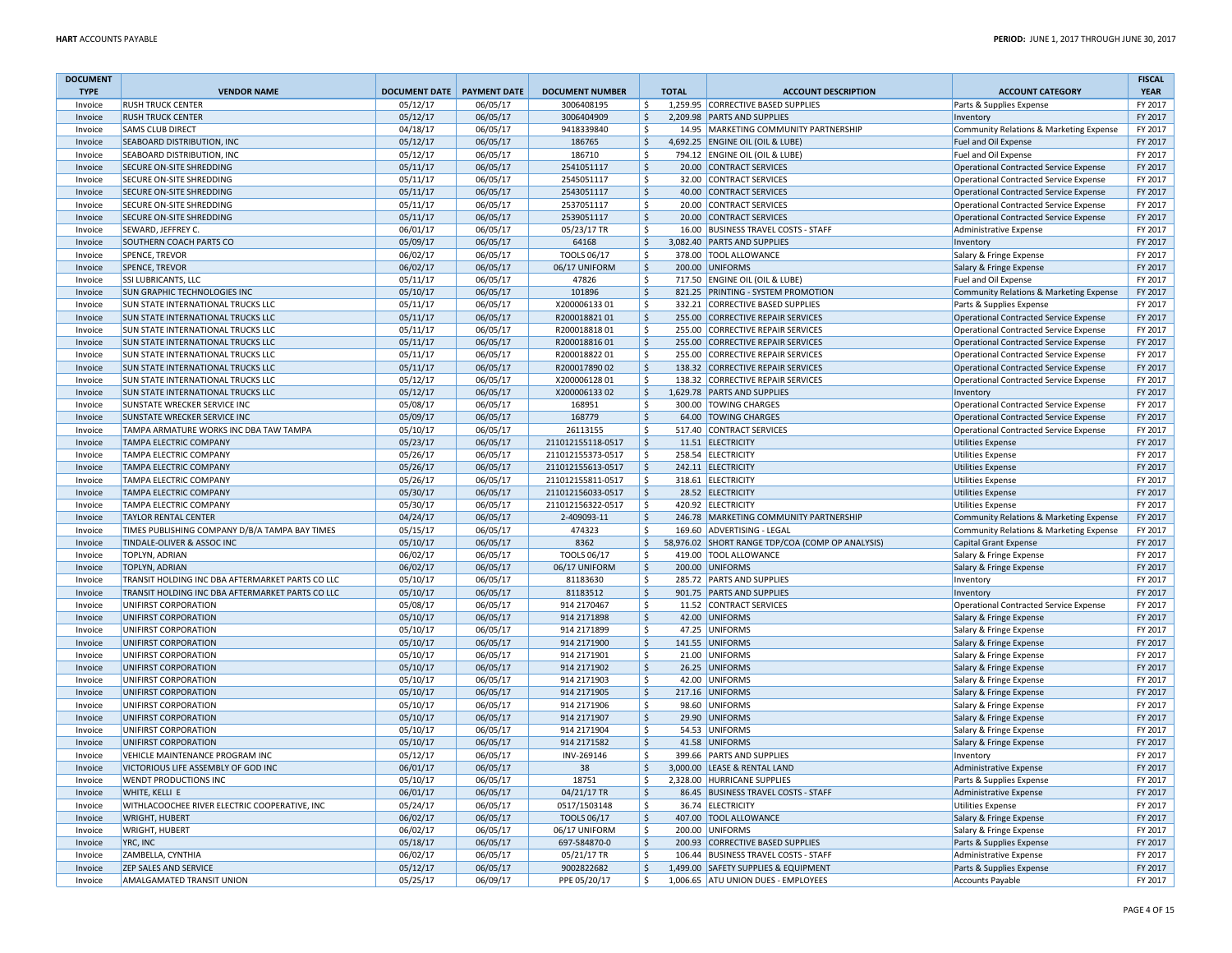| <b>DOCUMENT</b> |                                                  |                              |          |                        |                     |              |                                                  |                                               | <b>FISCAL</b> |
|-----------------|--------------------------------------------------|------------------------------|----------|------------------------|---------------------|--------------|--------------------------------------------------|-----------------------------------------------|---------------|
| <b>TYPE</b>     | <b>VENDOR NAME</b>                               | DOCUMENT DATE   PAYMENT DATE |          | <b>DOCUMENT NUMBER</b> |                     | <b>TOTAL</b> | <b>ACCOUNT DESCRIPTION</b>                       | <b>ACCOUNT CATEGORY</b>                       | <b>YEAR</b>   |
| Invoice         | <b>RUSH TRUCK CENTER</b>                         | 05/12/17                     | 06/05/17 | 3006408195             | -Ś                  |              | 1,259.95 CORRECTIVE BASED SUPPLIES               | Parts & Supplies Expense                      | FY 2017       |
| Invoice         | <b>RUSH TRUCK CENTER</b>                         | 05/12/17                     | 06/05/17 | 3006404909             | $\zeta$             |              | 2.209.98 PARTS AND SUPPLIES                      | Inventory                                     | FY 2017       |
| Invoice         | SAMS CLUB DIRECT                                 | 04/18/17                     | 06/05/17 | 9418339840             | $\mathsf{S}$        |              | 14.95 MARKETING COMMUNITY PARTNERSHIP            | Community Relations & Marketing Expense       | FY 2017       |
| Invoice         | SEABOARD DISTRIBUTION, INC                       | 05/12/17                     | 06/05/17 | 186765                 | $\zeta$             |              | 4,692.25 ENGINE OIL (OIL & LUBE)                 | Fuel and Oil Expense                          | FY 2017       |
| Invoice         | SEABOARD DISTRIBUTION, INC                       | 05/12/17                     | 06/05/17 | 186710                 | \$                  |              | 794.12 ENGINE OIL (OIL & LUBE)                   | Fuel and Oil Expense                          | FY 2017       |
| Invoice         | SECURE ON-SITE SHREDDING                         | 05/11/17                     | 06/05/17 | 2541051117             | $\mathsf{S}$        |              | 20.00 CONTRACT SERVICES                          | Operational Contracted Service Expense        | FY 2017       |
| Invoice         | SECURE ON-SITE SHREDDING                         | 05/11/17                     | 06/05/17 | 2545051117             | \$                  |              | 32.00 CONTRACT SERVICES                          | <b>Operational Contracted Service Expense</b> | FY 2017       |
| Invoice         | <b>SECURE ON-SITE SHREDDING</b>                  | 05/11/17                     | 06/05/17 | 2543051117             | $\zeta$             |              | 40.00 CONTRACT SERVICES                          | Operational Contracted Service Expense        | FY 2017       |
| Invoice         | SECURE ON-SITE SHREDDING                         | 05/11/17                     | 06/05/17 | 2537051117             | -S                  |              | 20.00 CONTRACT SERVICES                          | Operational Contracted Service Expense        | FY 2017       |
| Invoice         | SECURE ON-SITE SHREDDING                         | 05/11/17                     | 06/05/17 | 2539051117             | $\zeta$             |              | 20.00 CONTRACT SERVICES                          | <b>Operational Contracted Service Expense</b> | FY 2017       |
|                 | SEWARD, JEFFREY C.                               |                              |          |                        | \$                  |              |                                                  |                                               | FY 2017       |
| Invoice         |                                                  | 06/01/17                     | 06/05/17 | 05/23/17 TR            |                     |              | 16.00 BUSINESS TRAVEL COSTS - STAFF              | Administrative Expense                        |               |
| Invoice         | SOUTHERN COACH PARTS CO                          | 05/09/17                     | 06/05/17 | 64168                  | $\mathsf{S}$        |              | 3,082.40 PARTS AND SUPPLIES                      | Inventory                                     | FY 2017       |
| Invoice         | <b>SPENCE, TREVOR</b>                            | 06/02/17                     | 06/05/17 | TOOLS 06/17            | -\$                 |              | 378.00 TOOL ALLOWANCE                            | Salary & Fringe Expense                       | FY 2017       |
| Invoice         | <b>SPENCE, TREVOR</b>                            | 06/02/17                     | 06/05/17 | 06/17 UNIFORM          | $\ddot{\mathsf{S}}$ |              | 200.00 UNIFORMS                                  | Salary & Fringe Expense                       | FY 2017       |
| Invoice         | SSI LUBRICANTS, LLC                              | 05/11/17                     | 06/05/17 | 47826                  | \$                  |              | 717.50 ENGINE OIL (OIL & LUBE)                   | Fuel and Oil Expense                          | FY 2017       |
| Invoice         | SUN GRAPHIC TECHNOLOGIES INC                     | 05/10/17                     | 06/05/17 | 101896                 | $\ddot{\mathsf{S}}$ |              | 821.25 PRINTING - SYSTEM PROMOTION               | Community Relations & Marketing Expense       | FY 2017       |
| Invoice         | SUN STATE INTERNATIONAL TRUCKS LLC               | 05/11/17                     | 06/05/17 | X20000613301           | $\mathsf{S}$        |              | 332.21 CORRECTIVE BASED SUPPLIES                 | Parts & Supplies Expense                      | FY 2017       |
| Invoice         | SUN STATE INTERNATIONAL TRUCKS LLC               | 05/11/17                     | 06/05/17 | R20001882101           | $\zeta$             |              | 255.00 CORRECTIVE REPAIR SERVICES                | Operational Contracted Service Expense        | FY 2017       |
| Invoice         | <b>SUN STATE INTERNATIONAL TRUCKS LLC</b>        | 05/11/17                     | 06/05/17 | R20001881801           | \$                  |              | 255.00 CORRECTIVE REPAIR SERVICES                | Operational Contracted Service Expense        | FY 2017       |
| Invoice         | SUN STATE INTERNATIONAL TRUCKS LLC               | 05/11/17                     | 06/05/17 | R20001881601           | $\mathsf{S}$        |              | 255.00 CORRECTIVE REPAIR SERVICES                | <b>Operational Contracted Service Expense</b> | FY 2017       |
| Invoice         | SUN STATE INTERNATIONAL TRUCKS LLC               | 05/11/17                     | 06/05/17 | R20001882201           | \$                  |              | 255.00 CORRECTIVE REPAIR SERVICES                | Operational Contracted Service Expense        | FY 2017       |
| Invoice         | <b>SUN STATE INTERNATIONAL TRUCKS LLC</b>        | 05/11/17                     | 06/05/17 | R20001789002           | $\zeta$             |              | 138.32 CORRECTIVE REPAIR SERVICES                | Operational Contracted Service Expense        | FY 2017       |
| Invoice         | SUN STATE INTERNATIONAL TRUCKS LLC               | 05/12/17                     | 06/05/17 | X20000612801           | \$                  |              | 138.32 CORRECTIVE REPAIR SERVICES                | <b>Operational Contracted Service Expense</b> | FY 2017       |
| Invoice         | SUN STATE INTERNATIONAL TRUCKS LLC               | 05/12/17                     | 06/05/17 | X20000613302           | $\ddot{\mathsf{S}}$ |              | 1,629.78 PARTS AND SUPPLIES                      | Inventory                                     | FY 2017       |
| Invoice         | SUNSTATE WRECKER SERVICE INC                     | 05/08/17                     | 06/05/17 | 168951                 | -S                  |              | 300.00 TOWING CHARGES                            | Operational Contracted Service Expense        | FY 2017       |
| Invoice         | SUNSTATE WRECKER SERVICE INC                     | 05/09/17                     | 06/05/17 | 168779                 | $\mathsf{S}$        |              | 64.00 TOWING CHARGES                             | Operational Contracted Service Expense        | FY 2017       |
| Invoice         | TAMPA ARMATURE WORKS INC DBA TAW TAMPA           | 05/10/17                     | 06/05/17 | 26113155               | -\$                 |              | 517.40 CONTRACT SERVICES                         | Operational Contracted Service Expense        | FY 2017       |
| Invoice         | TAMPA ELECTRIC COMPANY                           | 05/23/17                     | 06/05/17 | 211012155118-0517      | $\mathsf{S}$        |              | 11.51 ELECTRICITY                                | Utilities Expense                             | FY 2017       |
| Invoice         | TAMPA ELECTRIC COMPANY                           | 05/26/17                     | 06/05/17 | 211012155373-0517      | \$                  |              | 258.54 ELECTRICITY                               | Utilities Expense                             | FY 2017       |
| Invoice         | TAMPA ELECTRIC COMPANY                           | 05/26/17                     | 06/05/17 | 211012155613-0517      | $\zeta$             |              | 242.11 ELECTRICITY                               | Utilities Expense                             | FY 2017       |
| Invoice         | TAMPA ELECTRIC COMPANY                           | 05/26/17                     | 06/05/17 | 211012155811-0517      | \$                  |              | 318.61 ELECTRICITY                               | Utilities Expense                             | FY 2017       |
| Invoice         | <b>TAMPA ELECTRIC COMPANY</b>                    | 05/30/17                     | 06/05/17 | 211012156033-0517      | $\mathsf{S}$        |              | 28.52 ELECTRICITY                                | Utilities Expense                             | FY 2017       |
| Invoice         | TAMPA ELECTRIC COMPANY                           | 05/30/17                     | 06/05/17 | 211012156322-0517      | Ŝ.                  |              | 420.92 ELECTRICITY                               | <b>Utilities Expense</b>                      | FY 2017       |
| Invoice         | <b>TAYLOR RENTAL CENTER</b>                      | 04/24/17                     | 06/05/17 | 2-409093-11            | <sub>S</sub>        |              | 246.78 MARKETING COMMUNITY PARTNERSHIP           | Community Relations & Marketing Expense       | FY 2017       |
|                 | TIMES PUBLISHING COMPANY D/B/A TAMPA BAY TIMES   | 05/15/17                     | 06/05/17 | 474323                 | Ŝ.                  |              | 169.60 ADVERTISING - LEGAL                       |                                               | FY 2017       |
| Invoice         |                                                  |                              |          |                        |                     |              |                                                  | Community Relations & Marketing Expense       |               |
| Invoice         | TINDALE-OLIVER & ASSOC INC                       | 05/10/17                     | 06/05/17 | 8362                   | $\ddot{\mathsf{S}}$ |              | 58,976.02 SHORT RANGE TDP/COA (COMP OP ANALYSIS) | Capital Grant Expense                         | FY 2017       |
| Invoice         | TOPLYN, ADRIAN                                   | 06/02/17                     | 06/05/17 | TOOLS 06/17            | <sup>\$</sup>       |              | 419.00 TOOL ALLOWANCE                            | Salary & Fringe Expense                       | FY 2017       |
| Invoice         | <b>TOPLYN, ADRIAN</b>                            | 06/02/17                     | 06/05/17 | 06/17 UNIFORM          | $\mathsf{S}$        |              | 200.00 UNIFORMS                                  | Salary & Fringe Expense                       | FY 2017       |
| Invoice         | TRANSIT HOLDING INC DBA AFTERMARKET PARTS CO LLC | 05/10/17                     | 06/05/17 | 81183630               | <sup>\$</sup>       |              | 285.72 PARTS AND SUPPLIES                        | Inventory                                     | FY 2017       |
| Invoice         | TRANSIT HOLDING INC DBA AFTERMARKET PARTS CO LLC | 05/10/17                     | 06/05/17 | 81183512               | <sub>S</sub>        |              | 901.75 PARTS AND SUPPLIES                        | Inventory                                     | FY 2017       |
| Invoice         | UNIFIRST CORPORATION                             | 05/08/17                     | 06/05/17 | 914 2170467            | \$                  |              | 11.52 CONTRACT SERVICES                          | Operational Contracted Service Expense        | FY 2017       |
| Invoice         | UNIFIRST CORPORATION                             | 05/10/17                     | 06/05/17 | 914 2171898            | $\zeta$             |              | 42.00 UNIFORMS                                   | Salary & Fringe Expense                       | FY 2017       |
| Invoice         | UNIFIRST CORPORATION                             | 05/10/17                     | 06/05/17 | 914 2171899            | \$                  |              | 47.25 UNIFORMS                                   | Salary & Fringe Expense                       | FY 2017       |
| Invoice         | UNIFIRST CORPORATION                             | 05/10/17                     | 06/05/17 | 914 2171900            | $\ddot{\varsigma}$  |              | 141.55 UNIFORMS                                  | Salary & Fringe Expense                       | FY 2017       |
| Invoice         | UNIFIRST CORPORATION                             | 05/10/17                     | 06/05/17 | 914 2171901            | \$                  |              | 21.00 UNIFORMS                                   | Salary & Fringe Expense                       | FY 2017       |
| Invoice         | UNIFIRST CORPORATION                             | 05/10/17                     | 06/05/17 | 914 2171902            | $\mathsf{S}$        |              | 26.25 UNIFORMS                                   | Salary & Fringe Expense                       | FY 2017       |
| Invoice         | UNIFIRST CORPORATION                             | 05/10/17                     | 06/05/17 | 914 2171903            | <sup>\$</sup>       |              | 42.00 UNIFORMS                                   | Salary & Fringe Expense                       | FY 2017       |
| Invoice         | UNIFIRST CORPORATION                             | 05/10/17                     | 06/05/17 | 914 2171905            | <sub>S</sub>        |              | 217.16 UNIFORMS                                  | Salary & Fringe Expense                       | FY 2017       |
| Invoice         | UNIFIRST CORPORATION                             | 05/10/17                     | 06/05/17 | 914 2171906            | <sup>\$</sup>       |              | 98.60 UNIFORMS                                   | Salary & Fringe Expense                       | FY 2017       |
| Invoice         | UNIFIRST CORPORATION                             | 05/10/17                     | 06/05/17 | 914 2171907            | $\zeta$             |              | 29.90 UNIFORMS                                   | Salary & Fringe Expense                       | FY 2017       |
| Invoice         | UNIFIRST CORPORATION                             | 05/10/17                     | 06/05/17 | 914 2171904            | \$                  |              | 54.53 UNIFORMS                                   | Salary & Fringe Expense                       | FY 2017       |
| Invoice         | UNIFIRST CORPORATION                             | 05/10/17                     | 06/05/17 | 914 2171582            | $\zeta$             |              | 41.58 UNIFORMS                                   | Salary & Fringe Expense                       | FY 2017       |
| Invoice         | VEHICLE MAINTENANCE PROGRAM INC                  | 05/12/17                     | 06/05/17 | INV-269146             | <sup>\$</sup>       |              | 399.66 PARTS AND SUPPLIES                        | Inventory                                     | FY 2017       |
| Invoice         | VICTORIOUS LIFE ASSEMBLY OF GOD INC              | 06/01/17                     | 06/05/17 | 38                     | $\ddot{\mathsf{S}}$ |              | 3,000.00 LEASE & RENTAL LAND                     | Administrative Expense                        | FY 2017       |
| Invoice         | WENDT PRODUCTIONS INC                            | 05/10/17                     | 06/05/17 | 18751                  | <sup>S</sup>        |              | 2,328.00 HURRICANE SUPPLIES                      | Parts & Supplies Expense                      | FY 2017       |
| Invoice         | WHITE, KELLI E                                   | 06/01/17                     | 06/05/17 | 04/21/17 TR            | $\zeta$             |              | 86.45 BUSINESS TRAVEL COSTS - STAFF              | Administrative Expense                        | FY 2017       |
| Invoice         | WITHLACOOCHEE RIVER ELECTRIC COOPERATIVE, INC    | 05/24/17                     | 06/05/17 | 0517/1503148           | \$                  |              | 36.74 ELECTRICITY                                | <b>Utilities Expense</b>                      | FY 2017       |
| Invoice         | <b>WRIGHT, HUBERT</b>                            | 06/02/17                     | 06/05/17 | <b>TOOLS 06/17</b>     | \$                  |              | 407.00 TOOL ALLOWANCE                            | Salary & Fringe Expense                       | FY 2017       |
| Invoice         | WRIGHT, HUBERT                                   | 06/02/17                     | 06/05/17 | 06/17 UNIFORM          | Ŝ.                  |              | 200.00 UNIFORMS                                  | Salary & Fringe Expense                       | FY 2017       |
| Invoice         | YRC. INC                                         | 05/18/17                     | 06/05/17 | 697-584870-0           | $\mathsf{\hat{S}}$  |              | 200.93 CORRECTIVE BASED SUPPLIES                 |                                               | FY 2017       |
| Invoice         | ZAMBELLA, CYNTHIA                                | 06/02/17                     | 06/05/17 | 05/21/17 TR            | \$                  |              | 106.44 BUSINESS TRAVEL COSTS - STAFF             | Parts & Supplies Expense                      | FY 2017       |
|                 |                                                  |                              |          |                        |                     |              |                                                  | Administrative Expense                        |               |
| Invoice         | ZEP SALES AND SERVICE                            | 05/12/17                     | 06/05/17 | 9002822682             | $\zeta$             |              | 1,499.00 SAFETY SUPPLIES & EQUIPMENT             | Parts & Supplies Expense                      | FY 2017       |
| Invoice         | AMALGAMATED TRANSIT UNION                        | 05/25/17                     | 06/09/17 | PPE 05/20/17           | \$                  |              | 1,006.65 ATU UNION DUES - EMPLOYEES              | Accounts Payable                              | FY 2017       |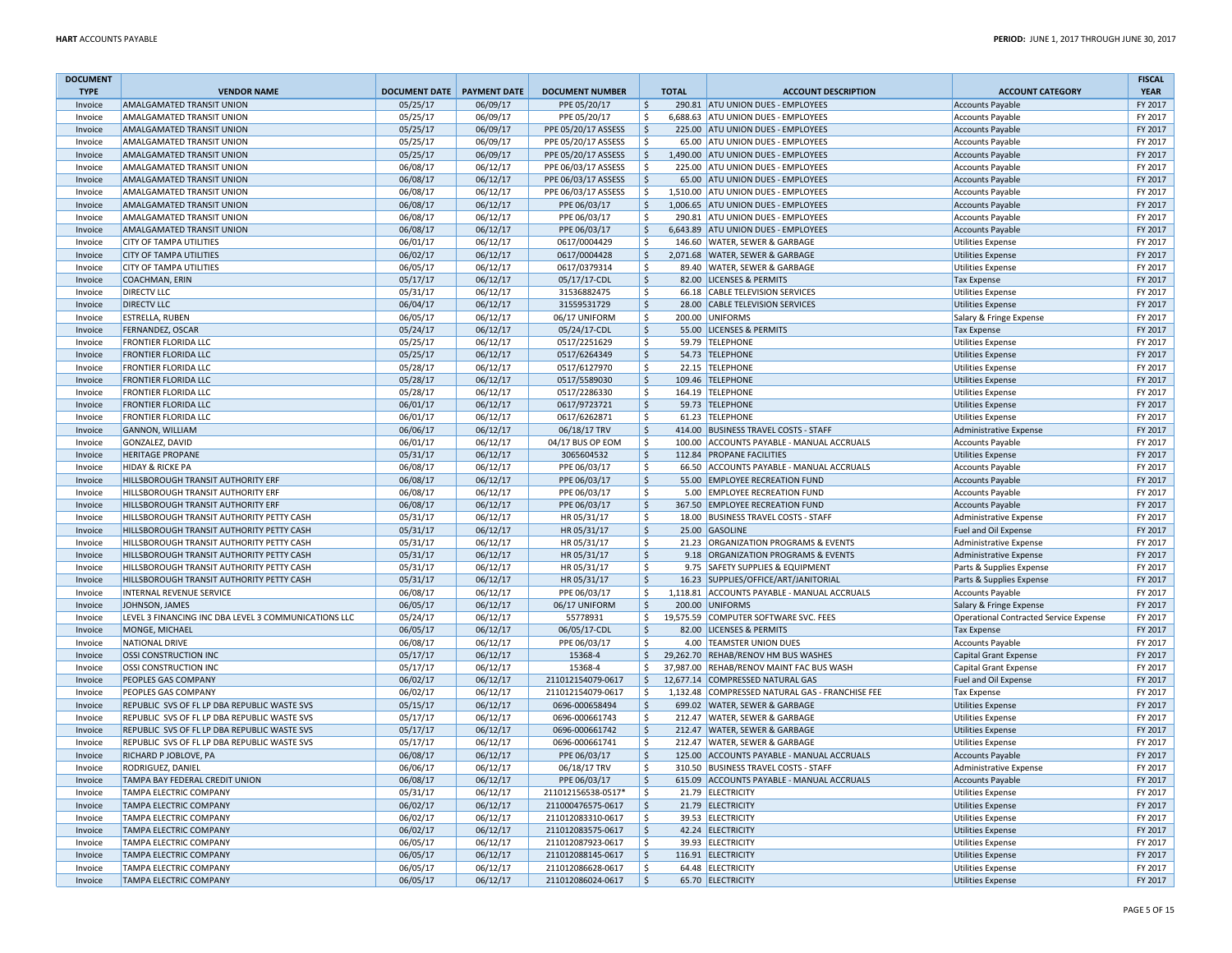| <b>DOCUMENT</b>    |                                                      |                      |                     |                        |                               |                                                 |                                                      | <b>FISCAL</b> |
|--------------------|------------------------------------------------------|----------------------|---------------------|------------------------|-------------------------------|-------------------------------------------------|------------------------------------------------------|---------------|
| <b>TYPE</b>        | <b>VENDOR NAME</b>                                   | <b>DOCUMENT DATE</b> | <b>PAYMENT DATE</b> | <b>DOCUMENT NUMBER</b> | <b>TOTAL</b>                  | <b>ACCOUNT DESCRIPTION</b>                      | <b>ACCOUNT CATEGORY</b>                              | <b>YEAR</b>   |
| Invoice            | <b>AMALGAMATED TRANSIT UNION</b>                     | 05/25/17             | 06/09/17            | PPE 05/20/17           | $\zeta$                       | 290.81 ATU UNION DUES - EMPLOYEES               | <b>Accounts Payable</b>                              | FY 2017       |
| Invoice            | AMALGAMATED TRANSIT UNION                            | 05/25/17             | 06/09/17            | PPE 05/20/17           | \$                            | 6,688.63 ATU UNION DUES - EMPLOYEES             | <b>Accounts Payable</b>                              | FY 2017       |
| Invoice            | AMALGAMATED TRANSIT UNION                            | 05/25/17             | 06/09/17            | PPE 05/20/17 ASSESS    | $\mathsf{S}$                  | 225.00 ATU UNION DUES - EMPLOYEES               | <b>Accounts Payable</b>                              | FY 2017       |
| Invoice            | AMALGAMATED TRANSIT UNION                            | 05/25/17             | 06/09/17            | PPE 05/20/17 ASSESS    | \$                            | 65.00 ATU UNION DUES - EMPLOYEES                | <b>Accounts Payable</b>                              | FY 2017       |
| Invoice            | AMALGAMATED TRANSIT UNION                            | 05/25/17             | 06/09/17            | PPE 05/20/17 ASSESS    | $\mathsf{S}$                  | 1,490.00 ATU UNION DUES - EMPLOYEES             | <b>Accounts Payable</b>                              | FY 2017       |
| Invoice            | AMALGAMATED TRANSIT UNION                            | 06/08/17             | 06/12/17            | PPE 06/03/17 ASSESS    | Ŝ.                            | 225.00 ATU UNION DUES - EMPLOYEES               | <b>Accounts Payable</b>                              | FY 2017       |
| Invoice            | AMALGAMATED TRANSIT UNION                            | 06/08/17             | 06/12/17            | PPE 06/03/17 ASSESS    | $\mathsf{S}$                  | 65.00 ATU UNION DUES - EMPLOYEES                | <b>Accounts Payable</b>                              | FY 2017       |
| Invoice            | AMALGAMATED TRANSIT UNION                            | 06/08/17             | 06/12/17            | PPE 06/03/17 ASSESS    | \$                            | 1,510.00 ATU UNION DUES - EMPLOYEES             | <b>Accounts Payable</b>                              | FY 2017       |
| Invoice            | AMALGAMATED TRANSIT UNION                            | 06/08/17             | 06/12/17            | PPE 06/03/17           | $\ddot{\mathsf{S}}$           | 1,006.65 ATU UNION DUES - EMPLOYEES             | <b>Accounts Payable</b>                              | FY 2017       |
| Invoice            | AMALGAMATED TRANSIT UNION                            | 06/08/17             | 06/12/17            | PPE 06/03/17           | \$<br>290.81                  | ATU UNION DUES - EMPLOYEES                      | <b>Accounts Payable</b>                              | FY 2017       |
| Invoice            | AMALGAMATED TRANSIT UNION                            | 06/08/17             | 06/12/17            | PPE 06/03/17           | $\ddot{\mathsf{S}}$           | 6,643.89 ATU UNION DUES - EMPLOYEES             | <b>Accounts Payable</b>                              | FY 2017       |
| Invoice            | <b>CITY OF TAMPA UTILITIES</b>                       | 06/01/17             | 06/12/17            | 0617/0004429           | Ŝ.                            | 146.60 WATER, SEWER & GARBAGE                   | <b>Utilities Expense</b>                             | FY 2017       |
| Invoice            | CITY OF TAMPA UTILITIES                              | 06/02/17             | 06/12/17            | 0617/0004428           | $\mathsf{S}$                  | 2,071.68 WATER, SEWER & GARBAGE                 | <b>Utilities Expense</b>                             | FY 2017       |
| Invoice            | CITY OF TAMPA UTILITIES                              | 06/05/17             | 06/12/17            | 0617/0379314           | <sup>\$</sup>                 | 89.40 WATER, SEWER & GARBAGE                    | <b>Utilities Expense</b>                             | FY 2017       |
| Invoice            | COACHMAN, ERIN                                       | 05/17/17             | 06/12/17            | 05/17/17-CDL           | $\mathsf{S}$                  | 82.00 LICENSES & PERMITS                        | <b>Tax Expense</b>                                   | FY 2017       |
| Invoice            | <b>DIRECTV LLC</b>                                   | 05/31/17             | 06/12/17            | 31536882475            | $\mathsf{\hat{S}}$            | 66.18 CABLE TELEVISION SERVICES                 | <b>Utilities Expense</b>                             | FY 2017       |
| Invoice            | <b>DIRECTV LLC</b>                                   | 06/04/17             | 06/12/17            | 31559531729            | \$                            | 28.00 CABLE TELEVISION SERVICES                 | <b>Utilities Expense</b>                             | FY 2017       |
| Invoice            | <b>ESTRELLA, RUBEN</b>                               | 06/05/17             | 06/12/17            | 06/17 UNIFORM          | -\$                           | 200.00 UNIFORMS                                 | Salary & Fringe Expense                              | FY 2017       |
| Invoice            | FERNANDEZ, OSCAR                                     | 05/24/17             | 06/12/17            | 05/24/17-CDL           | $\zeta$<br>55.00              | <b>LICENSES &amp; PERMITS</b>                   | <b>Tax Expense</b>                                   | FY 2017       |
| Invoice            | FRONTIER FLORIDA LLC                                 | 05/25/17             | 06/12/17            | 0517/2251629           | Ŝ.<br>59.79                   | <b>TELEPHONE</b>                                | <b>Utilities Expense</b>                             | FY 2017       |
| Invoice            | <b>FRONTIER FLORIDA LLC</b>                          | 05/25/17             | 06/12/17            | 0517/6264349           | $\zeta$                       | 54.73 TELEPHONE                                 | <b>Utilities Expense</b>                             | FY 2017       |
| Invoice            | FRONTIER FLORIDA LLC                                 | 05/28/17             | 06/12/17            | 0517/6127970           | \$                            | 22.15 TELEPHONE                                 | <b>Utilities Expense</b>                             | FY 2017       |
| Invoice            | FRONTIER FLORIDA LLC                                 | 05/28/17             | 06/12/17            | 0517/5589030           | $\ddot{\mathsf{S}}$<br>109.46 | <b>TELEPHONE</b>                                | <b>Utilities Expense</b>                             | FY 2017       |
| Invoice            | FRONTIER FLORIDA LLC                                 | 05/28/17             | 06/12/17            | 0517/2286330           | \$                            | 164.19 TELEPHONE                                | <b>Utilities Expense</b>                             | FY 2017       |
| Invoice            | <b>FRONTIER FLORIDA LLC</b>                          | 06/01/17             | 06/12/17            | 0617/9723721           | $\zeta$                       | 59.73 TELEPHONE                                 | <b>Utilities Expense</b>                             | FY 2017       |
| Invoice            | FRONTIER FLORIDA LLC                                 | 06/01/17             | 06/12/17            | 0617/6262871           | -Ś                            | 61.23 TELEPHONE                                 | <b>Utilities Expense</b>                             | FY 2017       |
| Invoice            | <b>GANNON, WILLIAM</b>                               | 06/06/17             | 06/12/17            | 06/18/17 TRV           | $\zeta$                       | 414.00 BUSINESS TRAVEL COSTS - STAFF            | Administrative Expense                               | FY 2017       |
| Invoice            | GONZALEZ, DAVID                                      | 06/01/17             | 06/12/17            | 04/17 BUS OP EOM       | \$                            | 100.00 ACCOUNTS PAYABLE - MANUAL ACCRUALS       | <b>Accounts Payable</b>                              | FY 2017       |
| Invoice            | <b>HERITAGE PROPANE</b>                              | 05/31/17             | 06/12/17            | 3065604532             | $\ddot{\mathsf{S}}$           | 112.84 PROPANE FACILITIES                       | <b>Utilities Expense</b>                             | FY 2017       |
| Invoice            | <b>HIDAY &amp; RICKE PA</b>                          | 06/08/17             | 06/12/17            | PPE 06/03/17           | <sup>\$</sup>                 | 66.50 ACCOUNTS PAYABLE - MANUAL ACCRUALS        | <b>Accounts Payable</b>                              | FY 2017       |
| Invoice            | HILLSBOROUGH TRANSIT AUTHORITY ERF                   | 06/08/17             | 06/12/17            | PPE 06/03/17           | $\ddot{\mathsf{S}}$           | 55.00 EMPLOYEE RECREATION FUND                  | <b>Accounts Payable</b>                              | FY 2017       |
| Invoice            | HILLSBOROUGH TRANSIT AUTHORITY ERF                   | 06/08/17             | 06/12/17            | PPE 06/03/17           | \$                            | 5.00 EMPLOYEE RECREATION FUND                   | <b>Accounts Payable</b>                              | FY 2017       |
| Invoice            | HILLSBOROUGH TRANSIT AUTHORITY ERF                   | 06/08/17             | 06/12/17            | PPE 06/03/17           | $\mathsf{S}$                  | 367.50 EMPLOYEE RECREATION FUND                 | <b>Accounts Payable</b>                              | FY 2017       |
| Invoice            | HILLSBOROUGH TRANSIT AUTHORITY PETTY CASH            | 05/31/17             | 06/12/17            | HR 05/31/17            | \$                            | 18.00 BUSINESS TRAVEL COSTS - STAFF             | Administrative Expense                               | FY 2017       |
| Invoice            | HILLSBOROUGH TRANSIT AUTHORITY PETTY CASH            | 05/31/17             | 06/12/17            | HR 05/31/17            | $\mathsf{S}$                  | 25.00 GASOLINE                                  | Fuel and Oil Expense                                 | FY 2017       |
| Invoice            | HILLSBOROUGH TRANSIT AUTHORITY PETTY CASH            | 05/31/17             | 06/12/17            | HR 05/31/17            | \$                            | 21.23 ORGANIZATION PROGRAMS & EVENTS            | Administrative Expense                               | FY 2017       |
| Invoice            | HILLSBOROUGH TRANSIT AUTHORITY PETTY CASH            | 05/31/17             | 06/12/17            | HR 05/31/17            | $\ddot{\mathsf{S}}$           | 9.18 ORGANIZATION PROGRAMS & EVENTS             | <b>Administrative Expense</b>                        | FY 2017       |
| Invoice            | HILLSBOROUGH TRANSIT AUTHORITY PETTY CASH            | 05/31/17             | 06/12/17            | HR 05/31/17            | \$<br>9.75                    | <b>SAFETY SUPPLIES &amp; EQUIPMENT</b>          | Parts & Supplies Expense                             | FY 2017       |
| Invoice            | HILLSBOROUGH TRANSIT AUTHORITY PETTY CASH            | 05/31/17             | 06/12/17            | HR 05/31/17            | $\mathsf{S}$                  | 16.23 SUPPLIES/OFFICE/ART/JANITORIAL            | Parts & Supplies Expense                             | FY 2017       |
| Invoice            | INTERNAL REVENUE SERVICE                             | 06/08/17             | 06/12/17            | PPE 06/03/17           | \$                            | 1,118.81 ACCOUNTS PAYABLE - MANUAL ACCRUALS     | <b>Accounts Payable</b>                              | FY 2017       |
| Invoice            | JOHNSON, JAMES                                       | 06/05/17             | 06/12/17            | 06/17 UNIFORM          | $\ddot{\mathsf{S}}$           | 200.00 UNIFORMS                                 | Salary & Fringe Expense                              | FY 2017       |
| Invoice            | LEVEL 3 FINANCING INC DBA LEVEL 3 COMMUNICATIONS LLC | 05/24/17             | 06/12/17            | 55778931               | \$                            | 19,575.59 COMPUTER SOFTWARE SVC. FEES           | Operational Contracted Service Expense               | FY 2017       |
| Invoice            | MONGE, MICHAEL                                       | 06/05/17             | 06/12/17            | 06/05/17-CDL           | $\mathsf{S}$                  | 82.00 LICENSES & PERMITS                        | <b>Tax Expense</b>                                   | FY 2017       |
| Invoice            | <b>NATIONAL DRIVE</b>                                | 06/08/17             | 06/12/17            | PPE 06/03/17           | $\mathsf{\hat{S}}$            | 4.00 TEAMSTER UNION DUES                        | Accounts Payable                                     | FY 2017       |
| Invoice            | <b>OSSI CONSTRUCTION INC</b>                         | 05/17/17             | 06/12/17            | 15368-4                | S.                            | 29,262.70 REHAB/RENOV HM BUS WASHES             | Capital Grant Expense                                | FY 2017       |
| Invoice            | OSSI CONSTRUCTION INC                                | 05/17/17             | 06/12/17            | 15368-4                | $\mathsf{\hat{S}}$            | 37,987.00 REHAB/RENOV MAINT FAC BUS WASH        | Capital Grant Expense                                | FY 2017       |
| Invoice            | PEOPLES GAS COMPANY                                  | 06/02/17             | 06/12/17            | 211012154079-0617      | $\mathsf{S}$                  | 12,677.14 COMPRESSED NATURAL GAS                | Fuel and Oil Expense                                 | FY 2017       |
| Invoice            | PEOPLES GAS COMPANY                                  | 06/02/17             | 06/12/17            | 211012154079-0617      | \$                            | 1,132.48 COMPRESSED NATURAL GAS - FRANCHISE FEE | <b>Tax Expense</b>                                   | FY 2017       |
| Invoice            | REPUBLIC SVS OF FL LP DBA REPUBLIC WASTE SVS         | 05/15/17             | 06/12/17            | 0696-000658494         | Ŝ.                            | 699.02 WATER, SEWER & GARBAGE                   | <b>Utilities Expense</b>                             | FY 2017       |
| Invoice            | REPUBLIC SVS OF FL LP DBA REPUBLIC WASTE SVS         | 05/17/17             | 06/12/17            | 0696-000661743         | Ŝ.                            | 212.47 WATER, SEWER & GARBAGE                   | <b>Utilities Expense</b>                             | FY 2017       |
| Invoice            | REPUBLIC SVS OF FL LP DBA REPUBLIC WASTE SVS         | 05/17/17             | 06/12/17            | 0696-000661742         | $\zeta$                       | 212.47 WATER, SEWER & GARBAGE                   | <b>Utilities Expense</b>                             | FY 2017       |
| Invoice            | REPUBLIC SVS OF FL LP DBA REPUBLIC WASTE SVS         | 05/17/17             | 06/12/17            | 0696-000661741         | \$                            | 212.47 WATER, SEWER & GARBAGE                   | <b>Utilities Expense</b>                             | FY 2017       |
|                    | RICHARD P JOBLOVE, PA                                | 06/08/17             | 06/12/17            | PPE 06/03/17           | S,                            | 125.00 ACCOUNTS PAYABLE - MANUAL ACCRUALS       |                                                      | FY 2017       |
| Invoice<br>Invoice | RODRIGUEZ, DANIEL                                    | 06/06/17             | 06/12/17            | 06/18/17 TRV           | \$                            | 310.50 BUSINESS TRAVEL COSTS - STAFF            | <b>Accounts Payable</b><br>Administrative Expense    | FY 2017       |
| Invoice            | TAMPA BAY FEDERAL CREDIT UNION                       | 06/08/17             | 06/12/17            | PPE 06/03/17           | $\ddot{\mathsf{S}}$           | 615.09 ACCOUNTS PAYABLE - MANUAL ACCRUALS       | <b>Accounts Payable</b>                              | FY 2017       |
|                    | TAMPA ELECTRIC COMPANY                               | 05/31/17             | 06/12/17            | 211012156538-0517*     | \$                            | 21.79 ELECTRICITY                               |                                                      | FY 2017       |
| Invoice<br>Invoice | TAMPA ELECTRIC COMPANY                               | 06/02/17             | 06/12/17            | 211000476575-0617      | $\zeta$                       | 21.79 ELECTRICITY                               | <b>Utilities Expense</b><br><b>Utilities Expense</b> | FY 2017       |
|                    | TAMPA ELECTRIC COMPANY                               | 06/02/17             | 06/12/17            | 211012083310-0617      | Ŝ.                            | 39.53 ELECTRICITY                               |                                                      | FY 2017       |
| Invoice<br>Invoice | <b>TAMPA ELECTRIC COMPANY</b>                        | 06/02/17             | 06/12/17            | 211012083575-0617      | S.                            | 42.24 ELECTRICITY                               | <b>Utilities Expense</b>                             | FY 2017       |
| Invoice            | TAMPA ELECTRIC COMPANY                               | 06/05/17             | 06/12/17            | 211012087923-0617      | Ŝ.<br>39.93                   | <b>ELECTRICITY</b>                              | <b>Utilities Expense</b>                             | FY 2017       |
|                    | <b>TAMPA ELECTRIC COMPANY</b>                        | 06/05/17             | 06/12/17            | 211012088145-0617      | $\zeta$                       | 116.91 ELECTRICITY                              | <b>Utilities Expense</b>                             | FY 2017       |
| Invoice            | <b>TAMPA ELECTRIC COMPANY</b>                        | 06/05/17             | 06/12/17            | 211012086628-0617      | Ŝ.                            | 64.48 ELECTRICITY                               | <b>Utilities Expense</b>                             | FY 2017       |
| Invoice<br>Invoice | <b>TAMPA ELECTRIC COMPANY</b>                        | 06/05/17             | 06/12/17            | 211012086024-0617      | $\mathsf{S}$                  | 65.70 ELECTRICITY                               | <b>Utilities Expense</b><br><b>Utilities Expense</b> | FY 2017       |
|                    |                                                      |                      |                     |                        |                               |                                                 |                                                      |               |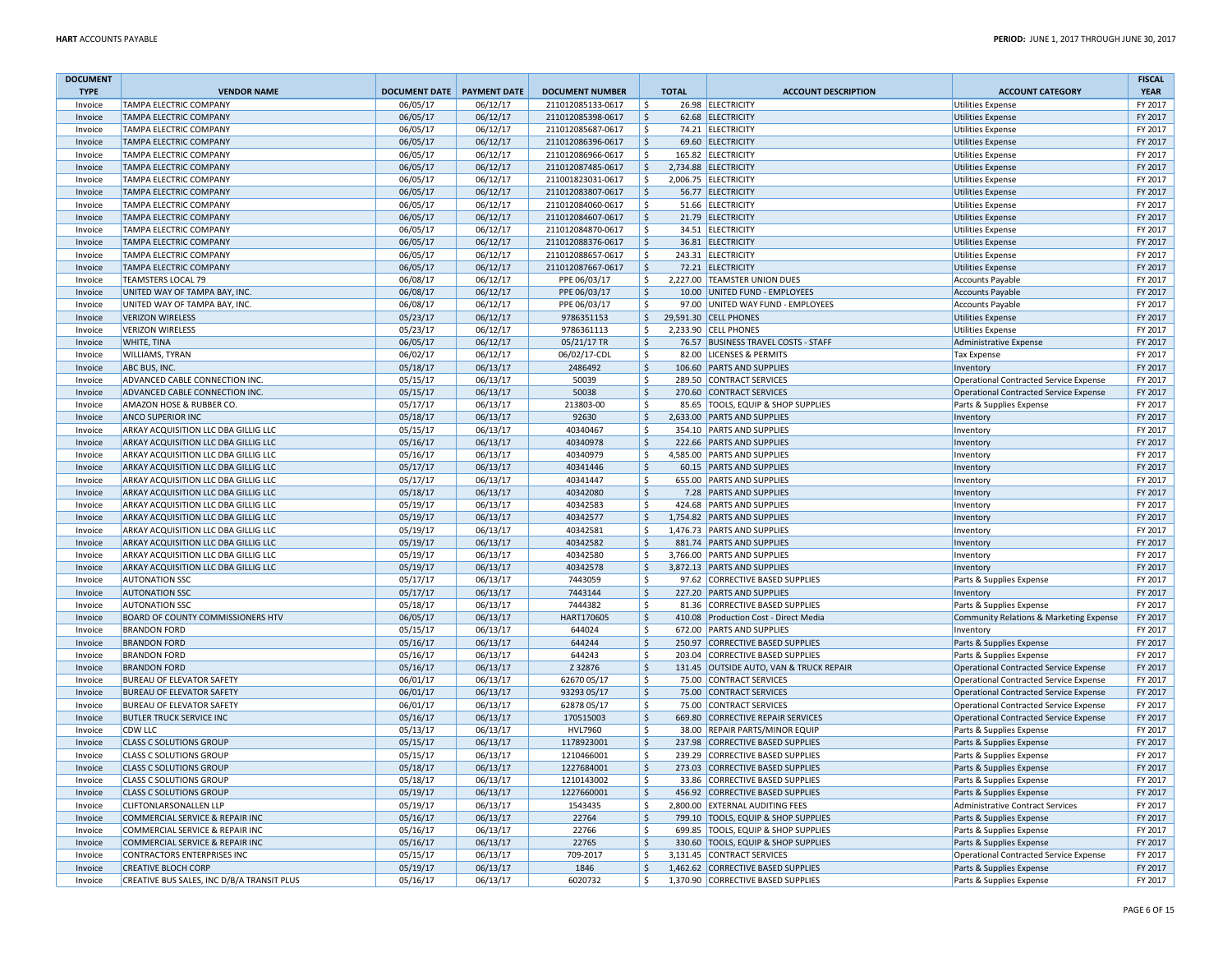| <b>DOCUMENT</b> |                                            |                              |          |                        |                    |                                         |                                               | <b>FISCAL</b> |
|-----------------|--------------------------------------------|------------------------------|----------|------------------------|--------------------|-----------------------------------------|-----------------------------------------------|---------------|
| <b>TYPE</b>     | <b>VENDOR NAME</b>                         | DOCUMENT DATE   PAYMENT DATE |          | <b>DOCUMENT NUMBER</b> | <b>TOTAL</b>       | <b>ACCOUNT DESCRIPTION</b>              | <b>ACCOUNT CATEGORY</b>                       | <b>YEAR</b>   |
| Invoice         | TAMPA ELECTRIC COMPANY                     | 06/05/17                     | 06/12/17 | 211012085133-0617      | \$                 | 26.98 ELECTRICITY                       | <b>Utilities Expense</b>                      | FY 2017       |
| Invoice         | TAMPA ELECTRIC COMPANY                     | 06/05/17                     | 06/12/17 | 211012085398-0617      | $\zeta$            | 62.68 ELECTRICITY                       | <b>Utilities Expense</b>                      | FY 2017       |
| Invoice         | TAMPA ELECTRIC COMPANY                     | 06/05/17                     | 06/12/17 | 211012085687-0617      | $\mathsf{\hat{S}}$ | 74.21 ELECTRICITY                       | <b>Utilities Expense</b>                      | FY 2017       |
| Invoice         | TAMPA ELECTRIC COMPANY                     | 06/05/17                     | 06/12/17 | 211012086396-0617      | $\zeta$            | 69.60 ELECTRICITY                       | <b>Utilities Expense</b>                      | FY 2017       |
| Invoice         | TAMPA ELECTRIC COMPANY                     | 06/05/17                     | 06/12/17 | 211012086966-0617      | $\mathsf{\hat{S}}$ | 165.82 ELECTRICITY                      | Utilities Expense                             | FY 2017       |
| Invoice         | TAMPA ELECTRIC COMPANY                     | 06/05/17                     | 06/12/17 | 211012087485-0617      | $\mathsf{S}$       | 2,734.88 ELECTRICITY                    | <b>Utilities Expense</b>                      | FY 2017       |
| Invoice         | TAMPA ELECTRIC COMPANY                     | 06/05/17                     | 06/12/17 | 211001823031-0617      | \$                 | 2,006.75 ELECTRICITY                    | <b>Utilities Expense</b>                      | FY 2017       |
| Invoice         | TAMPA ELECTRIC COMPANY                     | 06/05/17                     | 06/12/17 | 211012083807-0617      | $\zeta$            | 56.77 ELECTRICITY                       | <b>Utilities Expense</b>                      | FY 2017       |
| Invoice         | TAMPA ELECTRIC COMPANY                     | 06/05/17                     | 06/12/17 | 211012084060-0617      | \$                 | 51.66 ELECTRICITY                       | <b>Utilities Expense</b>                      | FY 2017       |
| Invoice         | TAMPA ELECTRIC COMPANY                     | 06/05/17                     | 06/12/17 | 211012084607-0617      | $\zeta$            | 21.79 ELECTRICITY                       | <b>Utilities Expense</b>                      | FY 2017       |
| Invoice         | TAMPA ELECTRIC COMPANY                     | 06/05/17                     | 06/12/17 | 211012084870-0617      | \$                 | 34.51 ELECTRICITY                       | <b>Utilities Expense</b>                      | FY 2017       |
| Invoice         | TAMPA ELECTRIC COMPANY                     | 06/05/17                     | 06/12/17 | 211012088376-0617      | $\mathsf{\hat{S}}$ | 36.81 ELECTRICITY                       | <b>Utilities Expense</b>                      | FY 2017       |
| Invoice         | TAMPA ELECTRIC COMPANY                     | 06/05/17                     | 06/12/17 | 211012088657-0617      | S.                 | 243.31 ELECTRICITY                      | <b>Utilities Expense</b>                      | FY 2017       |
| Invoice         | TAMPA ELECTRIC COMPANY                     | 06/05/17                     | 06/12/17 | 211012087667-0617      | $\zeta$            | 72.21 ELECTRICITY                       | <b>Utilities Expense</b>                      | FY 2017       |
| Invoice         | <b>TEAMSTERS LOCAL 79</b>                  | 06/08/17                     | 06/12/17 | PPE 06/03/17           | \$                 | 2,227.00 TEAMSTER UNION DUES            | <b>Accounts Payable</b>                       | FY 2017       |
| Invoice         | UNITED WAY OF TAMPA BAY, INC.              | 06/08/17                     | 06/12/17 | PPE 06/03/17           | $\zeta$            | 10.00 UNITED FUND - EMPLOYEES           | <b>Accounts Payable</b>                       | FY 2017       |
| Invoice         | UNITED WAY OF TAMPA BAY, INC.              | 06/08/17                     | 06/12/17 | PPE 06/03/17           | $\mathsf{\hat{S}}$ | 97.00 UNITED WAY FUND - EMPLOYEES       | <b>Accounts Payable</b>                       | FY 2017       |
| Invoice         | <b>VERIZON WIRELESS</b>                    | 05/23/17                     | 06/12/17 | 9786351153             | \$                 | 29,591.30 CELL PHONES                   | <b>Utilities Expense</b>                      | FY 2017       |
| Invoice         | <b>VERIZON WIRELESS</b>                    | 05/23/17                     | 06/12/17 | 9786361113             | <sup>\$</sup>      | 2,233.90 CELL PHONES                    | <b>Utilities Expense</b>                      | FY 2017       |
| Invoice         | WHITE, TINA                                | 06/05/17                     | 06/12/17 | 05/21/17 TR            | $\mathsf{\hat{S}}$ | 76.57 BUSINESS TRAVEL COSTS - STAFF     | Administrative Expense                        | FY 2017       |
| Invoice         | WILLIAMS, TYRAN                            | 06/02/17                     | 06/12/17 | 06/02/17-CDL           | \$                 | 82.00 LICENSES & PERMITS                | <b>Tax Expense</b>                            | FY 2017       |
| Invoice         | ABC BUS, INC.                              | 05/18/17                     | 06/13/17 | 2486492                | $\zeta$            | 106.60 PARTS AND SUPPLIES               | Inventory                                     | FY 2017       |
| Invoice         | ADVANCED CABLE CONNECTION INC.             | 05/15/17                     | 06/13/17 | 50039                  | \$                 | 289.50 CONTRACT SERVICES                | <b>Operational Contracted Service Expense</b> | FY 2017       |
| Invoice         | ADVANCED CABLE CONNECTION INC.             | 05/15/17                     | 06/13/17 | 50038                  | S.                 | 270.60 CONTRACT SERVICES                | Operational Contracted Service Expense        | FY 2017       |
| Invoice         | AMAZON HOSE & RUBBER CO.                   | 05/17/17                     | 06/13/17 | 213803-00              | \$                 | 85.65 TOOLS, EQUIP & SHOP SUPPLIES      | Parts & Supplies Expense                      | FY 2017       |
| Invoice         | ANCO SUPERIOR INC                          | 05/18/17                     | 06/13/17 | 92630                  | S.                 | 2,633.00 PARTS AND SUPPLIES             | Inventory                                     | FY 2017       |
| Invoice         | ARKAY ACQUISITION LLC DBA GILLIG LLC       | 05/15/17                     | 06/13/17 | 40340467               | Ś                  | 354.10 PARTS AND SUPPLIES               | Inventory                                     | FY 2017       |
| Invoice         | ARKAY ACQUISITION LLC DBA GILLIG LLC       | 05/16/17                     | 06/13/17 | 40340978               | S.                 | 222.66 PARTS AND SUPPLIES               | Inventory                                     | FY 2017       |
| Invoice         | ARKAY ACQUISITION LLC DBA GILLIG LLC       | 05/16/17                     | 06/13/17 | 40340979               | \$                 | 4,585.00 PARTS AND SUPPLIES             | Inventory                                     | FY 2017       |
| Invoice         | ARKAY ACQUISITION LLC DBA GILLIG LLC       | 05/17/17                     | 06/13/17 | 40341446               | $\zeta$            | 60.15 PARTS AND SUPPLIES                | Inventory                                     | FY 2017       |
| Invoice         | ARKAY ACQUISITION LLC DBA GILLIG LLC       | 05/17/17                     | 06/13/17 | 40341447               | \$                 | 655.00 PARTS AND SUPPLIES               | Inventory                                     | FY 2017       |
| Invoice         | ARKAY ACQUISITION LLC DBA GILLIG LLC       | 05/18/17                     | 06/13/17 | 40342080               | $\zeta$            | 7.28 PARTS AND SUPPLIES                 | Inventory                                     | FY 2017       |
| Invoice         | ARKAY ACQUISITION LLC DBA GILLIG LLC       | 05/19/17                     | 06/13/17 | 40342583               | \$                 | 424.68 PARTS AND SUPPLIES               | Inventory                                     | FY 2017       |
| Invoice         | ARKAY ACQUISITION LLC DBA GILLIG LLC       | 05/19/17                     | 06/13/17 | 40342577               | $\zeta$            | 1,754.82 PARTS AND SUPPLIES             | Inventory                                     | FY 2017       |
| Invoice         | ARKAY ACQUISITION LLC DBA GILLIG LLC       | 05/19/17                     | 06/13/17 | 40342581               | \$                 | 1.476.73 PARTS AND SUPPLIES             | Inventory                                     | FY 2017       |
| Invoice         | ARKAY ACQUISITION LLC DBA GILLIG LLC       | 05/19/17                     | 06/13/17 | 40342582               | $\mathsf{\hat{S}}$ | 881.74 PARTS AND SUPPLIES               | Inventory                                     | FY 2017       |
| Invoice         | ARKAY ACQUISITION LLC DBA GILLIG LLC       | 05/19/17                     | 06/13/17 | 40342580               | Ś                  | 3,766.00 PARTS AND SUPPLIES             | Inventory                                     | FY 2017       |
| Invoice         | ARKAY ACQUISITION LLC DBA GILLIG LLC       | 05/19/17                     | 06/13/17 | 40342578               | $\zeta$            | 3,872.13 PARTS AND SUPPLIES             | Inventory                                     | FY 2017       |
| Invoice         | <b>AUTONATION SSC</b>                      | 05/17/17                     | 06/13/17 | 7443059                | $\mathsf{\hat{S}}$ | 97.62 CORRECTIVE BASED SUPPLIES         | Parts & Supplies Expense                      | FY 2017       |
| Invoice         | <b>AUTONATION SSC</b>                      | 05/17/17                     | 06/13/17 | 7443144                | $\mathsf{\hat{S}}$ | 227.20 PARTS AND SUPPLIES               | Inventory                                     | FY 2017       |
| Invoice         | <b>AUTONATION SSC</b>                      | 05/18/17                     | 06/13/17 | 7444382                | S.                 | 81.36 CORRECTIVE BASED SUPPLIES         | Parts & Supplies Expense                      | FY 2017       |
| Invoice         | BOARD OF COUNTY COMMISSIONERS HTV          | 06/05/17                     | 06/13/17 | HART170605             | $\mathsf{\dot{S}}$ | 410.08 Production Cost - Direct Media   | Community Relations & Marketing Expense       | FY 2017       |
| Invoice         | <b>BRANDON FORD</b>                        | 05/15/17                     | 06/13/17 | 644024                 | \$                 | 672.00 PARTS AND SUPPLIES               | Inventory                                     | FY 2017       |
| Invoice         | <b>BRANDON FORD</b>                        | 05/16/17                     | 06/13/17 | 644244                 | $\mathsf{\dot{S}}$ | 250.97 CORRECTIVE BASED SUPPLIES        | Parts & Supplies Expense                      | FY 2017       |
| Invoice         | <b>BRANDON FORD</b>                        | 05/16/17                     | 06/13/17 | 644243                 | S.                 | 203.04 CORRECTIVE BASED SUPPLIES        | Parts & Supplies Expense                      | FY 2017       |
| Invoice         | <b>BRANDON FORD</b>                        | 05/16/17                     | 06/13/17 | Z 32876                | $\mathsf{\hat{S}}$ | 131.45 OUTSIDE AUTO, VAN & TRUCK REPAIR | <b>Operational Contracted Service Expense</b> | FY 2017       |
| Invoice         | BUREAU OF ELEVATOR SAFETY                  | 06/01/17                     | 06/13/17 | 62670 05/17            | Ŝ.                 | 75.00 CONTRACT SERVICES                 | <b>Operational Contracted Service Expense</b> | FY 2017       |
| Invoice         | <b>BUREAU OF ELEVATOR SAFETY</b>           | 06/01/17                     | 06/13/17 | 93293 05/17            | $\zeta$            | 75.00 CONTRACT SERVICES                 | <b>Operational Contracted Service Expense</b> | FY 2017       |
| Invoice         | BUREAU OF ELEVATOR SAFETY                  | 06/01/17                     | 06/13/17 | 62878 05/17            | \$                 | 75.00 CONTRACT SERVICES                 | <b>Operational Contracted Service Expense</b> | FY 2017       |
| Invoice         | <b>BUTLER TRUCK SERVICE INC</b>            | 05/16/17                     | 06/13/17 | 170515003              | $\zeta$            | 669.80 CORRECTIVE REPAIR SERVICES       | Operational Contracted Service Expense        | FY 2017       |
| Invoice         | CDW LLC                                    | 05/13/17                     | 06/13/17 | <b>HVL7960</b>         | \$<br>38.00        | REPAIR PARTS/MINOR EQUIP                | Parts & Supplies Expense                      | FY 2017       |
| Invoice         | <b>CLASS C SOLUTIONS GROUP</b>             | 05/15/17                     | 06/13/17 | 1178923001             | $\mathsf{\hat{S}}$ | 237.98 CORRECTIVE BASED SUPPLIES        | Parts & Supplies Expense                      | FY 2017       |
| Invoice         | <b>CLASS C SOLUTIONS GROUP</b>             | 05/15/17                     | 06/13/17 | 1210466001             | <sub>S</sub>       | 239.29 CORRECTIVE BASED SUPPLIES        | Parts & Supplies Expense                      | FY 2017       |
| Invoice         | <b>CLASS C SOLUTIONS GROUP</b>             | 05/18/17                     | 06/13/17 | 1227684001             | $\zeta$            | 273.03 CORRECTIVE BASED SUPPLIES        | Parts & Supplies Expense                      | FY 2017       |
| Invoice         | <b>CLASS C SOLUTIONS GROUP</b>             | 05/18/17                     | 06/13/17 | 1210143002             | \$                 | 33.86 CORRECTIVE BASED SUPPLIES         | Parts & Supplies Expense                      | FY 2017       |
| Invoice         | <b>CLASS C SOLUTIONS GROUP</b>             | 05/19/17                     | 06/13/17 | 1227660001             | $\mathsf{\hat{S}}$ | 456.92 CORRECTIVE BASED SUPPLIES        | Parts & Supplies Expense                      | FY 2017       |
| Invoice         | <b>CLIFTONLARSONALLEN LLP</b>              | 05/19/17                     | 06/13/17 | 1543435                | \$                 | 2,800.00 EXTERNAL AUDITING FEES         | Administrative Contract Services              | FY 2017       |
| Invoice         | COMMERCIAL SERVICE & REPAIR INC            | 05/16/17                     | 06/13/17 | 22764                  | $\zeta$            | 799.10 TOOLS, EQUIP & SHOP SUPPLIES     | Parts & Supplies Expense                      | FY 2017       |
| Invoice         | COMMERCIAL SERVICE & REPAIR INC            | 05/16/17                     | 06/13/17 | 22766                  | Ŝ.                 | 699.85 TOOLS, EQUIP & SHOP SUPPLIES     | Parts & Supplies Expense                      | FY 2017       |
| Invoice         | COMMERCIAL SERVICE & REPAIR INC            | 05/16/17                     | 06/13/17 | 22765                  | $\mathsf{\hat{S}}$ | 330.60 TOOLS, EQUIP & SHOP SUPPLIES     | Parts & Supplies Expense                      | FY 2017       |
| Invoice         | CONTRACTORS ENTERPRISES INC                | 05/15/17                     | 06/13/17 | 709-2017               | \$                 | 3,131.45 CONTRACT SERVICES              | <b>Operational Contracted Service Expense</b> | FY 2017       |
| Invoice         | <b>CREATIVE BLOCH CORP</b>                 | 05/19/17                     | 06/13/17 | 1846                   | $\zeta$            | 1,462.62 CORRECTIVE BASED SUPPLIES      | Parts & Supplies Expense                      | FY 2017       |
| Invoice         | CREATIVE BUS SALES, INC D/B/A TRANSIT PLUS | 05/16/17                     | 06/13/17 | 6020732                | \$                 | 1,370.90 CORRECTIVE BASED SUPPLIES      | Parts & Supplies Expense                      | FY 2017       |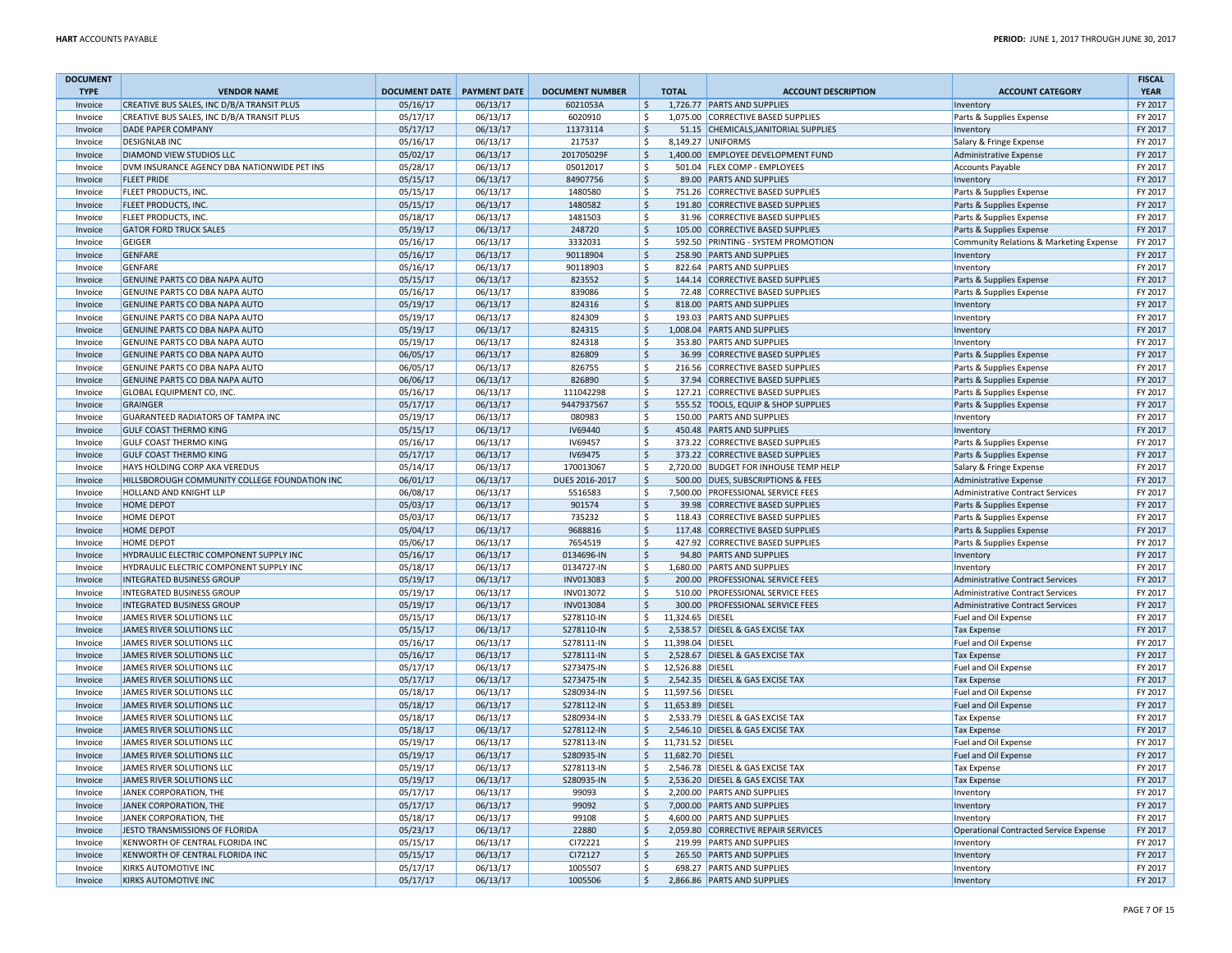| <b>DOCUMENT</b>    |                                               |                              |          |                        |                     |           |                                       |                                            | <b>FISCAL</b> |
|--------------------|-----------------------------------------------|------------------------------|----------|------------------------|---------------------|-----------|---------------------------------------|--------------------------------------------|---------------|
| <b>TYPE</b>        | <b>VENDOR NAME</b>                            | DOCUMENT DATE   PAYMENT DATE |          | <b>DOCUMENT NUMBER</b> | <b>TOTAL</b>        |           | <b>ACCOUNT DESCRIPTION</b>            | <b>ACCOUNT CATEGORY</b>                    | <b>YEAR</b>   |
| Invoice            | CREATIVE BUS SALES, INC D/B/A TRANSIT PLUS    | 05/16/17                     | 06/13/17 | 6021053A               | $\ddot{\varsigma}$  |           | 1,726.77 PARTS AND SUPPLIES           | Inventory                                  | FY 2017       |
| Invoice            | CREATIVE BUS SALES, INC D/B/A TRANSIT PLUS    | 05/17/17                     | 06/13/17 | 6020910                | $\zeta$             |           | 1,075.00 CORRECTIVE BASED SUPPLIES    | Parts & Supplies Expense                   | FY 2017       |
| Invoice            | <b>DADE PAPER COMPANY</b>                     | 05/17/17                     | 06/13/17 | 11373114               | $\zeta$             |           | 51.15 CHEMICALS, JANITORIAL SUPPLIES  | Inventory                                  | FY 2017       |
| Invoice            | <b>DESIGNLAB INC</b>                          | 05/16/17                     | 06/13/17 | 217537                 | Ŝ.                  |           | 8.149.27 UNIFORMS                     | Salary & Fringe Expense                    | FY 2017       |
| Invoice            | DIAMOND VIEW STUDIOS LLC                      | 05/02/17                     | 06/13/17 | 201705029F             | $\mathsf{S}$        |           | 1,400.00 EMPLOYEE DEVELOPMENT FUND    | <b>Administrative Expense</b>              | FY 2017       |
| Invoice            | DVM INSURANCE AGENCY DBA NATIONWIDE PET INS   | 05/28/17                     | 06/13/17 | 05012017               | \$                  |           | 501.04 FLEX COMP - EMPLOYEES          | <b>Accounts Payable</b>                    | FY 2017       |
| Invoice            | <b>FLEET PRIDE</b>                            | 05/15/17                     | 06/13/17 | 84907756               | $\ddot{\varsigma}$  |           | 89.00 PARTS AND SUPPLIES              | Inventory                                  | FY 2017       |
| Invoice            | FLEET PRODUCTS, INC.                          | 05/15/17                     | 06/13/17 | 1480580                | \$                  |           | 751.26 CORRECTIVE BASED SUPPLIES      | Parts & Supplies Expense                   | FY 2017       |
| Invoice            | FLEET PRODUCTS, INC.                          | 05/15/17                     | 06/13/17 | 1480582                | S.                  |           | 191.80 CORRECTIVE BASED SUPPLIES      | Parts & Supplies Expense                   | FY 2017       |
| Invoice            | FLEET PRODUCTS, INC.                          | 05/18/17                     | 06/13/17 | 1481503                | $\zeta$             |           | 31.96 CORRECTIVE BASED SUPPLIES       | Parts & Supplies Expense                   | FY 2017       |
| Invoice            | <b>GATOR FORD TRUCK SALES</b>                 | 05/19/17                     | 06/13/17 | 248720                 | $\ddot{\varsigma}$  |           | 105.00 CORRECTIVE BASED SUPPLIES      | Parts & Supplies Expense                   | FY 2017       |
| Invoice            | <b>GEIGER</b>                                 | 05/16/17                     | 06/13/17 | 3332031                | S.                  |           | 592.50 PRINTING - SYSTEM PROMOTION    | Community Relations & Marketing Expense    | FY 2017       |
| Invoice            | <b>GENFARE</b>                                | 05/16/17                     | 06/13/17 | 90118904               | $\ddot{\varsigma}$  |           | 258.90 PARTS AND SUPPLIES             | Inventory                                  | FY 2017       |
| Invoice            | <b>GENFARE</b>                                | 05/16/17                     | 06/13/17 | 90118903               | $\ddot{\mathsf{S}}$ |           | 822.64 PARTS AND SUPPLIES             | Inventory                                  | FY 2017       |
| Invoice            | GENUINE PARTS CO DBA NAPA AUTO                | 05/15/17                     | 06/13/17 | 823552                 | $\mathsf{S}$        |           | 144.14 CORRECTIVE BASED SUPPLIES      | Parts & Supplies Expense                   | FY 2017       |
| Invoice            | GENUINE PARTS CO DBA NAPA AUTO                | 05/16/17                     | 06/13/17 | 839086                 | $\ddot{\mathsf{S}}$ |           | 72.48 CORRECTIVE BASED SUPPLIES       | Parts & Supplies Expense                   | FY 2017       |
| Invoice            | GENUINE PARTS CO DBA NAPA AUTO                | 05/19/17                     | 06/13/17 | 824316                 | $\zeta$             |           | 818.00 PARTS AND SUPPLIES             | Inventory                                  | FY 2017       |
| Invoice            | GENUINE PARTS CO DBA NAPA AUTO                | 05/19/17                     | 06/13/17 | 824309                 | $\ddot{\mathsf{S}}$ |           | 193.03 PARTS AND SUPPLIES             | Inventory                                  | FY 2017       |
| Invoice            | GENUINE PARTS CO DBA NAPA AUTO                | 05/19/17                     | 06/13/17 | 824315                 | $\zeta$             |           | 1,008.04 PARTS AND SUPPLIES           | Inventory                                  | FY 2017       |
| Invoice            | GENUINE PARTS CO DBA NAPA AUTO                | 05/19/17                     | 06/13/17 | 824318                 | S.                  |           | 353.80 PARTS AND SUPPLIES             | Inventory                                  | FY 2017       |
| Invoice            | GENUINE PARTS CO DBA NAPA AUTO                | 06/05/17                     | 06/13/17 | 826809                 | $\ddot{\mathsf{S}}$ |           | 36.99 CORRECTIVE BASED SUPPLIES       | Parts & Supplies Expense                   | FY 2017       |
| Invoice            | GENUINE PARTS CO DBA NAPA AUTO                | 06/05/17                     | 06/13/17 | 826755                 | \$                  |           | 216.56 CORRECTIVE BASED SUPPLIES      | Parts & Supplies Expense                   | FY 2017       |
| Invoice            | GENUINE PARTS CO DBA NAPA AUTO                | 06/06/17                     | 06/13/17 | 826890                 | $\mathsf{\hat{S}}$  |           | 37.94 CORRECTIVE BASED SUPPLIES       | Parts & Supplies Expense                   | FY 2017       |
| Invoice            | GLOBAL EQUIPMENT CO, INC.                     | 05/16/17                     | 06/13/17 | 111042298              | $\ddot{\mathsf{S}}$ |           | 127.21 CORRECTIVE BASED SUPPLIES      | Parts & Supplies Expense                   | FY 2017       |
| Invoice            | <b>GRAINGER</b>                               | 05/17/17                     | 06/13/17 | 9447937567             | $\zeta$             |           | 555.52 TOOLS, EQUIP & SHOP SUPPLIES   | Parts & Supplies Expense                   | FY 2017       |
| Invoice            | <b>GUARANTEED RADIATORS OF TAMPA INC</b>      | 05/19/17                     | 06/13/17 | 080983                 | <sup>\$</sup>       |           | 150.00 PARTS AND SUPPLIES             | Inventory                                  | FY 2017       |
| Invoice            | <b>GULF COAST THERMO KING</b>                 | 05/15/17                     | 06/13/17 | IV69440                | $\mathsf{S}$        |           | 450.48 PARTS AND SUPPLIES             | Inventory                                  | FY 2017       |
| Invoice            | <b>GULF COAST THERMO KING</b>                 | 05/16/17                     | 06/13/17 | IV69457                | $\ddot{\mathsf{S}}$ |           | 373.22 CORRECTIVE BASED SUPPLIES      | Parts & Supplies Expense                   | FY 2017       |
| Invoice            | <b>GULF COAST THERMO KING</b>                 | 05/17/17                     | 06/13/17 | IV69475                | $\ddot{\mathsf{S}}$ |           | 373.22 CORRECTIVE BASED SUPPLIES      | Parts & Supplies Expense                   | FY 2017       |
| Invoice            | HAYS HOLDING CORP AKA VEREDUS                 | 05/14/17                     | 06/13/17 | 170013067              | \$                  |           | 2,720.00 BUDGET FOR INHOUSE TEMP HELP | Salary & Fringe Expense                    | FY 2017       |
| Invoice            | HILLSBOROUGH COMMUNITY COLLEGE FOUNDATION INC | 06/01/17                     | 06/13/17 | DUES 2016-2017         | $\ddot{\mathsf{S}}$ |           | 500.00 DUES, SUBSCRIPTIONS & FEES     | Administrative Expense                     | FY 2017       |
| Invoice            | <b>HOLLAND AND KNIGHT LLP</b>                 | 06/08/17                     | 06/13/17 | 5516583                | -\$                 |           | 7,500.00 PROFESSIONAL SERVICE FEES    | Administrative Contract Services           | FY 2017       |
| Invoice            | <b>HOME DEPOT</b>                             | 05/03/17                     | 06/13/17 | 901574                 | S.                  |           | 39.98 CORRECTIVE BASED SUPPLIES       | Parts & Supplies Expense                   | FY 2017       |
| Invoice            | <b>HOME DEPOT</b>                             | 05/03/17                     | 06/13/17 | 735232                 | $\zeta$             |           | 118.43 CORRECTIVE BASED SUPPLIES      | Parts & Supplies Expense                   | FY 2017       |
| Invoice            | <b>HOME DEPOT</b>                             | 05/04/17                     | 06/13/17 | 9688816                | $\zeta$             |           | 117.48 CORRECTIVE BASED SUPPLIES      | Parts & Supplies Expense                   | FY 2017       |
| Invoice            | HOME DEPOT                                    | 05/06/17                     | 06/13/17 | 7654519                | $\zeta$             |           | 427.92 CORRECTIVE BASED SUPPLIES      | Parts & Supplies Expense                   | FY 2017       |
| Invoice            | HYDRAULIC ELECTRIC COMPONENT SUPPLY INC       | 05/16/17                     | 06/13/17 | 0134696-IN             | $\ddot{\mathsf{S}}$ |           | 94.80 PARTS AND SUPPLIES              | Inventory                                  | FY 2017       |
| Invoice            | HYDRAULIC ELECTRIC COMPONENT SUPPLY INC       | 05/18/17                     | 06/13/17 | 0134727-IN             | -\$                 |           | 1,680.00 PARTS AND SUPPLIES           | Inventory                                  | FY 2017       |
|                    | <b>INTEGRATED BUSINESS GROUP</b>              | 05/19/17                     | 06/13/17 | INV013083              | $\ddot{\mathsf{S}}$ |           | 200.00 PROFESSIONAL SERVICE FEES      | <b>Administrative Contract Services</b>    | FY 2017       |
| Invoice<br>Invoice | <b>INTEGRATED BUSINESS GROUP</b>              | 05/19/17                     | 06/13/17 | INV013072              | Ŝ.                  |           | 510.00 PROFESSIONAL SERVICE FEES      | <b>Administrative Contract Services</b>    | FY 2017       |
| Invoice            | <b>INTEGRATED BUSINESS GROUP</b>              | 05/19/17                     | 06/13/17 | INV013084              | $\ddot{\mathsf{S}}$ |           | 300.00 PROFESSIONAL SERVICE FEES      | Administrative Contract Services           | FY 2017       |
| Invoice            | JAMES RIVER SOLUTIONS LLC                     | 05/15/17                     | 06/13/17 | S278110-IN             | \$                  | 11,324.65 | <b>DIESEL</b>                         | Fuel and Oil Expense                       | FY 2017       |
| Invoice            | JAMES RIVER SOLUTIONS LLC                     | 05/15/17                     | 06/13/17 | S278110-IN             | $\mathsf{S}$        |           | 2,538.57 DIESEL & GAS EXCISE TAX      | <b>Tax Expense</b>                         | FY 2017       |
| Invoice            | JAMES RIVER SOLUTIONS LLC                     | 05/16/17                     | 06/13/17 | S278111-IN             | $\ddot{\mathsf{S}}$ |           | 11,398.04 DIESEL                      | Fuel and Oil Expense                       | FY 2017       |
| Invoice            | <b>JAMES RIVER SOLUTIONS LLC</b>              | 05/16/17                     | 06/13/17 | S278111-IN             | <sub>S</sub>        |           | 2,528.67 DIESEL & GAS EXCISE TAX      | <b>Tax Expense</b>                         | FY 2017       |
| Invoice            | JAMES RIVER SOLUTIONS LLC                     | 05/17/17                     | 06/13/17 | S273475-IN             | Ś                   |           | 12,526.88 DIESEL                      |                                            | FY 2017       |
| Invoice            | <b>JAMES RIVER SOLUTIONS LLC</b>              | 05/17/17                     | 06/13/17 | S273475-IN             | $\zeta$             |           | 2,542.35 DIESEL & GAS EXCISE TAX      | Fuel and Oil Expense<br><b>Tax Expense</b> | FY 2017       |
| Invoice            | JAMES RIVER SOLUTIONS LLC                     | 05/18/17                     | 06/13/17 | S280934-IN             | $\mathsf{S}$        |           | 11,597.56 DIESEL                      | Fuel and Oil Expense                       | FY 2017       |
|                    | JAMES RIVER SOLUTIONS LLC                     | 05/18/17                     | 06/13/17 | S278112-IN             | $\ddot{\mathsf{S}}$ |           | 11,653.89 DIESEL                      | Fuel and Oil Expense                       | FY 2017       |
| Invoice            |                                               |                              |          | S280934-IN             | <sup>\$</sup>       |           |                                       |                                            | FY 2017       |
| Invoice            | JAMES RIVER SOLUTIONS LLC                     | 05/18/17                     | 06/13/17 |                        |                     |           | 2,533.79 DIESEL & GAS EXCISE TAX      | <b>Tax Expense</b>                         |               |
| Invoice            | JAMES RIVER SOLUTIONS LLC                     | 05/18/17                     | 06/13/17 | S278112-IN             | $\mathsf{S}$        |           | 2,546.10 DIESEL & GAS EXCISE TAX      | <b>Tax Expense</b>                         | FY 2017       |
| Invoice            | JAMES RIVER SOLUTIONS LLC                     | 05/19/17                     | 06/13/17 | S278113-IN             | \$                  |           | 11,731.52 DIESEL                      | Fuel and Oil Expense                       | FY 2017       |
| Invoice            | <b>JAMES RIVER SOLUTIONS LLC</b>              | 05/19/17                     | 06/13/17 | S280935-IN             | $\mathsf{S}$        |           | 11,682.70 DIESEL                      | Fuel and Oil Expense                       | FY 2017       |
| Invoice            | JAMES RIVER SOLUTIONS LLC                     | 05/19/17                     | 06/13/17 | S278113-IN             | <sup>\$</sup>       |           | 2,546.78 DIESEL & GAS EXCISE TAX      | <b>Tax Expense</b>                         | FY 2017       |
| Invoice            | JAMES RIVER SOLUTIONS LLC                     | 05/19/17                     | 06/13/17 | S280935-IN             | $\dot{\mathsf{S}}$  |           | 2.536.20 DIESEL & GAS EXCISE TAX      | Tax Expense                                | FY 2017       |
| Invoice            | JANEK CORPORATION, THE                        | 05/17/17                     | 06/13/17 | 99093                  | <sup>\$</sup>       |           | 2,200.00 PARTS AND SUPPLIES           | Inventory                                  | FY 2017       |
| Invoice            | JANEK CORPORATION, THE                        | 05/17/17                     | 06/13/17 | 99092                  | $\ddot{\mathsf{S}}$ |           | 7,000.00 PARTS AND SUPPLIES           | Inventory                                  | FY 2017       |
| Invoice            | JANEK CORPORATION, THE                        | 05/18/17                     | 06/13/17 | 99108                  | -\$                 |           | 4,600.00 PARTS AND SUPPLIES           | Inventory                                  | FY 2017       |
| Invoice            | JESTO TRANSMISSIONS OF FLORIDA                | 05/23/17                     | 06/13/17 | 22880                  | $\zeta$             |           | 2,059.80 CORRECTIVE REPAIR SERVICES   | Operational Contracted Service Expense     | FY 2017       |
| Invoice            | KENWORTH OF CENTRAL FLORIDA INC               | 05/15/17                     | 06/13/17 | CI72221                | $\mathsf{s}$        |           | 219.99 PARTS AND SUPPLIES             | Inventory                                  | FY 2017       |
| Invoice            | KENWORTH OF CENTRAL FLORIDA INC               | 05/15/17                     | 06/13/17 | CI72127                | $\mathsf{S}$        |           | 265.50 PARTS AND SUPPLIES             | Inventory                                  | FY 2017       |
| Invoice            | KIRKS AUTOMOTIVE INC                          | 05/17/17                     | 06/13/17 | 1005507                | $\ddot{\mathsf{S}}$ |           | 698.27 PARTS AND SUPPLIES             | Inventory                                  | FY 2017       |
| Invoice            | <b>KIRKS AUTOMOTIVE INC</b>                   | 05/17/17                     | 06/13/17 | 1005506                | $\zeta$             |           | 2,866.86 PARTS AND SUPPLIES           | Inventory                                  | FY 2017       |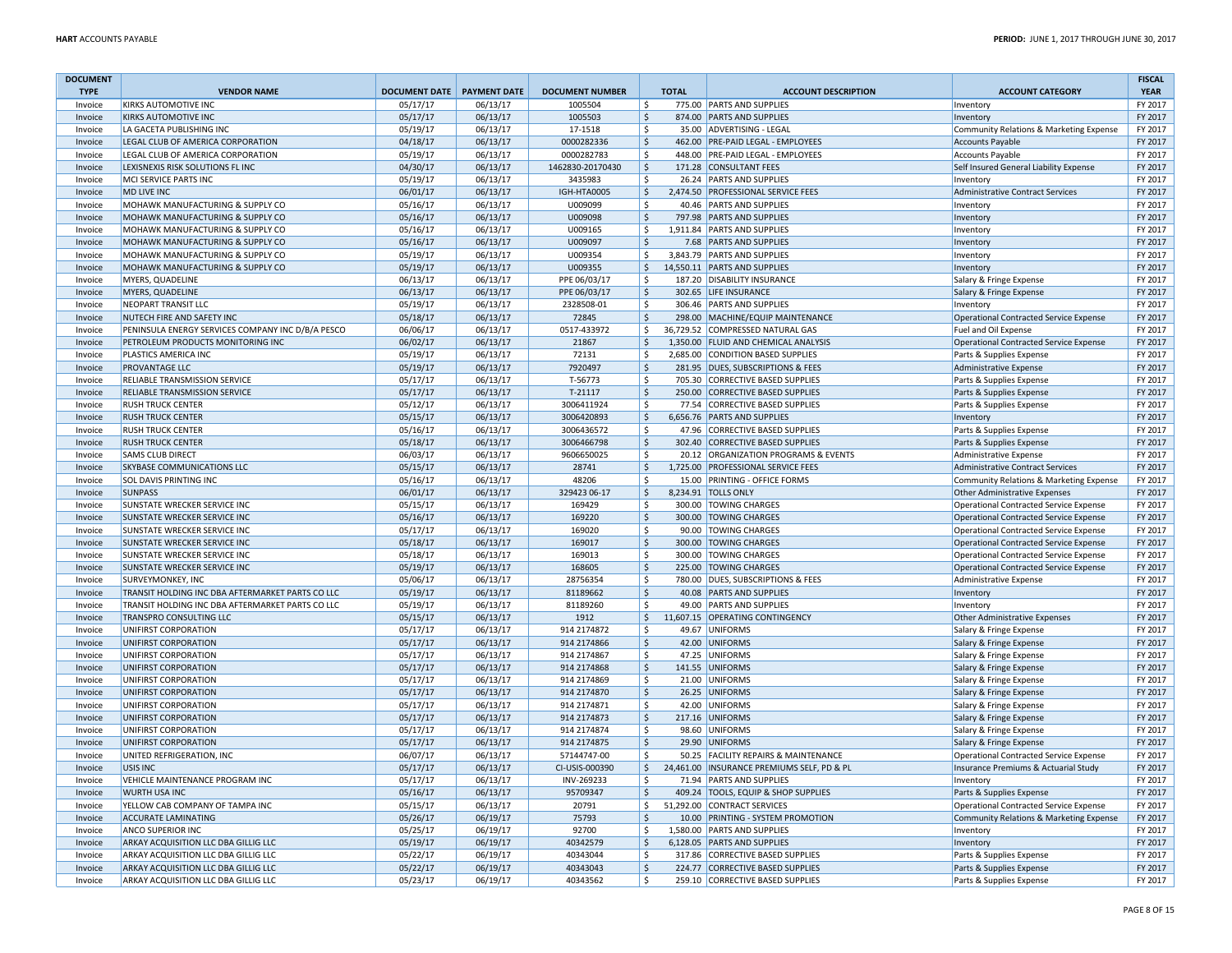| <b>DOCUMENT</b> |                                                   |                              |          |                        |                     |              |                                            |                                               | <b>FISCAL</b> |
|-----------------|---------------------------------------------------|------------------------------|----------|------------------------|---------------------|--------------|--------------------------------------------|-----------------------------------------------|---------------|
| <b>TYPE</b>     | <b>VENDOR NAME</b>                                | DOCUMENT DATE   PAYMENT DATE |          | <b>DOCUMENT NUMBER</b> |                     | <b>TOTAL</b> | <b>ACCOUNT DESCRIPTION</b>                 | <b>ACCOUNT CATEGORY</b>                       | <b>YEAR</b>   |
| Invoice         | <b>KIRKS AUTOMOTIVE INC</b>                       | 05/17/17                     | 06/13/17 | 1005504                | -Ś                  |              | 775.00 PARTS AND SUPPLIES                  | Inventory                                     | FY 2017       |
| Invoice         | KIRKS AUTOMOTIVE INC                              | 05/17/17                     | 06/13/17 | 1005503                | -Ś                  |              | 874.00 PARTS AND SUPPLIES                  | Inventory                                     | FY 2017       |
| Invoice         | LA GACETA PUBLISHING INC                          | 05/19/17                     | 06/13/17 | 17-1518                | $\mathsf{s}$        |              | 35.00 ADVERTISING - LEGAL                  | Community Relations & Marketing Expense       | FY 2017       |
| Invoice         | LEGAL CLUB OF AMERICA CORPORATION                 | 04/18/17                     | 06/13/17 | 0000282336             | $\zeta$             |              | 462.00 PRE-PAID LEGAL - EMPLOYEES          | Accounts Payable                              | FY 2017       |
| Invoice         | LEGAL CLUB OF AMERICA CORPORATION                 | 05/19/17                     | 06/13/17 | 0000282783             | \$                  |              | 448.00 PRE-PAID LEGAL - EMPLOYEES          | Accounts Payable                              | FY 2017       |
| Invoice         | LEXISNEXIS RISK SOLUTIONS FL INC                  | 04/30/17                     | 06/13/17 | 1462830-20170430       | \$                  |              | 171.28 CONSULTANT FEES                     | Self Insured General Liability Expense        | FY 2017       |
| Invoice         | MCI SERVICE PARTS INC                             | 05/19/17                     | 06/13/17 | 3435983                | Ŝ.                  |              | 26.24 PARTS AND SUPPLIES                   | Inventory                                     | FY 2017       |
| Invoice         | MD LIVE INC                                       | 06/01/17                     | 06/13/17 | IGH-HTA0005            | $\zeta$             |              | 2,474.50 PROFESSIONAL SERVICE FEES         | Administrative Contract Services              | FY 2017       |
| Invoice         | MOHAWK MANUFACTURING & SUPPLY CO                  | 05/16/17                     | 06/13/17 | U009099                | $\zeta$             |              | 40.46 PARTS AND SUPPLIES                   | Inventory                                     | FY 2017       |
| Invoice         | MOHAWK MANUFACTURING & SUPPLY CO                  | 05/16/17                     | 06/13/17 | U009098                | $\ddot{\mathsf{S}}$ |              | 797.98 PARTS AND SUPPLIES                  | Inventory                                     | FY 2017       |
|                 |                                                   |                              |          |                        | $\zeta$             |              | 1,911.84 PARTS AND SUPPLIES                |                                               | FY 2017       |
| Invoice         | MOHAWK MANUFACTURING & SUPPLY CO                  | 05/16/17                     | 06/13/17 | U009165                |                     |              |                                            | Inventory                                     |               |
| Invoice         | MOHAWK MANUFACTURING & SUPPLY CO                  | 05/16/17                     | 06/13/17 | U009097                | $\mathsf{S}$        |              | 7.68 PARTS AND SUPPLIES                    | Inventory                                     | FY 2017       |
| Invoice         | MOHAWK MANUFACTURING & SUPPLY CO                  | 05/19/17                     | 06/13/17 | U009354                | -S                  |              | 3,843.79 PARTS AND SUPPLIES                | Inventory                                     | FY 2017       |
| Invoice         | MOHAWK MANUFACTURING & SUPPLY CO                  | 05/19/17                     | 06/13/17 | U009355                | \$                  |              | 14,550.11 PARTS AND SUPPLIES               | Inventory                                     | FY 2017       |
| Invoice         | MYERS, QUADELINE                                  | 06/13/17                     | 06/13/17 | PPE 06/03/17           | \$                  |              | 187.20 DISABILITY INSURANCE                | Salary & Fringe Expense                       | FY 2017       |
| Invoice         | MYERS, QUADELINE                                  | 06/13/17                     | 06/13/17 | PPE 06/03/17           | $\ddot{\mathsf{S}}$ |              | 302.65 LIFE INSURANCE                      | Salary & Fringe Expense                       | FY 2017       |
| Invoice         | NEOPART TRANSIT LLC                               | 05/19/17                     | 06/13/17 | 2328508-01             | \$                  |              | 306.46 PARTS AND SUPPLIES                  | Inventory                                     | FY 2017       |
| Invoice         | NUTECH FIRE AND SAFETY INC                        | 05/18/17                     | 06/13/17 | 72845                  | \$                  |              | 298.00 MACHINE/EQUIP MAINTENANCE           | Operational Contracted Service Expense        | FY 2017       |
| Invoice         | PENINSULA ENERGY SERVICES COMPANY INC D/B/A PESCO | 06/06/17                     | 06/13/17 | 0517-433972            | \$                  |              | 36,729.52 COMPRESSED NATURAL GAS           | Fuel and Oil Expense                          | FY 2017       |
| Invoice         | PETROLEUM PRODUCTS MONITORING INC                 | 06/02/17                     | 06/13/17 | 21867                  | $\mathsf{S}$        |              | 1,350.00 FLUID AND CHEMICAL ANALYSIS       | <b>Operational Contracted Service Expense</b> | FY 2017       |
| Invoice         | PLASTICS AMERICA INC                              | 05/19/17                     | 06/13/17 | 72131                  | \$                  |              | 2,685.00 CONDITION BASED SUPPLIES          | Parts & Supplies Expense                      | FY 2017       |
| Invoice         | PROVANTAGE LLC                                    | 05/19/17                     | 06/13/17 | 7920497                | $\zeta$             |              | 281.95 DUES, SUBSCRIPTIONS & FEES          | Administrative Expense                        | FY 2017       |
| Invoice         | RELIABLE TRANSMISSION SERVICE                     | 05/17/17                     | 06/13/17 | T-56773                | <sup>\$</sup>       |              | 705.30 CORRECTIVE BASED SUPPLIES           | Parts & Supplies Expense                      | FY 2017       |
| Invoice         | RELIABLE TRANSMISSION SERVICE                     | 05/17/17                     | 06/13/17 | T-21117                | $\ddot{\mathsf{S}}$ |              | 250.00 CORRECTIVE BASED SUPPLIES           | Parts & Supplies Expense                      | FY 2017       |
| Invoice         | <b>RUSH TRUCK CENTER</b>                          | 05/12/17                     | 06/13/17 | 3006411924             | $\zeta$             |              | 77.54 CORRECTIVE BASED SUPPLIES            | Parts & Supplies Expense                      | FY 2017       |
| Invoice         | <b>RUSH TRUCK CENTER</b>                          | 05/15/17                     | 06/13/17 | 3006420893             | $\zeta$             |              | 6,656.76 PARTS AND SUPPLIES                | Inventory                                     | FY 2017       |
| Invoice         | <b>RUSH TRUCK CENTER</b>                          | 05/16/17                     | 06/13/17 | 3006436572             | Ŝ.                  |              | 47.96 CORRECTIVE BASED SUPPLIES            | Parts & Supplies Expense                      | FY 2017       |
| Invoice         | <b>RUSH TRUCK CENTER</b>                          | 05/18/17                     | 06/13/17 | 3006466798             | <sub>S</sub>        |              | 302.40 CORRECTIVE BASED SUPPLIES           | Parts & Supplies Expense                      | FY 2017       |
| Invoice         | <b>SAMS CLUB DIRECT</b>                           | 06/03/17                     | 06/13/17 | 9606650025             | <sup>\$</sup>       |              | 20.12 ORGANIZATION PROGRAMS & EVENTS       | Administrative Expense                        | FY 2017       |
| Invoice         | SKYBASE COMMUNICATIONS LLC                        | 05/15/17                     | 06/13/17 | 28741                  | $\zeta$             |              | 1,725.00 PROFESSIONAL SERVICE FEES         | <b>Administrative Contract Services</b>       | FY 2017       |
| Invoice         | SOL DAVIS PRINTING INC                            | 05/16/17                     | 06/13/17 | 48206                  | \$                  |              | 15.00 PRINTING - OFFICE FORMS              | Community Relations & Marketing Expense       | FY 2017       |
| Invoice         | <b>SUNPASS</b>                                    | 06/01/17                     | 06/13/17 | 329423 06-17           | l\$                 |              | 8,234.91 TOLLS ONLY                        | Other Administrative Expenses                 | FY 2017       |
| Invoice         | SUNSTATE WRECKER SERVICE INC                      | 05/15/17                     | 06/13/17 | 169429                 | Ŝ.                  |              | 300.00 TOWING CHARGES                      | Operational Contracted Service Expense        | FY 2017       |
|                 | SUNSTATE WRECKER SERVICE INC                      | 05/16/17                     | 06/13/17 | 169220                 | \$                  |              | 300.00 TOWING CHARGES                      |                                               | FY 2017       |
| Invoice         |                                                   |                              |          |                        |                     |              |                                            | Operational Contracted Service Expense        |               |
| Invoice         | SUNSTATE WRECKER SERVICE INC                      | 05/17/17                     | 06/13/17 | 169020                 | Ŝ.                  |              | 90.00 TOWING CHARGES                       | Operational Contracted Service Expense        | FY 2017       |
| Invoice         | SUNSTATE WRECKER SERVICE INC                      | 05/18/17                     | 06/13/17 | 169017                 | $\ddot{\mathsf{S}}$ |              | 300.00 TOWING CHARGES                      | Operational Contracted Service Expense        | FY 2017       |
| Invoice         | SUNSTATE WRECKER SERVICE INC                      | 05/18/17                     | 06/13/17 | 169013                 | <sup>\$</sup>       |              | 300.00 TOWING CHARGES                      | Operational Contracted Service Expense        | FY 2017       |
| Invoice         | SUNSTATE WRECKER SERVICE INC                      | 05/19/17                     | 06/13/17 | 168605                 | $\zeta$             |              | 225.00 TOWING CHARGES                      | Operational Contracted Service Expense        | FY 2017       |
| Invoice         | SURVEYMONKEY, INC                                 | 05/06/17                     | 06/13/17 | 28756354               | <sup>\$</sup>       |              | 780.00 DUES, SUBSCRIPTIONS & FEES          | Administrative Expense                        | FY 2017       |
| Invoice         | TRANSIT HOLDING INC DBA AFTERMARKET PARTS CO LLC  | 05/19/17                     | 06/13/17 | 81189662               | <sub>S</sub>        |              | 40.08 PARTS AND SUPPLIES                   | Inventory                                     | FY 2017       |
| Invoice         | TRANSIT HOLDING INC DBA AFTERMARKET PARTS CO LLC  | 05/19/17                     | 06/13/17 | 81189260               | \$                  |              | 49.00 PARTS AND SUPPLIES                   | Inventory                                     | FY 2017       |
| Invoice         | TRANSPRO CONSULTING LLC                           | 05/15/17                     | 06/13/17 | 1912                   | $\ddot{\mathsf{S}}$ |              | 11,607.15 OPERATING CONTINGENCY            | Other Administrative Expenses                 | FY 2017       |
| Invoice         | UNIFIRST CORPORATION                              | 05/17/17                     | 06/13/17 | 914 2174872            | \$                  |              | 49.67 UNIFORMS                             | Salary & Fringe Expense                       | FY 2017       |
| Invoice         | UNIFIRST CORPORATION                              | 05/17/17                     | 06/13/17 | 914 2174866            | $\zeta$             |              | 42.00 UNIFORMS                             | Salary & Fringe Expense                       | FY 2017       |
| Invoice         | UNIFIRST CORPORATION                              | 05/17/17                     | 06/13/17 | 914 2174867            | \$                  |              | 47.25 UNIFORMS                             | Salary & Fringe Expense                       | FY 2017       |
| Invoice         | UNIFIRST CORPORATION                              | 05/17/17                     | 06/13/17 | 914 2174868            | <sub>S</sub>        |              | 141.55 UNIFORMS                            | Salary & Fringe Expense                       | FY 2017       |
| Invoice         | UNIFIRST CORPORATION                              | 05/17/17                     | 06/13/17 | 914 2174869            | Ŝ.                  |              | 21.00 UNIFORMS                             | Salary & Fringe Expense                       | FY 2017       |
| Invoice         | UNIFIRST CORPORATION                              | 05/17/17                     | 06/13/17 | 914 2174870            | <sub>S</sub>        |              | 26.25 UNIFORMS                             | Salary & Fringe Expense                       | FY 2017       |
| Invoice         | UNIFIRST CORPORATION                              | 05/17/17                     | 06/13/17 | 914 2174871            | <sup>\$</sup>       |              | 42.00 UNIFORMS                             | Salary & Fringe Expense                       | FY 2017       |
| Invoice         | UNIFIRST CORPORATION                              | 05/17/17                     | 06/13/17 | 914 2174873            | $\ddot{\mathsf{S}}$ |              | 217.16 UNIFORMS                            | Salary & Fringe Expense                       | FY 2017       |
| Invoice         | UNIFIRST CORPORATION                              | 05/17/17                     | 06/13/17 | 914 2174874            | \$                  |              | 98.60 UNIFORMS                             | Salary & Fringe Expense                       | FY 2017       |
| Invoice         | UNIFIRST CORPORATION                              | 05/17/17                     | 06/13/17 | 914 2174875            | $\mathsf{\hat{S}}$  |              | 29.90 UNIFORMS                             | Salary & Fringe Expense                       | FY 2017       |
| Invoice         | UNITED REFRIGERATION, INC                         | 06/07/17                     | 06/13/17 | 57144747-00            | Ŝ.                  |              | 50.25 FACILITY REPAIRS & MAINTENANCE       | Operational Contracted Service Expense        | FY 2017       |
| Invoice         | USIS INC                                          | 05/17/17                     | 06/13/17 | CI-USIS-000390         | $\ddot{\varsigma}$  |              | 24,461.00 INSURANCE PREMIUMS SELF, PD & PL | Insurance Premiums & Actuarial Study          | FY 2017       |
| Invoice         | VEHICLE MAINTENANCE PROGRAM INC                   | 05/17/17                     | 06/13/17 | INV-269233             | $\mathsf{s}$        |              | 71.94 PARTS AND SUPPLIES                   |                                               | FY 2017       |
| Invoice         | <b>WURTH USA INC</b>                              |                              | 06/13/17 | 95709347               | $\zeta$             |              | 409.24 TOOLS, EQUIP & SHOP SUPPLIES        | Inventory                                     | FY 2017       |
|                 |                                                   | 05/16/17                     |          |                        |                     |              | 51,292.00 CONTRACT SERVICES                | Parts & Supplies Expense                      | FY 2017       |
| Invoice         | YELLOW CAB COMPANY OF TAMPA INC                   | 05/15/17                     | 06/13/17 | 20791                  | \$                  |              |                                            | Operational Contracted Service Expense        |               |
| Invoice         | <b>ACCURATE LAMINATING</b>                        | 05/26/17                     | 06/19/17 | 75793                  | <sub>S</sub>        |              | 10.00 PRINTING - SYSTEM PROMOTION          | Community Relations & Marketing Expense       | FY 2017       |
| Invoice         | ANCO SUPERIOR INC                                 | 05/25/17                     | 06/19/17 | 92700                  | Ŝ.                  |              | 1,580.00 PARTS AND SUPPLIES                | Inventory                                     | FY 2017       |
| Invoice         | ARKAY ACQUISITION LLC DBA GILLIG LLC              | 05/19/17                     | 06/19/17 | 40342579               | <sub>S</sub>        |              | 6,128.05 PARTS AND SUPPLIES                | Inventory                                     | FY 2017       |
| Invoice         | ARKAY ACQUISITION LLC DBA GILLIG LLC              | 05/22/17                     | 06/19/17 | 40343044               | -Ś                  |              | 317.86 CORRECTIVE BASED SUPPLIES           | Parts & Supplies Expense                      | FY 2017       |
| Invoice         | ARKAY ACQUISITION LLC DBA GILLIG LLC              | 05/22/17                     | 06/19/17 | 40343043               | $\zeta$             |              | 224.77 CORRECTIVE BASED SUPPLIES           | Parts & Supplies Expense                      | FY 2017       |
| Invoice         | ARKAY ACQUISITION LLC DBA GILLIG LLC              | 05/23/17                     | 06/19/17 | 40343562               | -\$                 |              | 259.10 CORRECTIVE BASED SUPPLIES           | Parts & Supplies Expense                      | FY 2017       |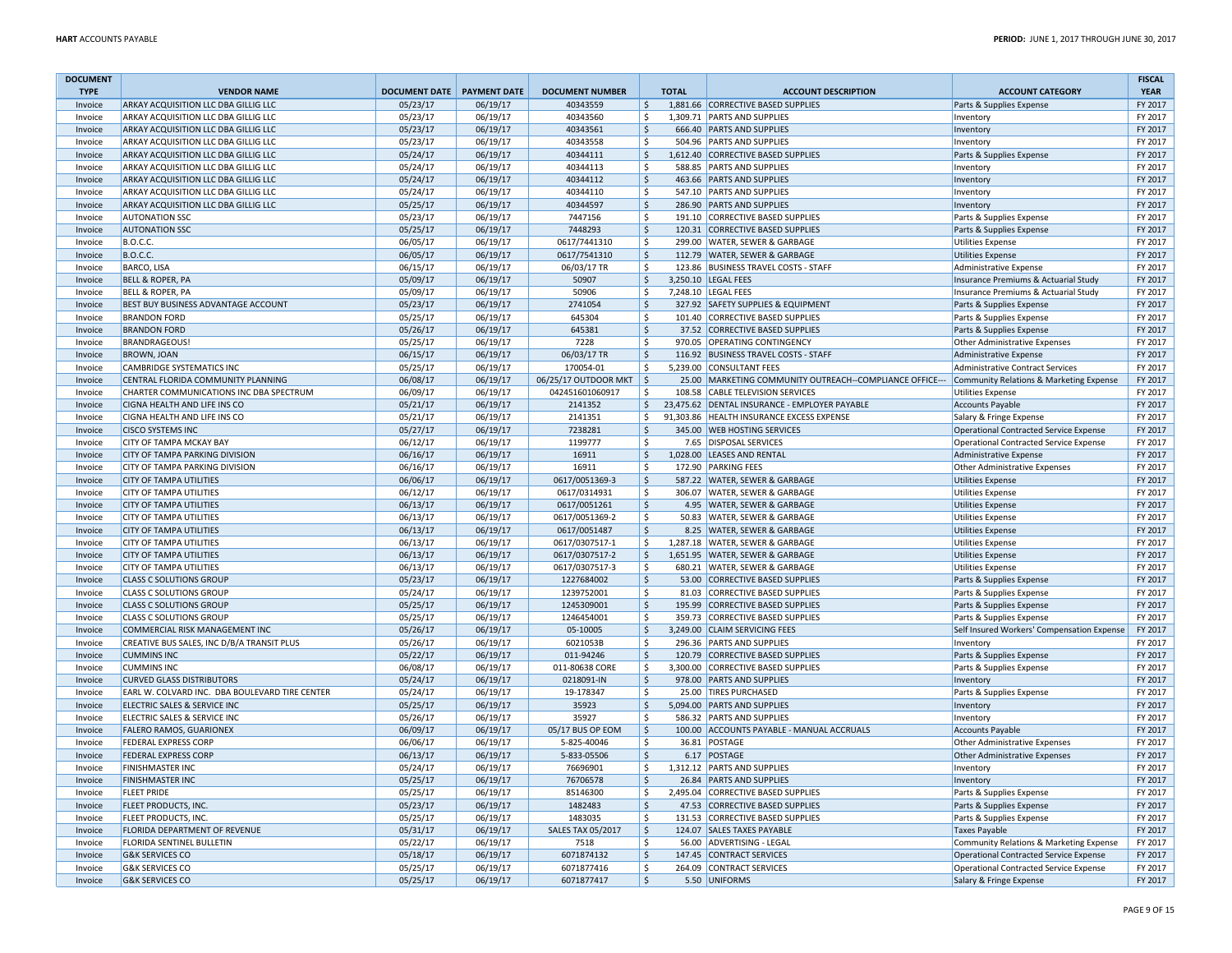| <b>DOCUMENT</b> |                                                |                                   |          |                           |                    |                                                         |                                               | <b>FISCAL</b> |
|-----------------|------------------------------------------------|-----------------------------------|----------|---------------------------|--------------------|---------------------------------------------------------|-----------------------------------------------|---------------|
| <b>TYPE</b>     | <b>VENDOR NAME</b>                             | <b>DOCUMENT DATE PAYMENT DATE</b> |          | <b>DOCUMENT NUMBER</b>    | <b>TOTAL</b>       | <b>ACCOUNT DESCRIPTION</b>                              | <b>ACCOUNT CATEGORY</b>                       | <b>YEAR</b>   |
| Invoice         | ARKAY ACQUISITION LLC DBA GILLIG LLC           | 05/23/17                          | 06/19/17 | 40343559                  | \$                 | 1,881.66 CORRECTIVE BASED SUPPLIES                      | Parts & Supplies Expense                      | FY 2017       |
| Invoice         | ARKAY ACQUISITION LLC DBA GILLIG LLC           | 05/23/17                          | 06/19/17 | 40343560                  | \$                 | 1.309.71 PARTS AND SUPPLIES                             | Inventory                                     | FY 2017       |
| Invoice         | ARKAY ACQUISITION LLC DBA GILLIG LLC           | 05/23/17                          | 06/19/17 | 40343561                  | $\mathsf{S}$       | 666.40 PARTS AND SUPPLIES                               | Inventory                                     | FY 2017       |
| Invoice         | ARKAY ACQUISITION LLC DBA GILLIG LLC           | 05/23/17                          | 06/19/17 | 40343558                  | Š.                 | 504.96 PARTS AND SUPPLIES                               | Inventory                                     | FY 2017       |
| Invoice         | ARKAY ACQUISITION LLC DBA GILLIG LLC           | 05/24/17                          | 06/19/17 | 40344111                  | $\mathsf{\hat{S}}$ | 1,612.40 CORRECTIVE BASED SUPPLIES                      | Parts & Supplies Expense                      | FY 2017       |
| Invoice         | ARKAY ACQUISITION LLC DBA GILLIG LLC           | 05/24/17                          | 06/19/17 | 40344113                  | $\zeta$            | 588.85 PARTS AND SUPPLIES                               | Inventory                                     | FY 2017       |
| Invoice         | ARKAY ACQUISITION LLC DBA GILLIG LLC           | 05/24/17                          | 06/19/17 | 40344112                  | $\mathsf{\hat{S}}$ | 463.66 PARTS AND SUPPLIES                               | Inventory                                     | FY 2017       |
| Invoice         | ARKAY ACQUISITION LLC DBA GILLIG LLC           | 05/24/17                          | 06/19/17 | 40344110                  | \$                 | 547.10 PARTS AND SUPPLIES                               | Inventory                                     | FY 2017       |
| Invoice         | ARKAY ACQUISITION LLC DBA GILLIG LLC           | 05/25/17                          | 06/19/17 | 40344597                  | $\mathsf{\hat{S}}$ | 286.90 PARTS AND SUPPLIES                               | Inventory                                     | FY 2017       |
|                 |                                                |                                   |          |                           | $\mathsf{s}$       |                                                         |                                               |               |
| Invoice         | <b>AUTONATION SSC</b>                          | 05/23/17                          | 06/19/17 | 7447156                   |                    | 191.10 CORRECTIVE BASED SUPPLIES                        | Parts & Supplies Expense                      | FY 2017       |
| Invoice         | <b>AUTONATION SSC</b>                          | 05/25/17                          | 06/19/17 | 7448293                   | $\zeta$            | 120.31 CORRECTIVE BASED SUPPLIES                        | Parts & Supplies Expense                      | FY 2017       |
| Invoice         | <b>B.O.C.C.</b>                                | 06/05/17                          | 06/19/17 | 0617/7441310              | \$                 | 299.00 WATER, SEWER & GARBAGE                           | <b>Utilities Expense</b>                      | FY 2017       |
| Invoice         | <b>B.O.C.C.</b>                                | 06/05/17                          | 06/19/17 | 0617/7541310              | S.                 | 112.79 WATER, SEWER & GARBAGE                           | <b>Utilities Expense</b>                      | FY 2017       |
| Invoice         | <b>BARCO, LISA</b>                             | 06/15/17                          | 06/19/17 | 06/03/17 TR               | \$                 | 123.86 BUSINESS TRAVEL COSTS - STAFF                    | Administrative Expense                        | FY 2017       |
| Invoice         | <b>BELL &amp; ROPER, PA</b>                    | 05/09/17                          | 06/19/17 | 50907                     | $\zeta$            | 3,250.10 LEGAL FEES                                     | Insurance Premiums & Actuarial Study          | FY 2017       |
| Invoice         | BELL & ROPER, PA                               | 05/09/17                          | 06/19/17 | 50906                     | \$                 | 7,248.10 LEGAL FEES                                     | Insurance Premiums & Actuarial Study          | FY 2017       |
| Invoice         | BEST BUY BUSINESS ADVANTAGE ACCOUNT            | 05/23/17                          | 06/19/17 | 2741054                   | $\zeta$            | 327.92 SAFETY SUPPLIES & EQUIPMENT                      | Parts & Supplies Expense                      | FY 2017       |
| Invoice         | <b>BRANDON FORD</b>                            | 05/25/17                          | 06/19/17 | 645304                    | -\$                | 101.40 CORRECTIVE BASED SUPPLIES                        | Parts & Supplies Expense                      | FY 2017       |
| Invoice         | <b>BRANDON FORD</b>                            | 05/26/17                          | 06/19/17 | 645381                    | $\zeta$            | 37.52 CORRECTIVE BASED SUPPLIES                         | Parts & Supplies Expense                      | FY 2017       |
| Invoice         | BRANDRAGEOUS!                                  | 05/25/17                          | 06/19/17 | 7228                      | -Ś                 | 970.05 OPERATING CONTINGENCY                            | <b>Other Administrative Expenses</b>          | FY 2017       |
| Invoice         | <b>BROWN, JOAN</b>                             | 06/15/17                          | 06/19/17 | 06/03/17 TR               | $\zeta$            | 116.92 BUSINESS TRAVEL COSTS - STAFF                    | Administrative Expense                        | FY 2017       |
| Invoice         | CAMBRIDGE SYSTEMATICS INC                      | 05/25/17                          | 06/19/17 | 170054-01                 | \$                 | 5,239.00 CONSULTANT FEES                                | <b>Administrative Contract Services</b>       | FY 2017       |
| Invoice         | CENTRAL FLORIDA COMMUNITY PLANNING             | 06/08/17                          | 06/19/17 | 06/25/17 OUTDOOR MKT   \$ |                    | 25.00 MARKETING COMMUNITY OUTREACH--COMPLIANCE OFFICE-- | Community Relations & Marketing Expense       | FY 2017       |
| Invoice         | CHARTER COMMUNICATIONS INC DBA SPECTRUM        | 06/09/17                          | 06/19/17 | 042451601060917           | Ŝ.                 | 108.58 CABLE TELEVISION SERVICES                        | <b>Utilities Expense</b>                      | FY 2017       |
| Invoice         | CIGNA HEALTH AND LIFE INS CO                   | 05/21/17                          | 06/19/17 | 2141352                   | $\zeta$            | 23,475.62 DENTAL INSURANCE - EMPLOYER PAYABLE           | <b>Accounts Payable</b>                       | FY 2017       |
| Invoice         | CIGNA HEALTH AND LIFE INS CO                   | 05/21/17                          | 06/19/17 | 2141351                   | \$                 | 91,303.86 HEALTH INSURANCE EXCESS EXPENSE               | Salary & Fringe Expense                       | FY 2017       |
| Invoice         | <b>CISCO SYSTEMS INC</b>                       | 05/27/17                          | 06/19/17 | 7238281                   | S.                 | 345.00 WEB HOSTING SERVICES                             | Operational Contracted Service Expense        | FY 2017       |
| Invoice         | CITY OF TAMPA MCKAY BAY                        | 06/12/17                          | 06/19/17 | 1199777                   | \$                 | 7.65 DISPOSAL SERVICES                                  | Operational Contracted Service Expense        | FY 2017       |
| Invoice         | CITY OF TAMPA PARKING DIVISION                 | 06/16/17                          | 06/19/17 | 16911                     | $\zeta$            | 1,028.00 LEASES AND RENTAL                              | Administrative Expense                        | FY 2017       |
|                 | CITY OF TAMPA PARKING DIVISION                 | 06/16/17                          | 06/19/17 | 16911                     | \$                 | 172.90 PARKING FEES                                     |                                               | FY 2017       |
| Invoice         |                                                |                                   |          |                           |                    |                                                         | <b>Other Administrative Expenses</b>          |               |
| Invoice         | CITY OF TAMPA UTILITIES                        | 06/06/17                          | 06/19/17 | 0617/0051369-3            | $\zeta$            | 587.22 WATER, SEWER & GARBAGE                           | <b>Utilities Expense</b>                      | FY 2017       |
| Invoice         | CITY OF TAMPA UTILITIES                        | 06/12/17                          | 06/19/17 | 0617/0314931              | \$                 | 306.07 WATER, SEWER & GARBAGE                           | <b>Utilities Expense</b>                      | FY 2017       |
| Invoice         | <b>CITY OF TAMPA UTILITIES</b>                 | 06/13/17                          | 06/19/17 | 0617/0051261              | $\zeta$            | 4.95 WATER, SEWER & GARBAGE                             | <b>Utilities Expense</b>                      | FY 2017       |
| Invoice         | CITY OF TAMPA UTILITIES                        | 06/13/17                          | 06/19/17 | 0617/0051369-2            | \$                 | 50.83 WATER, SEWER & GARBAGE                            | <b>Utilities Expense</b>                      | FY 2017       |
| Invoice         | <b>CITY OF TAMPA UTILITIES</b>                 | 06/13/17                          | 06/19/17 | 0617/0051487              | $\zeta$            | 8.25 WATER, SEWER & GARBAGE                             | <b>Utilities Expense</b>                      | FY 2017       |
| Invoice         | CITY OF TAMPA UTILITIES                        | 06/13/17                          | 06/19/17 | 0617/0307517-1            | \$                 | 1,287.18 WATER, SEWER & GARBAGE                         | <b>Utilities Expense</b>                      | FY 2017       |
| Invoice         | <b>CITY OF TAMPA UTILITIES</b>                 | 06/13/17                          | 06/19/17 | 0617/0307517-2            | $\zeta$            | 1,651.95 WATER, SEWER & GARBAGE                         | <b>Utilities Expense</b>                      | FY 2017       |
| Invoice         | CITY OF TAMPA UTILITIES                        | 06/13/17                          | 06/19/17 | 0617/0307517-3            | \$                 | 680.21 WATER, SEWER & GARBAGE                           | <b>Utilities Expense</b>                      | FY 2017       |
| Invoice         | <b>CLASS C SOLUTIONS GROUP</b>                 | 05/23/17                          | 06/19/17 | 1227684002                | $\mathsf{\hat{S}}$ | 53.00 CORRECTIVE BASED SUPPLIES                         | Parts & Supplies Expense                      | FY 2017       |
| Invoice         | <b>CLASS C SOLUTIONS GROUP</b>                 | 05/24/17                          | 06/19/17 | 1239752001                | \$                 | 81.03 CORRECTIVE BASED SUPPLIES                         | Parts & Supplies Expense                      | FY 2017       |
| Invoice         | <b>CLASS C SOLUTIONS GROUP</b>                 | 05/25/17                          | 06/19/17 | 1245309001                | S.                 | 195.99 CORRECTIVE BASED SUPPLIES                        | Parts & Supplies Expense                      | FY 2017       |
| Invoice         | <b>CLASS C SOLUTIONS GROUP</b>                 | 05/25/17                          | 06/19/17 | 1246454001                | <sub>S</sub>       | 359.73 CORRECTIVE BASED SUPPLIES                        | Parts & Supplies Expense                      | FY 2017       |
| Invoice         | COMMERCIAL RISK MANAGEMENT INC                 | 05/26/17                          | 06/19/17 | 05-10005                  | $\zeta$            | 3,249.00 CLAIM SERVICING FEES                           | Self Insured Workers' Compensation Expense    | FY 2017       |
| Invoice         | CREATIVE BUS SALES, INC D/B/A TRANSIT PLUS     | 05/26/17                          | 06/19/17 | 6021053B                  | Ś                  | 296.36 PARTS AND SUPPLIES                               | Inventory                                     | FY 2017       |
| Invoice         | <b>CUMMINS INC</b>                             | 05/22/17                          | 06/19/17 | 011-94246                 | $\zeta$            | 120.79 CORRECTIVE BASED SUPPLIES                        | Parts & Supplies Expense                      | FY 2017       |
| Invoice         | <b>CUMMINS INC</b>                             | 06/08/17                          | 06/19/17 | 011-80638 CORE            | \$                 | 3,300.00 CORRECTIVE BASED SUPPLIES                      | Parts & Supplies Expense                      | FY 2017       |
| Invoice         | <b>CURVED GLASS DISTRIBUTORS</b>               | 05/24/17                          | 06/19/17 | 0218091-IN                | $\mathsf{\hat{S}}$ | 978.00 PARTS AND SUPPLIES                               | Inventory                                     | FY 2017       |
| Invoice         | EARL W. COLVARD INC. DBA BOULEVARD TIRE CENTER | 05/24/17                          | 06/19/17 | 19-178347                 | \$                 | 25.00 TIRES PURCHASED                                   | Parts & Supplies Expense                      | FY 2017       |
| Invoice         | ELECTRIC SALES & SERVICE INC                   | 05/25/17                          | 06/19/17 | 35923                     | $\mathsf{\hat{S}}$ | 5,094.00 PARTS AND SUPPLIES                             | Inventory                                     | FY 2017       |
| Invoice         | ELECTRIC SALES & SERVICE INC                   | 05/26/17                          | 06/19/17 | 35927                     | \$                 | 586.32 PARTS AND SUPPLIES                               | Inventory                                     | FY 2017       |
|                 |                                                |                                   |          |                           |                    | 100.00 ACCOUNTS PAYABLE - MANUAL ACCRUALS               |                                               | FY 2017       |
| Invoice         | FALERO RAMOS, GUARIONEX                        | 06/09/17                          | 06/19/17 | 05/17 BUS OP EOM          | $\mathsf{S}$       |                                                         | <b>Accounts Payable</b>                       |               |
| Invoice         | <b>FEDERAL EXPRESS CORP</b>                    | 06/06/17                          | 06/19/17 | 5-825-40046               | $\mathsf{\hat{S}}$ | 36.81 POSTAGE                                           | Other Administrative Expenses                 | FY 2017       |
| Invoice         | <b>FEDERAL EXPRESS CORP</b>                    | 06/13/17                          | 06/19/17 | 5-833-05506               | $\mathsf{\hat{S}}$ | 6.17 POSTAGE                                            | <b>Other Administrative Expenses</b>          | FY 2017       |
| Invoice         | <b>FINISHMASTER INC</b>                        | 05/24/17                          | 06/19/17 | 76696901                  | \$                 | 1,312.12 PARTS AND SUPPLIES                             | Inventory                                     | FY 2017       |
| Invoice         | <b>FINISHMASTER INC</b>                        | 05/25/17                          | 06/19/17 | 76706578                  | $\mathsf{\hat{S}}$ | 26.84 PARTS AND SUPPLIES                                | Inventory                                     | FY 2017       |
| Invoice         | <b>FLEET PRIDE</b>                             | 05/25/17                          | 06/19/17 | 85146300                  | \$                 | 2,495.04 CORRECTIVE BASED SUPPLIES                      | Parts & Supplies Expense                      | FY 2017       |
| Invoice         | FLEET PRODUCTS, INC.                           | 05/23/17                          | 06/19/17 | 1482483                   | $\zeta$            | 47.53 CORRECTIVE BASED SUPPLIES                         | Parts & Supplies Expense                      | FY 2017       |
| Invoice         | FLEET PRODUCTS, INC.                           | 05/25/17                          | 06/19/17 | 1483035                   | \$                 | 131.53 CORRECTIVE BASED SUPPLIES                        | Parts & Supplies Expense                      | FY 2017       |
| Invoice         | FLORIDA DEPARTMENT OF REVENUE                  | 05/31/17                          | 06/19/17 | <b>SALES TAX 05/2017</b>  | $\mathsf{\hat{S}}$ | 124.07 SALES TAXES PAYABLE                              | <b>Taxes Payable</b>                          | FY 2017       |
| Invoice         | FLORIDA SENTINEL BULLETIN                      | 05/22/17                          | 06/19/17 | 7518                      | $\mathsf{\hat{S}}$ | 56.00 ADVERTISING - LEGAL                               | Community Relations & Marketing Expense       | FY 2017       |
| Invoice         | <b>G&amp;K SERVICES CO</b>                     | 05/18/17                          | 06/19/17 | 6071874132                | S.                 | 147.45 CONTRACT SERVICES                                | Operational Contracted Service Expense        | FY 2017       |
| Invoice         | <b>G&amp;K SERVICES CO</b>                     | 05/25/17                          | 06/19/17 | 6071877416                | $\zeta$            | 264.09 CONTRACT SERVICES                                | <b>Operational Contracted Service Expense</b> | FY 2017       |
| Invoice         | <b>G&amp;K SERVICES CO</b>                     | 05/25/17                          | 06/19/17 | 6071877417                | $\zeta$            | 5.50 UNIFORMS                                           | Salary & Fringe Expense                       | FY 2017       |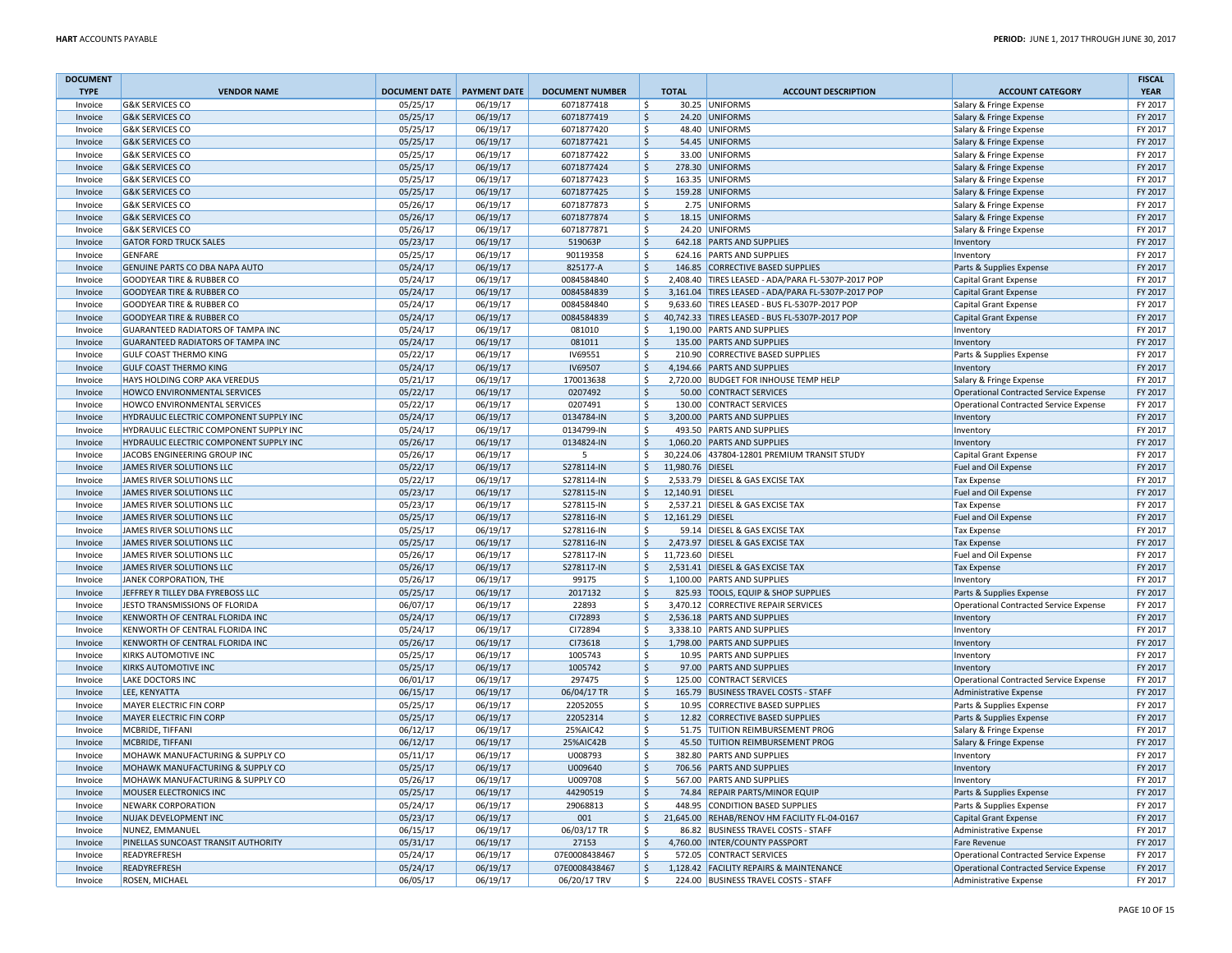| <b>DOCUMENT</b>    |                                          |                                   |                      |                                |                    |                  |                                                                                 |                                                                  | <b>FISCAL</b>      |
|--------------------|------------------------------------------|-----------------------------------|----------------------|--------------------------------|--------------------|------------------|---------------------------------------------------------------------------------|------------------------------------------------------------------|--------------------|
| <b>TYPE</b>        | <b>VENDOR NAME</b>                       | <b>DOCUMENT DATE PAYMENT DATE</b> |                      | <b>DOCUMENT NUMBER</b>         | <b>TOTAL</b>       |                  | <b>ACCOUNT DESCRIPTION</b>                                                      | <b>ACCOUNT CATEGORY</b>                                          | <b>YEAR</b>        |
| Invoice            | <b>G&amp;K SERVICES CO</b>               | 05/25/17                          | 06/19/17             | 6071877418                     | \$                 |                  | 30.25 UNIFORMS                                                                  | Salary & Fringe Expense                                          | FY 2017            |
| Invoice            | <b>G&amp;K SERVICES CO</b>               | 05/25/17                          | 06/19/17             | 6071877419                     | $\zeta$            |                  | 24.20 UNIFORMS                                                                  | Salary & Fringe Expense                                          | FY 2017            |
| Invoice            | <b>G&amp;K SERVICES CO</b>               | 05/25/17                          | 06/19/17             | 6071877420                     | $\zeta$            |                  | 48.40 UNIFORMS                                                                  | Salary & Fringe Expense                                          | FY 2017            |
| Invoice            | <b>G&amp;K SERVICES CO</b>               | 05/25/17                          | 06/19/17             | 6071877421                     | \$                 |                  | 54.45 UNIFORMS                                                                  | Salary & Fringe Expense                                          | FY 2017            |
| Invoice            | <b>G&amp;K SERVICES CO</b>               | 05/25/17                          | 06/19/17             | 6071877422                     | \$                 |                  | 33.00 UNIFORMS                                                                  | Salary & Fringe Expense                                          | FY 2017            |
| Invoice            | <b>G&amp;K SERVICES CO</b>               | 05/25/17                          | 06/19/17             | 6071877424                     | S.                 |                  | 278.30 UNIFORMS                                                                 | Salary & Fringe Expense                                          | FY 2017            |
| Invoice            | <b>G&amp;K SERVICES CO</b>               | 05/25/17                          | 06/19/17             | 6071877423                     | -Ś                 |                  | 163.35 UNIFORMS                                                                 | Salary & Fringe Expense                                          | FY 2017            |
| Invoice            | <b>G&amp;K SERVICES CO</b>               | 05/25/17                          | 06/19/17             | 6071877425                     | S.                 |                  | 159.28 UNIFORMS                                                                 | Salary & Fringe Expense                                          | FY 2017            |
| Invoice            | <b>G&amp;K SERVICES CO</b>               | 05/26/17                          | 06/19/17             | 6071877873                     | -Ś                 |                  | 2.75 UNIFORMS                                                                   | Salary & Fringe Expense                                          | FY 2017            |
| Invoice            | <b>G&amp;K SERVICES CO</b>               | 05/26/17                          | 06/19/17             | 6071877874                     | $\zeta$            |                  | 18.15 UNIFORMS                                                                  | Salary & Fringe Expense                                          | FY 2017            |
| Invoice            | <b>G&amp;K SERVICES CO</b>               | 05/26/17                          | 06/19/17             | 6071877871                     | \$                 |                  | 24.20 UNIFORMS                                                                  | Salary & Fringe Expense                                          | FY 2017            |
| Invoice            | <b>GATOR FORD TRUCK SALES</b>            | 05/23/17                          | 06/19/17             | 519063P                        | $\mathsf{S}$       |                  | 642.18 PARTS AND SUPPLIES                                                       | Inventory                                                        | FY 2017            |
| Invoice            | <b>GFNFARF</b>                           | 05/25/17                          | 06/19/17             | 90119358                       | \$                 |                  | 624.16 PARTS AND SUPPLIES                                                       | Inventory                                                        | FY 2017            |
| Invoice            | GENUINE PARTS CO DBA NAPA AUTO           | 05/24/17                          | 06/19/17             | 825177-A                       | $\zeta$            |                  | 146.85 CORRECTIVE BASED SUPPLIES                                                | Parts & Supplies Expense                                         | FY 2017            |
| Invoice            | <b>GOODYEAR TIRE &amp; RUBBER CO</b>     | 05/24/17                          | 06/19/17             | 0084584840                     | \$                 |                  | 2,408.40 TIRES LEASED - ADA/PARA FL-5307P-2017 POP                              | Capital Grant Expense                                            | FY 2017            |
| Invoice            | <b>GOODYEAR TIRE &amp; RUBBER CO</b>     | 05/24/17                          | 06/19/17             | 0084584839                     | $\zeta$            |                  | 3,161.04 TIRES LEASED - ADA/PARA FL-5307P-2017 POP                              | <b>Capital Grant Expense</b>                                     | FY 2017            |
| Invoice            | <b>GOODYEAR TIRE &amp; RUBBER CO</b>     | 05/24/17                          | 06/19/17             | 0084584840                     | \$                 |                  | 9,633.60 TIRES LEASED - BUS FL-5307P-2017 POP                                   | Capital Grant Expense                                            | FY 2017            |
| Invoice            | <b>GOODYEAR TIRE &amp; RUBBER CO</b>     | 05/24/17                          | 06/19/17             | 0084584839                     | $\zeta$            |                  | 40,742.33 TIRES LEASED - BUS FL-5307P-2017 POP                                  | Capital Grant Expense                                            | FY 2017            |
| Invoice            | <b>GUARANTEED RADIATORS OF TAMPA INC</b> | 05/24/17                          | 06/19/17             | 081010                         | Ś                  |                  | 1,190.00 PARTS AND SUPPLIES                                                     | Inventory                                                        | FY 2017            |
| Invoice            | <b>GUARANTEED RADIATORS OF TAMPA INC</b> | 05/24/17                          | 06/19/17             | 081011                         | $\mathsf{\hat{S}}$ |                  | 135.00 PARTS AND SUPPLIES                                                       | Inventory                                                        | FY 2017            |
| Invoice            | <b>GULF COAST THERMO KING</b>            | 05/22/17                          | 06/19/17             | IV69551                        | \$                 |                  | 210.90 CORRECTIVE BASED SUPPLIES                                                | Parts & Supplies Expense                                         | FY 2017            |
| Invoice            | <b>GULF COAST THERMO KING</b>            | 05/24/17                          | 06/19/17             | IV69507                        | $\zeta$            |                  | 4,194.66 PARTS AND SUPPLIES                                                     | Inventory                                                        | FY 2017            |
| Invoice            | HAYS HOLDING CORP AKA VEREDUS            | 05/21/17                          | 06/19/17             | 170013638                      | $\zeta$            |                  | 2,720.00 BUDGET FOR INHOUSE TEMP HELP                                           | Salary & Fringe Expense                                          | FY 2017            |
| Invoice            | <b>HOWCO ENVIRONMENTAL SERVICES</b>      | 05/22/17                          | 06/19/17             | 0207492                        | $\zeta$            |                  | 50.00 CONTRACT SERVICES                                                         | <b>Operational Contracted Service Expense</b>                    | FY 2017            |
| Invoice            | <b>HOWCO ENVIRONMENTAL SERVICES</b>      | 05/22/17                          | 06/19/17             | 0207491                        | \$                 |                  | 130.00 CONTRACT SERVICES                                                        | Operational Contracted Service Expense                           | FY 2017            |
| Invoice            | HYDRAULIC ELECTRIC COMPONENT SUPPLY INC  | 05/24/17                          | 06/19/17             | 0134784-IN                     | $\zeta$            |                  | 3,200.00 PARTS AND SUPPLIES                                                     | Inventory                                                        | FY 2017            |
| Invoice            | HYDRAULIC ELECTRIC COMPONENT SUPPLY INC  | 05/24/17                          | 06/19/17             | 0134799-IN                     | Ŝ.                 |                  | 493.50 PARTS AND SUPPLIES                                                       | Inventory                                                        | FY 2017            |
| Invoice            | HYDRAULIC ELECTRIC COMPONENT SUPPLY INC  | 05/26/17                          | 06/19/17             | 0134824-IN                     | \$                 |                  | 1,060.20 PARTS AND SUPPLIES                                                     | Inventory                                                        | FY 2017            |
| Invoice            | JACOBS ENGINEERING GROUP INC             | 05/26/17                          | 06/19/17             | 5                              | \$                 |                  | 30,224.06 437804-12801 PREMIUM TRANSIT STUDY                                    | Capital Grant Expense                                            | FY 2017            |
| Invoice            | JAMES RIVER SOLUTIONS LLC                | 05/22/17                          | 06/19/17             | S278114-IN                     | $\mathsf{\hat{S}}$ | 11,980.76 DIESEL |                                                                                 | Fuel and Oil Expense                                             | FY 2017            |
| Invoice            | JAMES RIVER SOLUTIONS LLC                | 05/22/17                          | 06/19/17             | S278114-IN                     | \$                 |                  | 2,533.79 DIESEL & GAS EXCISE TAX                                                | Tax Expense                                                      | FY 2017            |
| Invoice            | JAMES RIVER SOLUTIONS LLC                | 05/23/17                          | 06/19/17             | S278115-IN                     | $\zeta$            | 12,140.91 DIESEL |                                                                                 | Fuel and Oil Expense                                             | FY 2017            |
| Invoice            | JAMES RIVER SOLUTIONS LLC                | 05/23/17                          | 06/19/17             | S278115-IN                     | Ś                  |                  | 2,537.21 DIESEL & GAS EXCISE TAX                                                | <b>Tax Expense</b>                                               | FY 2017            |
| Invoice            | JAMES RIVER SOLUTIONS LLC                | 05/25/17                          | 06/19/17             | S278116-IN                     | $\zeta$            | 12,161.29 DIESEL |                                                                                 | Fuel and Oil Expense                                             | FY 2017            |
| Invoice            | JAMES RIVER SOLUTIONS LLC                | 05/25/17                          | 06/19/17             | S278116-IN                     | \$                 |                  | 59.14 DIESEL & GAS EXCISE TAX                                                   | <b>Tax Expense</b>                                               | FY 2017            |
| Invoice            | JAMES RIVER SOLUTIONS LLC                | 05/25/17                          | 06/19/17             | S278116-IN                     | $\zeta$            |                  | 2,473.97 DIESEL & GAS EXCISE TAX                                                | <b>Tax Expense</b>                                               | FY 2017            |
| Invoice            | JAMES RIVER SOLUTIONS LLC                | 05/26/17                          | 06/19/17             | S278117-IN                     | \$                 | 11,723.60 DIESEL |                                                                                 | Fuel and Oil Expense                                             | FY 2017            |
| Invoice            | JAMES RIVER SOLUTIONS LLC                | 05/26/17                          | 06/19/17             | S278117-IN                     | S.                 |                  | 2,531.41 DIESEL & GAS EXCISE TAX                                                | Tax Expense                                                      | FY 2017            |
| Invoice            | JANEK CORPORATION, THE                   | 05/26/17                          | 06/19/17             | 99175                          | Ś                  |                  | 1,100.00 PARTS AND SUPPLIES                                                     | Inventory                                                        | FY 2017            |
| Invoice            | JEFFREY R TILLEY DBA FYREBOSS LLC        | 05/25/17                          | 06/19/17             | 2017132                        | \$                 |                  | 825.93 TOOLS, EQUIP & SHOP SUPPLIES                                             | Parts & Supplies Expense                                         | FY 2017            |
| Invoice            | JESTO TRANSMISSIONS OF FLORIDA           | 06/07/17                          | 06/19/17             | 22893                          | \$                 |                  | 3,470.12 CORRECTIVE REPAIR SERVICES                                             | Operational Contracted Service Expense                           | FY 2017            |
| Invoice            | KENWORTH OF CENTRAL FLORIDA INC          | 05/24/17                          | 06/19/17             | CI72893                        | $\mathsf{\hat{S}}$ |                  | 2,536.18 PARTS AND SUPPLIES                                                     | Inventory                                                        | FY 2017            |
| Invoice            | KENWORTH OF CENTRAL FLORIDA INC          | 05/24/17                          | 06/19/17             | CI72894                        | Ś                  |                  | 3,338.10 PARTS AND SUPPLIES                                                     | Inventory                                                        | FY 2017            |
| Invoice            | KENWORTH OF CENTRAL FLORIDA INC          | 05/26/17                          | 06/19/17             | CI73618                        | $\zeta$            |                  | 1,798.00 PARTS AND SUPPLIES                                                     | Inventory                                                        | FY 2017            |
| Invoice            | KIRKS AUTOMOTIVE INC                     | 05/25/17                          | 06/19/17             | 1005743                        | \$                 |                  | 10.95 PARTS AND SUPPLIES                                                        | Inventory                                                        | FY 2017            |
| Invoice            | <b>KIRKS AUTOMOTIVE INC</b>              | 05/25/17                          | 06/19/17             | 1005742                        | $\mathsf{\hat{S}}$ |                  | 97.00 PARTS AND SUPPLIES                                                        | Inventory                                                        | FY 2017            |
| Invoice            | <b>LAKE DOCTORS INC</b>                  | 06/01/17                          | 06/19/17             | 297475                         | \$                 |                  | 125.00 CONTRACT SERVICES                                                        | <b>Operational Contracted Service Expense</b>                    | FY 2017            |
| Invoice            | LEE, KENYATTA                            | 06/15/17                          | 06/19/17             | 06/04/17 TR                    | $\mathsf{\hat{S}}$ |                  | 165.79 BUSINESS TRAVEL COSTS - STAFF                                            | <b>Administrative Expense</b>                                    | FY 2017            |
| Invoice            | MAYER ELECTRIC FIN CORP                  | 05/25/17                          | 06/19/17             | 22052055                       | $\zeta$            |                  | 10.95 CORRECTIVE BASED SUPPLIES                                                 | Parts & Supplies Expense                                         | FY 2017            |
| Invoice            | MAYER ELECTRIC FIN CORP                  | 05/25/17                          | 06/19/17             | 22052314                       | $\ddot{\varsigma}$ |                  | 12.82 CORRECTIVE BASED SUPPLIES                                                 | Parts & Supplies Expense                                         | FY 2017            |
| Invoice            | MCBRIDE, TIFFANI                         | 06/12/17                          | 06/19/17             | 25%AIC42                       | \$<br>$\mathsf{S}$ |                  | 51.75 TUITION REIMBURSEMENT PROG                                                | Salary & Fringe Expense                                          | FY 2017            |
| Invoice            | MCBRIDE, TIFFANI                         | 06/12/17                          | 06/19/17             | 25%AIC42B                      |                    |                  | 45.50 TUITION REIMBURSEMENT PROG                                                | Salary & Fringe Expense                                          | FY 2017            |
| Invoice            | MOHAWK MANUFACTURING & SUPPLY CO         | 05/11/17                          | 06/19/17             | U008793                        | Ś                  |                  | 382.80 PARTS AND SUPPLIES                                                       | Inventory                                                        | FY 2017            |
| Invoice            | MOHAWK MANUFACTURING & SUPPLY CO         | 05/25/17                          | 06/19/17             | U009640                        | $\zeta$            |                  | 706.56 PARTS AND SUPPLIES                                                       | Inventory                                                        | FY 2017            |
| Invoice            | MOHAWK MANUFACTURING & SUPPLY CO         | 05/26/17                          | 06/19/17             | U009708                        | <sub>S</sub>       |                  | 567.00 PARTS AND SUPPLIES                                                       | Inventory                                                        | FY 2017            |
| Invoice            | <b>MOUSER ELECTRONICS INC</b>            | 05/25/17                          | 06/19/17             | 44290519                       | $\mathsf{\hat{S}}$ |                  | 74.84 REPAIR PARTS/MINOR EQUIP                                                  | Parts & Supplies Expense                                         | FY 2017            |
| Invoice            | <b>NEWARK CORPORATION</b>                | 05/24/17                          | 06/19/17             | 29068813                       | \$                 |                  | 448.95 CONDITION BASED SUPPLIES                                                 | Parts & Supplies Expense                                         | FY 2017            |
| Invoice            | NUJAK DEVELOPMENT INC                    | 05/23/17                          | 06/19/17             | 001                            | \$                 |                  | 21,645.00 REHAB/RENOV HM FACILITY FL-04-0167                                    | <b>Capital Grant Expense</b>                                     | FY 2017            |
| Invoice            | NUNEZ, EMMANUEL                          | 06/15/17                          | 06/19/17             | 06/03/17 TR                    | \$                 |                  | 86.82 BUSINESS TRAVEL COSTS - STAFF                                             | Administrative Expense                                           | FY 2017            |
| Invoice            | PINELLAS SUNCOAST TRANSIT AUTHORITY      | 05/31/17                          | 06/19/17             | 27153                          | $\zeta$            |                  | 4,760.00 INTER/COUNTY PASSPORT                                                  | <b>Fare Revenue</b>                                              | FY 2017<br>FY 2017 |
| Invoice            | READYREFRESH<br>READYREFRESH             | 05/24/17                          | 06/19/17             | 07E0008438467<br>07E0008438467 | \$<br>$\zeta$      |                  | 572.05 CONTRACT SERVICES                                                        | <b>Operational Contracted Service Expense</b>                    | FY 2017            |
| Invoice<br>Invoice | <b>ROSEN, MICHAEL</b>                    | 05/24/17<br>06/05/17              | 06/19/17<br>06/19/17 | 06/20/17 TRV                   | \$                 |                  | 1,128.42 FACILITY REPAIRS & MAINTENANCE<br>224.00 BUSINESS TRAVEL COSTS - STAFF | Operational Contracted Service Expense<br>Administrative Expense | FY 2017            |
|                    |                                          |                                   |                      |                                |                    |                  |                                                                                 |                                                                  |                    |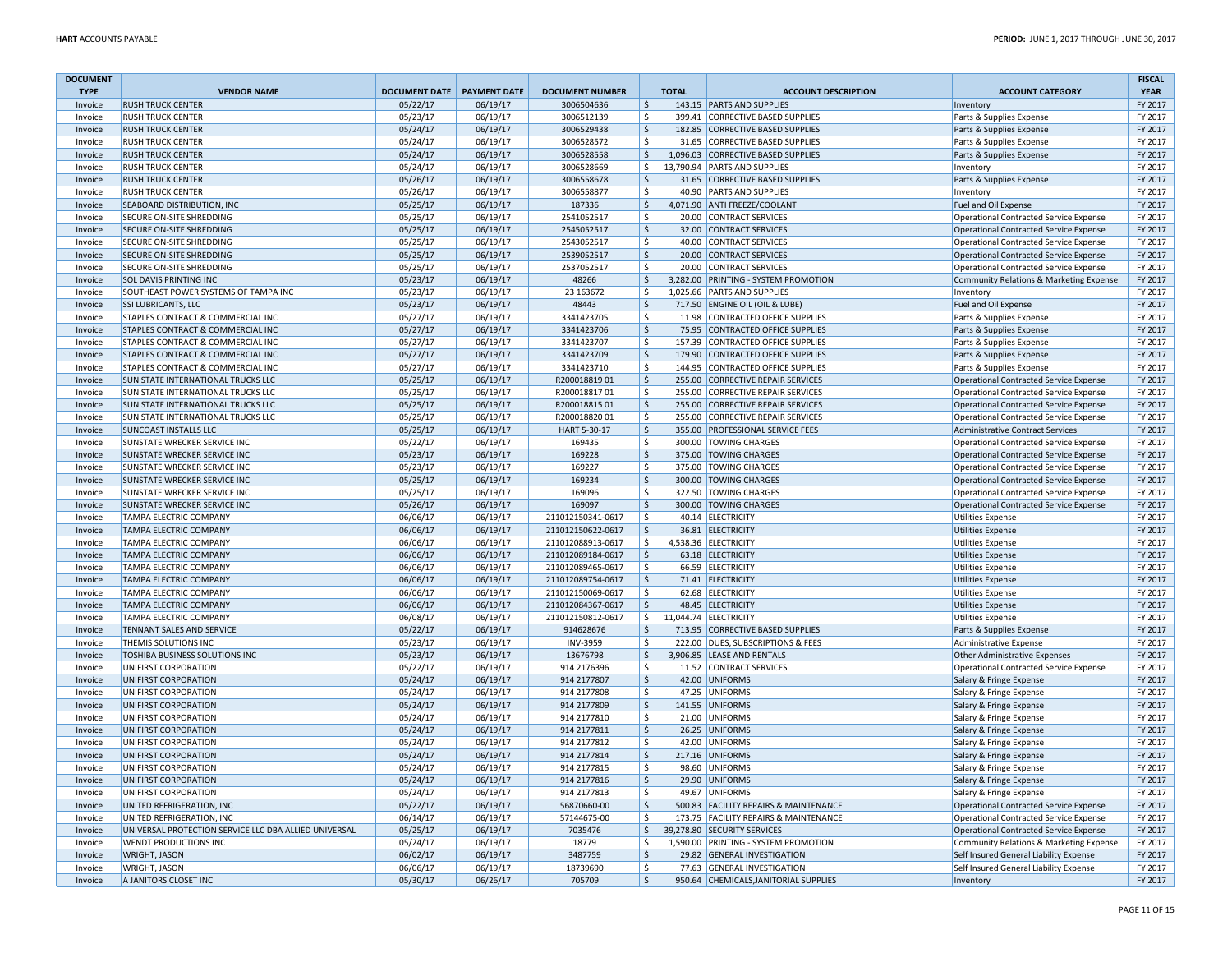| <b>DOCUMENT</b> |                                                       |                            |          |                        |                    |                                       |                                               | <b>FISCAL</b> |
|-----------------|-------------------------------------------------------|----------------------------|----------|------------------------|--------------------|---------------------------------------|-----------------------------------------------|---------------|
| <b>TYPE</b>     | <b>VENDOR NAME</b>                                    | DOCUMENT DATE PAYMENT DATE |          | <b>DOCUMENT NUMBER</b> | <b>TOTAL</b>       | <b>ACCOUNT DESCRIPTION</b>            | <b>ACCOUNT CATEGORY</b>                       | <b>YEAR</b>   |
| Invoice         | <b>RUSH TRUCK CENTER</b>                              | 05/22/17                   | 06/19/17 | 3006504636             | $\zeta$            | 143.15 PARTS AND SUPPLIES             | Inventory                                     | FY 2017       |
| Invoice         | <b>RUSH TRUCK CENTER</b>                              | 05/23/17                   | 06/19/17 | 3006512139             | -S                 | 399.41 CORRECTIVE BASED SUPPLIES      | Parts & Supplies Expense                      | FY 2017       |
| Invoice         | <b>RUSH TRUCK CENTER</b>                              | 05/24/17                   | 06/19/17 | 3006529438             | $\mathsf{\hat{S}}$ | 182.85 CORRECTIVE BASED SUPPLIES      | Parts & Supplies Expense                      | FY 2017       |
| Invoice         | <b>RUSH TRUCK CENTER</b>                              | 05/24/17                   | 06/19/17 | 3006528572             | $\mathsf{\hat{S}}$ | 31.65 CORRECTIVE BASED SUPPLIES       | Parts & Supplies Expense                      | FY 2017       |
| Invoice         | <b>RUSH TRUCK CENTER</b>                              | 05/24/17                   | 06/19/17 | 3006528558             | $\mathsf{S}$       | 1,096.03 CORRECTIVE BASED SUPPLIES    | Parts & Supplies Expense                      | FY 2017       |
| Invoice         | <b>RUSH TRUCK CENTER</b>                              | 05/24/17                   | 06/19/17 | 3006528669             | $\mathsf{\hat{S}}$ | 13,790.94 PARTS AND SUPPLIES          | Inventory                                     | FY 2017       |
| Invoice         | <b>RUSH TRUCK CENTER</b>                              | 05/26/17                   | 06/19/17 | 3006558678             | -Ś                 | 31.65 CORRECTIVE BASED SUPPLIES       | Parts & Supplies Expense                      | FY 2017       |
| Invoice         | <b>RUSH TRUCK CENTER</b>                              | 05/26/17                   | 06/19/17 | 3006558877             | Ś                  | 40.90 PARTS AND SUPPLIES              | Inventory                                     | FY 2017       |
| Invoice         | SEABOARD DISTRIBUTION, INC                            | 05/25/17                   | 06/19/17 | 187336                 | S.                 | 4,071.90 ANTI FREEZE/COOLANT          | Fuel and Oil Expense                          | FY 2017       |
| Invoice         | SECURE ON-SITE SHREDDING                              | 05/25/17                   | 06/19/17 | 2541052517             | $\zeta$            | 20.00 CONTRACT SERVICES               | Operational Contracted Service Expense        | FY 2017       |
| Invoice         | SECURE ON-SITE SHREDDING                              | 05/25/17                   | 06/19/17 | 2545052517             | $\zeta$            | 32.00 CONTRACT SERVICES               | Operational Contracted Service Expense        | FY 2017       |
|                 | SECURE ON-SITE SHREDDING                              | 05/25/17                   | 06/19/17 | 2543052517             | \$                 | 40.00 CONTRACT SERVICES               | Operational Contracted Service Expense        | FY 2017       |
| Invoice         |                                                       |                            |          |                        | $\mathsf{\hat{S}}$ |                                       |                                               | FY 2017       |
| Invoice         | SECURE ON-SITE SHREDDING                              | 05/25/17                   | 06/19/17 | 2539052517             |                    | 20.00 CONTRACT SERVICES               | Operational Contracted Service Expense        | FY 2017       |
| Invoice         | SECURE ON-SITE SHREDDING                              | 05/25/17                   | 06/19/17 | 2537052517             | $\mathsf{\hat{S}}$ | 20.00 CONTRACT SERVICES               | Operational Contracted Service Expense        |               |
| Invoice         | SOL DAVIS PRINTING INC                                | 05/23/17                   | 06/19/17 | 48266                  | S.                 | 3,282.00 PRINTING - SYSTEM PROMOTION  | Community Relations & Marketing Expense       | FY 2017       |
| Invoice         | SOUTHEAST POWER SYSTEMS OF TAMPA INC                  | 05/23/17                   | 06/19/17 | 23 163672              | \$                 | 1,025.66 PARTS AND SUPPLIES           | Inventory                                     | FY 2017       |
| Invoice         | <b>SSI LUBRICANTS, LLC</b>                            | 05/23/17                   | 06/19/17 | 48443                  | $\zeta$            | 717.50 ENGINE OIL (OIL & LUBE)        | <b>Fuel and Oil Expense</b>                   | FY 2017       |
| Invoice         | STAPLES CONTRACT & COMMERCIAL INC                     | 05/27/17                   | 06/19/17 | 3341423705             | $\zeta$            | 11.98 CONTRACTED OFFICE SUPPLIES      | Parts & Supplies Expense                      | FY 2017       |
| Invoice         | STAPLES CONTRACT & COMMERCIAL INC                     | 05/27/17                   | 06/19/17 | 3341423706             | $\mathsf{\hat{S}}$ | 75.95 CONTRACTED OFFICE SUPPLIES      | Parts & Supplies Expense                      | FY 2017       |
| Invoice         | STAPLES CONTRACT & COMMERCIAL INC                     | 05/27/17                   | 06/19/17 | 3341423707             | $\mathsf{\hat{S}}$ | 157.39 CONTRACTED OFFICE SUPPLIES     | Parts & Supplies Expense                      | FY 2017       |
| Invoice         | STAPLES CONTRACT & COMMERCIAL INC                     | 05/27/17                   | 06/19/17 | 3341423709             | $\mathsf{\hat{S}}$ | 179.90 CONTRACTED OFFICE SUPPLIES     | Parts & Supplies Expense                      | FY 2017       |
| Invoice         | STAPLES CONTRACT & COMMERCIAL INC                     | 05/27/17                   | 06/19/17 | 3341423710             | \$                 | 144.95 CONTRACTED OFFICE SUPPLIES     | Parts & Supplies Expense                      | FY 2017       |
| Invoice         | SUN STATE INTERNATIONAL TRUCKS LLC                    | 05/25/17                   | 06/19/17 | R20001881901           | $\mathsf{\hat{S}}$ | 255.00 CORRECTIVE REPAIR SERVICES     | Operational Contracted Service Expense        | FY 2017       |
| Invoice         | <b>SUN STATE INTERNATIONAL TRUCKS LLC</b>             | 05/25/17                   | 06/19/17 | R20001881701           | \$                 | 255.00 CORRECTIVE REPAIR SERVICES     | Operational Contracted Service Expense        | FY 2017       |
| Invoice         | <b>SUN STATE INTERNATIONAL TRUCKS LLC</b>             | 05/25/17                   | 06/19/17 | R20001881501           | $\zeta$            | 255.00 CORRECTIVE REPAIR SERVICES     | Operational Contracted Service Expense        | FY 2017       |
| Invoice         | SUN STATE INTERNATIONAL TRUCKS LLC                    | 05/25/17                   | 06/19/17 | R20001882001           | $\mathsf{\hat{S}}$ | 255.00 CORRECTIVE REPAIR SERVICES     | Operational Contracted Service Expense        | FY 2017       |
| Invoice         | <b>SUNCOAST INSTALLS LLC</b>                          | 05/25/17                   | 06/19/17 | HART 5-30-17           | $\mathsf{\hat{S}}$ | 355.00 PROFESSIONAL SERVICE FEES      | <b>Administrative Contract Services</b>       | FY 2017       |
| Invoice         | SUNSTATE WRECKER SERVICE INC                          | 05/22/17                   | 06/19/17 | 169435                 | \$                 | 300.00 TOWING CHARGES                 | Operational Contracted Service Expense        | FY 2017       |
| Invoice         | <b>SUNSTATE WRECKER SERVICE INC</b>                   | 05/23/17                   | 06/19/17 | 169228                 | $\mathsf{\hat{S}}$ | 375.00 TOWING CHARGES                 | Operational Contracted Service Expense        | FY 2017       |
| Invoice         | SUNSTATE WRECKER SERVICE INC                          | 05/23/17                   | 06/19/17 | 169227                 | $\mathsf{S}$       | 375.00 TOWING CHARGES                 | <b>Operational Contracted Service Expense</b> | FY 2017       |
| Invoice         | <b>SUNSTATE WRECKER SERVICE INC</b>                   | 05/25/17                   | 06/19/17 | 169234                 | $\zeta$            | 300.00 TOWING CHARGES                 | Operational Contracted Service Expense        | FY 2017       |
| Invoice         | SUNSTATE WRECKER SERVICE INC                          | 05/25/17                   | 06/19/17 | 169096                 | \$                 | 322.50 TOWING CHARGES                 | Operational Contracted Service Expense        | FY 2017       |
| Invoice         | <b>SUNSTATE WRECKER SERVICE INC</b>                   | 05/26/17                   | 06/19/17 | 169097                 | $\zeta$            | 300.00 TOWING CHARGES                 | Operational Contracted Service Expense        | FY 2017       |
| Invoice         | <b>TAMPA ELECTRIC COMPANY</b>                         | 06/06/17                   | 06/19/17 | 211012150341-0617      | \$                 | 40.14 ELECTRICITY                     | <b>Utilities Expense</b>                      | FY 2017       |
| Invoice         | <b>TAMPA ELECTRIC COMPANY</b>                         | 06/06/17                   | 06/19/17 | 211012150622-0617      | $\zeta$            | 36.81 ELECTRICITY                     | Utilities Expense                             | FY 2017       |
| Invoice         | <b>TAMPA ELECTRIC COMPANY</b>                         | 06/06/17                   | 06/19/17 | 211012088913-0617      | \$                 | 4,538.36 ELECTRICITY                  | <b>Utilities Expense</b>                      | FY 2017       |
| Invoice         | <b>TAMPA ELECTRIC COMPANY</b>                         | 06/06/17                   | 06/19/17 | 211012089184-0617      | $\zeta$            | 63.18 ELECTRICITY                     | Utilities Expense                             | FY 2017       |
| Invoice         | <b>TAMPA ELECTRIC COMPANY</b>                         | 06/06/17                   | 06/19/17 | 211012089465-0617      | \$                 | 66.59 ELECTRICITY                     | <b>Utilities Expense</b>                      | FY 2017       |
|                 | <b>TAMPA ELECTRIC COMPANY</b>                         |                            |          |                        | $\mathsf{S}$       |                                       |                                               | FY 2017       |
| Invoice         |                                                       | 06/06/17                   | 06/19/17 | 211012089754-0617      |                    | 71.41 ELECTRICITY                     | Utilities Expense                             |               |
| Invoice         | TAMPA ELECTRIC COMPANY                                | 06/06/17                   | 06/19/17 | 211012150069-0617      | $\mathsf{\hat{S}}$ | 62.68 ELECTRICITY                     | <b>Utilities Expense</b>                      | FY 2017       |
| Invoice         | <b>TAMPA ELECTRIC COMPANY</b>                         | 06/06/17                   | 06/19/17 | 211012084367-0617      | $\zeta$            | 48.45 ELECTRICITY                     | Utilities Expense                             | FY 2017       |
| Invoice         | <b>TAMPA ELECTRIC COMPANY</b>                         | 06/08/17                   | 06/19/17 | 211012150812-0617      | \$                 | 11.044.74 ELECTRICITY                 | Utilities Expense                             | FY 2017       |
| Invoice         | <b>TENNANT SALES AND SERVICE</b>                      | 05/22/17                   | 06/19/17 | 914628676              | $\mathsf{\hat{S}}$ | 713.95 CORRECTIVE BASED SUPPLIES      | Parts & Supplies Expense                      | FY 2017       |
| Invoice         | THEMIS SOLUTIONS INC                                  | 05/23/17                   | 06/19/17 | INV-3959               | \$                 | 222.00 DUES, SUBSCRIPTIONS & FEES     | Administrative Expense                        | FY 2017       |
| Invoice         | TOSHIBA BUSINESS SOLUTIONS INC                        | 05/23/17                   | 06/19/17 | 13676798               | $\zeta$            | 3,906.85 LEASE AND RENTALS            | Other Administrative Expenses                 | FY 2017       |
| Invoice         | UNIFIRST CORPORATION                                  | 05/22/17                   | 06/19/17 | 914 2176396            | $\mathsf{\hat{S}}$ | 11.52 CONTRACT SERVICES               | <b>Operational Contracted Service Expense</b> | FY 2017       |
| Invoice         | UNIFIRST CORPORATION                                  | 05/24/17                   | 06/19/17 | 914 2177807            | $\mathsf{\hat{S}}$ | 42.00 UNIFORMS                        | Salary & Fringe Expense                       | FY 2017       |
| Invoice         | UNIFIRST CORPORATION                                  | 05/24/17                   | 06/19/17 | 914 2177808            | \$                 | 47.25 UNIFORMS                        | Salary & Fringe Expense                       | FY 2017       |
| Invoice         | UNIFIRST CORPORATION                                  | 05/24/17                   | 06/19/17 | 914 2177809            | $\mathsf{\hat{S}}$ | 141.55 UNIFORMS                       | Salary & Fringe Expense                       | FY 2017       |
| Invoice         | UNIFIRST CORPORATION                                  | 05/24/17                   | 06/19/17 | 914 2177810            | \$                 | 21.00 UNIFORMS                        | Salary & Fringe Expense                       | FY 2017       |
| Invoice         | UNIFIRST CORPORATION                                  | 05/24/17                   | 06/19/17 | 914 2177811            | $\zeta$            | 26.25 UNIFORMS                        | Salary & Fringe Expense                       | FY 2017       |
| Invoice         | UNIFIRST CORPORATION                                  | 05/24/17                   | 06/19/17 | 914 2177812            | $\mathsf{\hat{S}}$ | 42.00 UNIFORMS                        | Salary & Fringe Expense                       | FY 2017       |
| Invoice         | UNIFIRST CORPORATION                                  | 05/24/17                   | 06/19/17 | 914 2177814            | $\mathsf{\hat{S}}$ | 217.16 UNIFORMS                       | Salary & Fringe Expense                       | FY 2017       |
| Invoice         | UNIFIRST CORPORATION                                  | 05/24/17                   | 06/19/17 | 914 2177815            | \$                 | 98.60 UNIFORMS                        | Salary & Fringe Expense                       | FY 2017       |
| Invoice         | UNIFIRST CORPORATION                                  | 05/24/17                   | 06/19/17 | 914 2177816            | $\mathsf{\hat{S}}$ | 29.90 UNIFORMS                        | Salary & Fringe Expense                       | FY 2017       |
| Invoice         | UNIFIRST CORPORATION                                  | 05/24/17                   | 06/19/17 | 914 2177813            | $\zeta$            | 49.67 UNIFORMS                        | Salary & Fringe Expense                       | FY 2017       |
| Invoice         | UNITED REFRIGERATION, INC                             | 05/22/17                   | 06/19/17 | 56870660-00            | $\zeta$            | 500.83 FACILITY REPAIRS & MAINTENANCE | Operational Contracted Service Expense        | FY 2017       |
| Invoice         | UNITED REFRIGERATION, INC                             | 06/14/17                   | 06/19/17 | 57144675-00            | \$                 | 173.75 FACILITY REPAIRS & MAINTENANCE | Operational Contracted Service Expense        | FY 2017       |
| Invoice         | UNIVERSAL PROTECTION SERVICE LLC DBA ALLIED UNIVERSAL | 05/25/17                   | 06/19/17 | 7035476                | $\zeta$            | 39,278.80 SECURITY SERVICES           | Operational Contracted Service Expense        | FY 2017       |
| Invoice         | <b>WENDT PRODUCTIONS INC</b>                          | 05/24/17                   | 06/19/17 | 18779                  | $\mathsf{\hat{S}}$ | 1,590.00 PRINTING - SYSTEM PROMOTION  | Community Relations & Marketing Expense       | FY 2017       |
| Invoice         | <b>WRIGHT, JASON</b>                                  | 06/02/17                   | 06/19/17 | 3487759                | S.                 | 29.82 GENERAL INVESTIGATION           |                                               | FY 2017       |
|                 |                                                       |                            |          |                        | $\zeta$            |                                       | Self Insured General Liability Expense        |               |
| Invoice         | <b>WRIGHT, JASON</b>                                  | 06/06/17                   | 06/19/17 | 18739690               |                    | 77.63 GENERAL INVESTIGATION           | Self Insured General Liability Expense        | FY 2017       |
| Invoice         | A JANITORS CLOSET INC                                 | 05/30/17                   | 06/26/17 | 705709                 | $\zeta$            | 950.64 CHEMICALS, JANITORIAL SUPPLIES | Inventory                                     | FY 2017       |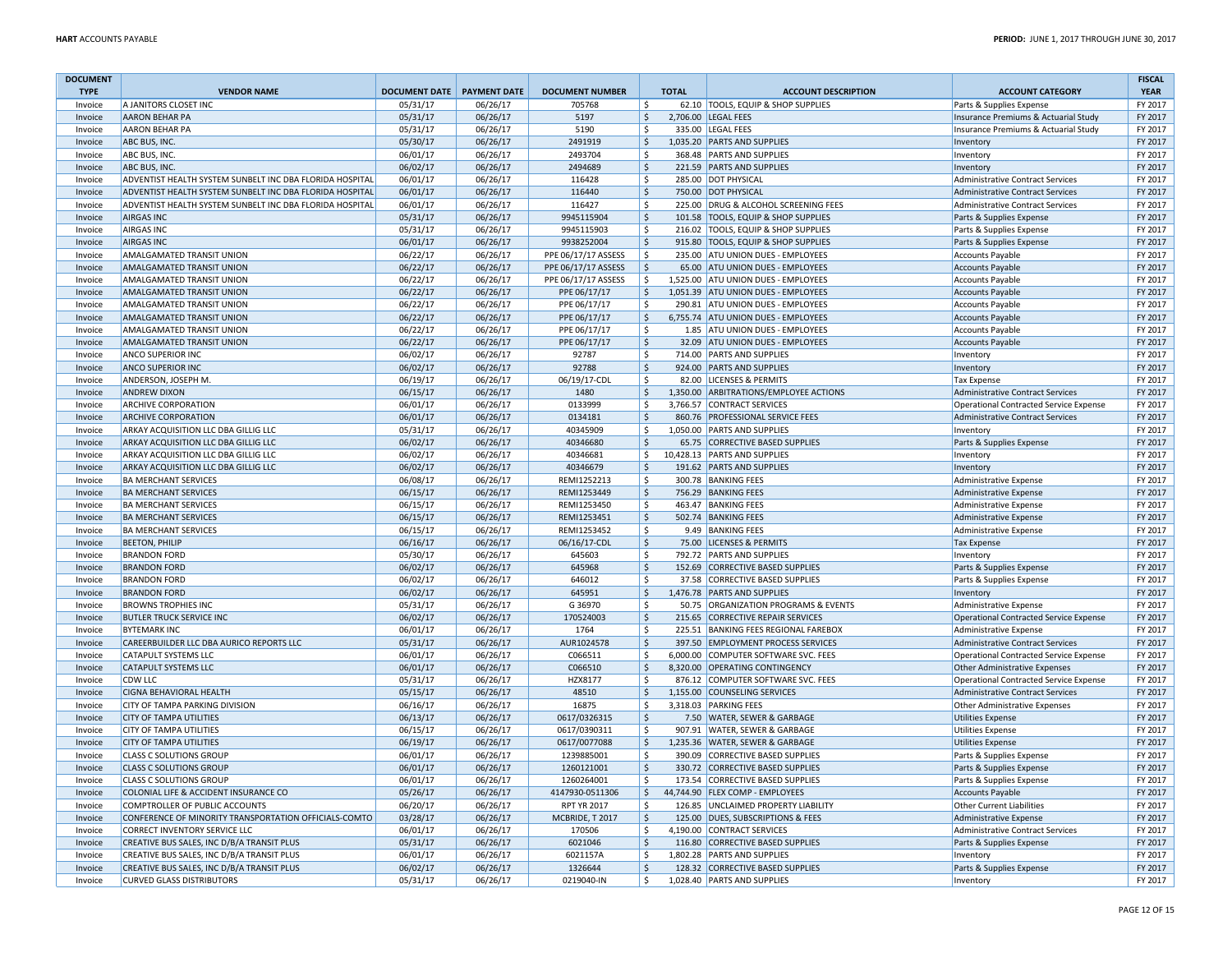| <b>DOCUMENT</b> |                                                          |                                   |          |                        |                     |                                        |                                               | <b>FISCAL</b> |
|-----------------|----------------------------------------------------------|-----------------------------------|----------|------------------------|---------------------|----------------------------------------|-----------------------------------------------|---------------|
| <b>TYPE</b>     | <b>VENDOR NAME</b>                                       | <b>DOCUMENT DATE PAYMENT DATE</b> |          | <b>DOCUMENT NUMBER</b> | <b>TOTAL</b>        | <b>ACCOUNT DESCRIPTION</b>             | <b>ACCOUNT CATEGORY</b>                       | <b>YEAR</b>   |
| Invoice         | A JANITORS CLOSET INC                                    | 05/31/17                          | 06/26/17 | 705768                 | <sup>\$</sup>       | 62.10 TOOLS, EQUIP & SHOP SUPPLIES     | Parts & Supplies Expense                      | FY 2017       |
| Invoice         | <b>AARON BEHAR PA</b>                                    | 05/31/17                          | 06/26/17 | 5197                   | \$                  | 2,706.00 LEGAL FEES                    | Insurance Premiums & Actuarial Study          | FY 2017       |
| Invoice         | <b>AARON BEHAR PA</b>                                    | 05/31/17                          | 06/26/17 | 5190                   | $\mathsf{S}$        | 335.00 LEGAL FEES                      | Insurance Premiums & Actuarial Study          | FY 2017       |
| Invoice         | ABC BUS, INC.                                            | 05/30/17                          | 06/26/17 | 2491919                | $\zeta$             | 1,035.20 PARTS AND SUPPLIES            | Inventory                                     | FY 2017       |
| Invoice         | ABC BUS, INC                                             | 06/01/17                          | 06/26/17 | 2493704                | S.                  | 368.48 PARTS AND SUPPLIES              | Inventory                                     | FY 2017       |
| Invoice         | ABC BUS, INC                                             | 06/02/17                          | 06/26/17 | 2494689                | $\zeta$             | 221.59 PARTS AND SUPPLIES              | Inventory                                     | FY 2017       |
| Invoice         | ADVENTIST HEALTH SYSTEM SUNBELT INC DBA FLORIDA HOSPITAL | 06/01/17                          | 06/26/17 | 116428                 | \$                  | 285.00 DOT PHYSICAL                    | <b>Administrative Contract Services</b>       | FY 2017       |
| Invoice         | ADVENTIST HEALTH SYSTEM SUNBELT INC DBA FLORIDA HOSPITAL | 06/01/17                          | 06/26/17 | 116440                 | $\ddot{\varsigma}$  | 750.00 DOT PHYSICAL                    | Administrative Contract Services              | FY 2017       |
| Invoice         | ADVENTIST HEALTH SYSTEM SUNBELT INC DBA FLORIDA HOSPITAL | 06/01/17                          | 06/26/17 | 116427                 | \$                  | 225.00 DRUG & ALCOHOL SCREENING FEES   | <b>Administrative Contract Services</b>       | FY 2017       |
| Invoice         | <b>AIRGAS INC</b>                                        | 05/31/17                          | 06/26/17 | 9945115904             | $\mathsf{S}$        | 101.58 TOOLS, EQUIP & SHOP SUPPLIES    | Parts & Supplies Expense                      | FY 2017       |
| Invoice         | <b>AIRGAS INC</b>                                        | 05/31/17                          | 06/26/17 | 9945115903             | \$                  | 216.02 TOOLS, EQUIP & SHOP SUPPLIES    | Parts & Supplies Expense                      | FY 2017       |
| Invoice         | <b>AIRGAS INC</b>                                        | 06/01/17                          | 06/26/17 | 9938252004             | $\zeta$             | 915.80 TOOLS, EQUIP & SHOP SUPPLIES    | Parts & Supplies Expense                      | FY 2017       |
| Invoice         | AMALGAMATED TRANSIT UNION                                | 06/22/17                          | 06/26/17 | PPE 06/17/17 ASSESS    | \$                  | 235.00 ATU UNION DUES - EMPLOYEES      | <b>Accounts Payable</b>                       | FY 2017       |
| Invoice         | <b>AMALGAMATED TRANSIT UNION</b>                         | 06/22/17                          | 06/26/17 | PPE 06/17/17 ASSESS    | $\zeta$             | 65.00 ATU UNION DUES - EMPLOYEES       | <b>Accounts Payable</b>                       | FY 2017       |
| Invoice         | AMALGAMATED TRANSIT UNION                                | 06/22/17                          | 06/26/17 | PPE 06/17/17 ASSESS    | $\mathsf{S}$        | 1,525.00 ATU UNION DUES - EMPLOYEES    | <b>Accounts Payable</b>                       | FY 2017       |
| Invoice         | AMALGAMATED TRANSIT UNION                                | 06/22/17                          | 06/26/17 | PPE 06/17/17           | $\ddot{\mathsf{S}}$ | 1,051.39 ATU UNION DUES - EMPLOYEES    | <b>Accounts Payable</b>                       | FY 2017       |
| Invoice         | AMALGAMATED TRANSIT UNION                                | 06/22/17                          | 06/26/17 | PPE 06/17/17           | $\mathsf{S}$        | 290.81 ATU UNION DUES - EMPLOYEES      | <b>Accounts Payable</b>                       | FY 2017       |
| Invoice         | AMALGAMATED TRANSIT UNION                                | 06/22/17                          | 06/26/17 | PPE 06/17/17           | $\ddot{\mathsf{S}}$ | 6,755.74 ATU UNION DUES - EMPLOYEES    | Accounts Payable                              | FY 2017       |
| Invoice         | AMALGAMATED TRANSIT UNION                                | 06/22/17                          | 06/26/17 | PPE 06/17/17           | <sup>S</sup>        | 1.85 ATU UNION DUES - EMPLOYEES        | <b>Accounts Payable</b>                       | FY 2017       |
| Invoice         | AMALGAMATED TRANSIT UNION                                | 06/22/17                          | 06/26/17 | PPE 06/17/17           | \$                  | 32.09 ATU UNION DUES - EMPLOYEES       | <b>Accounts Payable</b>                       | FY 2017       |
| Invoice         | <b>ANCO SUPERIOR INC</b>                                 | 06/02/17                          | 06/26/17 | 92787                  | $\zeta$             | 714.00 PARTS AND SUPPLIES              | Inventory                                     | FY 2017       |
| Invoice         | <b>ANCO SUPERIOR INC</b>                                 | 06/02/17                          | 06/26/17 | 92788                  | $\zeta$             | 924.00 PARTS AND SUPPLIES              | Inventory                                     | FY 2017       |
| Invoice         | ANDERSON, JOSEPH M                                       | 06/19/17                          | 06/26/17 | 06/19/17-CDL           | $\mathsf{\hat{S}}$  | 82.00 LICENSES & PERMITS               | <b>Tax Expense</b>                            | FY 2017       |
| Invoice         | <b>ANDREW DIXON</b>                                      | 06/15/17                          | 06/26/17 | 1480                   | $\ddot{\varsigma}$  | 1,350.00 ARBITRATIONS/EMPLOYEE ACTIONS | Administrative Contract Services              | FY 2017       |
| Invoice         | <b>ARCHIVE CORPORATION</b>                               | 06/01/17                          | 06/26/17 | 0133999                | S.                  | 3,766.57 CONTRACT SERVICES             | Operational Contracted Service Expense        | FY 2017       |
| Invoice         | <b>ARCHIVE CORPORATION</b>                               | 06/01/17                          | 06/26/17 | 0134181                | <sub>S</sub>        | 860.76 PROFESSIONAL SERVICE FEES       | Administrative Contract Services              | FY 2017       |
| Invoice         | ARKAY ACQUISITION LLC DBA GILLIG LLC                     | 05/31/17                          | 06/26/17 | 40345909               | Ŝ.                  | 1,050.00 PARTS AND SUPPLIES            | Inventory                                     | FY 2017       |
| Invoice         | ARKAY ACQUISITION LLC DBA GILLIG LLC                     | 06/02/17                          | 06/26/17 | 40346680               | $\zeta$             | 65.75 CORRECTIVE BASED SUPPLIES        | Parts & Supplies Expense                      | FY 2017       |
| Invoice         | ARKAY ACQUISITION LLC DBA GILLIG LLC                     | 06/02/17                          | 06/26/17 | 40346681               | \$                  | 10,428.13 PARTS AND SUPPLIES           | Inventory                                     | FY 2017       |
| Invoice         | ARKAY ACQUISITION LLC DBA GILLIG LLC                     | 06/02/17                          | 06/26/17 | 40346679               | $\mathsf{\hat{S}}$  | 191.62 PARTS AND SUPPLIES              | Inventory                                     | FY 2017       |
| Invoice         | <b>BA MERCHANT SERVICES</b>                              | 06/08/17                          | 06/26/17 | REMI1252213            | $\ddot{\mathsf{S}}$ | 300.78 BANKING FEES                    | Administrative Expense                        | FY 2017       |
| Invoice         | <b>BA MERCHANT SERVICES</b>                              | 06/15/17                          | 06/26/17 | REMI1253449            | $\zeta$             | 756.29 BANKING FEES                    | Administrative Expense                        | FY 2017       |
| Invoice         | <b>BA MERCHANT SERVICES</b>                              | 06/15/17                          | 06/26/17 | REMI1253450            | \$                  | 463.47 BANKING FEES                    | <b>Administrative Expense</b>                 | FY 2017       |
| Invoice         | <b>BA MERCHANT SERVICES</b>                              | 06/15/17                          | 06/26/17 | REMI1253451            | $\ddot{\varsigma}$  | 502.74 BANKING FEES                    | <b>Administrative Expense</b>                 | FY 2017       |
| Invoice         | <b>BA MERCHANT SERVICES</b>                              | 06/15/17                          | 06/26/17 | REMI1253452            | \$                  | 9.49 BANKING FEES                      | Administrative Expense                        | FY 2017       |
| Invoice         | <b>BEETON, PHILIP</b>                                    | 06/16/17                          | 06/26/17 | 06/16/17-CDL           | $\ddot{\mathsf{S}}$ | 75.00 LICENSES & PERMITS               | <b>Tax Expense</b>                            | FY 2017       |
| Invoice         | <b>BRANDON FORD</b>                                      | 05/30/17                          | 06/26/17 | 645603                 | $\mathsf{\hat{S}}$  | 792.72 PARTS AND SUPPLIES              | Inventory                                     | FY 2017       |
| Invoice         | <b>BRANDON FORD</b>                                      | 06/02/17                          | 06/26/17 | 645968                 | $\zeta$             | 152.69 CORRECTIVE BASED SUPPLIES       | Parts & Supplies Expense                      | FY 2017       |
| Invoice         | <b>BRANDON FORD</b>                                      | 06/02/17                          | 06/26/17 | 646012                 | $\mathsf{S}$        | 37.58 CORRECTIVE BASED SUPPLIES        | Parts & Supplies Expense                      | FY 2017       |
| Invoice         | <b>BRANDON FORD</b>                                      | 06/02/17                          | 06/26/17 | 645951                 | $\mathsf{S}$        | 1,476.78 PARTS AND SUPPLIES            | Inventory                                     | FY 2017       |
| Invoice         | <b>BROWNS TROPHIES INC</b>                               | 05/31/17                          | 06/26/17 | G 36970                | $\ddot{\mathsf{S}}$ | 50.75 ORGANIZATION PROGRAMS & EVENTS   | Administrative Expense                        | FY 2017       |
| Invoice         | <b>BUTLER TRUCK SERVICE INC</b>                          | 06/02/17                          | 06/26/17 | 170524003              | $\zeta$             | 215.65 CORRECTIVE REPAIR SERVICES      | Operational Contracted Service Expense        | FY 2017       |
| Invoice         | <b>BYTEMARK INC</b>                                      | 06/01/17                          | 06/26/17 | 1764                   | $\mathsf{S}$        | 225.51 BANKING FEES REGIONAL FAREBOX   | <b>Administrative Expense</b>                 | FY 2017       |
| Invoice         | CAREERBUILDER LLC DBA AURICO REPORTS LLC                 | 05/31/17                          | 06/26/17 | AUR1024578             | $\ddot{\mathsf{S}}$ | 397.50 EMPLOYMENT PROCESS SERVICES     | Administrative Contract Services              | FY 2017       |
| Invoice         | <b>CATAPULT SYSTEMS LLC</b>                              | 06/01/17                          | 06/26/17 | C066511                | -\$                 | 6,000.00 COMPUTER SOFTWARE SVC. FEES   | <b>Operational Contracted Service Expense</b> | FY 2017       |
| Invoice         | <b>CATAPULT SYSTEMS LLC</b>                              | 06/01/17                          | 06/26/17 | C066510                | <sub>S</sub>        | 8,320.00 OPERATING CONTINGENCY         | Other Administrative Expenses                 | FY 2017       |
| Invoice         | <b>CDW LLC</b>                                           | 05/31/17                          | 06/26/17 | HZX8177                | <sup>\$</sup>       | 876.12 COMPUTER SOFTWARE SVC. FEES     | Operational Contracted Service Expense        | FY 2017       |
| Invoice         | <b>CIGNA BEHAVIORAL HEALTH</b>                           | 05/15/17                          | 06/26/17 | 48510                  | $\zeta$             | 1,155.00 COUNSELING SERVICES           | <b>Administrative Contract Services</b>       | FY 2017       |
| Invoice         | CITY OF TAMPA PARKING DIVISION                           | 06/16/17                          | 06/26/17 | 16875                  | $\ddot{\mathsf{S}}$ | 3,318.03 PARKING FEES                  | <b>Other Administrative Expenses</b>          | FY 2017       |
| Invoice         | <b>CITY OF TAMPA UTILITIES</b>                           | 06/13/17                          | 06/26/17 | 0617/0326315           | $\ddot{\mathsf{S}}$ | 7.50 WATER, SEWER & GARBAGE            | <b>Utilities Expense</b>                      | FY 2017       |
| Invoice         | <b>CITY OF TAMPA UTILITIES</b>                           | 06/15/17                          | 06/26/17 | 0617/0390311           | $\zeta$             | 907.91 WATER, SEWER & GARBAGE          | <b>Utilities Expense</b>                      | FY 2017       |
| Invoice         | <b>CITY OF TAMPA UTILITIES</b>                           | 06/19/17                          | 06/26/17 | 0617/0077088           | $\zeta$             | 1,235.36 WATER, SEWER & GARBAGE        | <b>Utilities Expense</b>                      | FY 2017       |
| Invoice         | <b>CLASS C SOLUTIONS GROUP</b>                           | 06/01/17                          | 06/26/17 | 1239885001             | \$                  | 390.09 CORRECTIVE BASED SUPPLIES       | Parts & Supplies Expense                      | FY 2017       |
| Invoice         | <b>CLASS C SOLUTIONS GROUP</b>                           | 06/01/17                          | 06/26/17 | 1260121001             | $\ddot{\mathsf{S}}$ | 330.72 CORRECTIVE BASED SUPPLIES       | Parts & Supplies Expense                      | FY 2017       |
| Invoice         | <b>CLASS C SOLUTIONS GROUP</b>                           | 06/01/17                          | 06/26/17 | 1260264001             | $\mathsf{S}$        | 173.54 CORRECTIVE BASED SUPPLIES       | Parts & Supplies Expense                      | FY 2017       |
| Invoice         | COLONIAL LIFE & ACCIDENT INSURANCE CO                    | 05/26/17                          | 06/26/17 | 4147930-0511306        | $\zeta$             | 44,744.90 FLEX COMP - EMPLOYEES        | <b>Accounts Payable</b>                       | FY 2017       |
| Invoice         | COMPTROLLER OF PUBLIC ACCOUNTS                           | 06/20/17                          | 06/26/17 | <b>RPT YR 2017</b>     | $\zeta$             | 126.85 UNCLAIMED PROPERTY LIABILITY    | <b>Other Current Liabilities</b>              | FY 2017       |
| Invoice         | CONFERENCE OF MINORITY TRANSPORTATION OFFICIALS-COMTO    | 03/28/17                          | 06/26/17 | MCBRIDE, T2017         | $\mathsf{S}$        | 125.00 DUES, SUBSCRIPTIONS & FEES      | Administrative Expense                        | FY 2017       |
| Invoice         | <b>CORRECT INVENTORY SERVICE LLC</b>                     | 06/01/17                          | 06/26/17 | 170506                 | $\zeta$             | 4,190.00 CONTRACT SERVICES             | Administrative Contract Services              | FY 2017       |
| Invoice         | CREATIVE BUS SALES, INC D/B/A TRANSIT PLUS               | 05/31/17                          | 06/26/17 | 6021046                | $\zeta$             | 116.80 CORRECTIVE BASED SUPPLIES       | Parts & Supplies Expense                      | FY 2017       |
| Invoice         | CREATIVE BUS SALES, INC D/B/A TRANSIT PLUS               | 06/01/17                          | 06/26/17 | 6021157A               | -\$                 | 1,802.28 PARTS AND SUPPLIES            | Inventory                                     | FY 2017       |
| Invoice         | CREATIVE BUS SALES, INC D/B/A TRANSIT PLUS               | 06/02/17                          | 06/26/17 | 1326644                | $\ddot{\mathsf{S}}$ | 128.32 CORRECTIVE BASED SUPPLIES       | Parts & Supplies Expense                      | FY 2017       |
| Invoice         | <b>CURVED GLASS DISTRIBUTORS</b>                         | 05/31/17                          | 06/26/17 | 0219040-IN             | $\mathsf{S}$        | 1,028.40 PARTS AND SUPPLIES            | Inventory                                     | FY 2017       |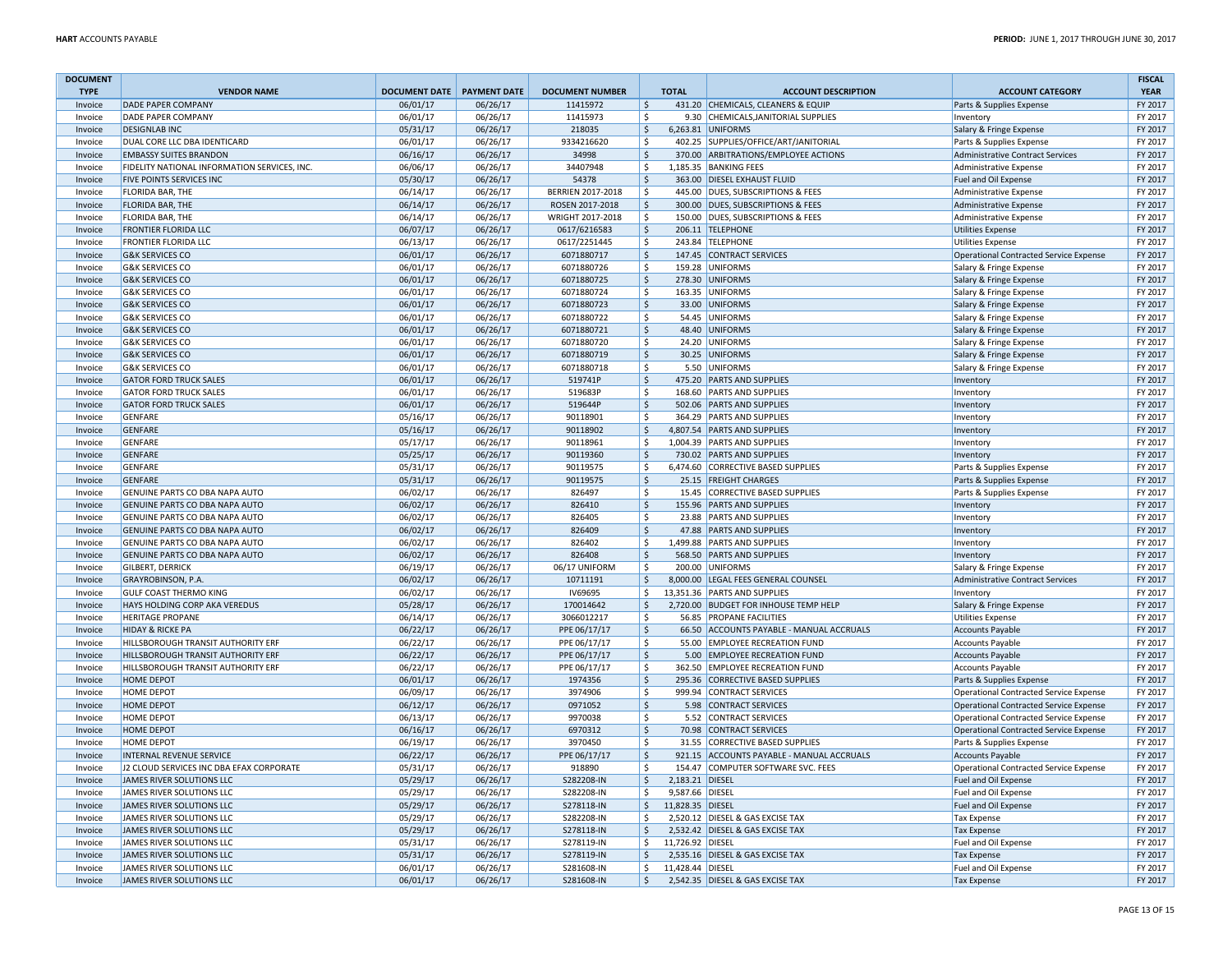| <b>DOCUMENT</b>    |                                              |                              |                      |                        |                                          |                  |                                           |                                               | <b>FISCAL</b>      |
|--------------------|----------------------------------------------|------------------------------|----------------------|------------------------|------------------------------------------|------------------|-------------------------------------------|-----------------------------------------------|--------------------|
| <b>TYPE</b>        | <b>VENDOR NAME</b>                           | DOCUMENT DATE   PAYMENT DATE |                      | <b>DOCUMENT NUMBER</b> |                                          | <b>TOTAL</b>     | <b>ACCOUNT DESCRIPTION</b>                | <b>ACCOUNT CATEGORY</b>                       | <b>YEAR</b>        |
| Invoice            | <b>DADE PAPER COMPANY</b>                    | 06/01/17                     | 06/26/17             | 11415972               | Ŝ.                                       |                  | 431.20 CHEMICALS, CLEANERS & EQUIP        | Parts & Supplies Expense                      | FY 2017            |
| Invoice            | <b>DADE PAPER COMPANY</b>                    | 06/01/17                     | 06/26/17             | 11415973               | \$                                       |                  | 9.30 CHEMICALS, JANITORIAL SUPPLIES       | Inventory                                     | FY 2017            |
| Invoice            | <b>DESIGNLAB INC</b>                         | 05/31/17                     | 06/26/17             | 218035                 | $\zeta$                                  |                  | 6,263.81 UNIFORMS                         | Salary & Fringe Expense                       | FY 2017            |
| Invoice            | DUAL CORE LLC DBA IDENTICARD                 | 06/01/17                     | 06/26/17             | 9334216620             | \$                                       |                  | 402.25 SUPPLIES/OFFICE/ART/JANITORIAL     | Parts & Supplies Expense                      | FY 2017            |
| Invoice            | <b>EMBASSY SUITES BRANDON</b>                | 06/16/17                     | 06/26/17             | 34998                  | $\mathsf{\hat{S}}$                       |                  | 370.00 ARBITRATIONS/EMPLOYEE ACTIONS      | Administrative Contract Services              | FY 2017            |
| Invoice            | FIDELITY NATIONAL INFORMATION SERVICES, INC. | 06/06/17                     | 06/26/17             | 34407948               | \$                                       |                  | 1,185.35 BANKING FEES                     | Administrative Expense                        | FY 2017            |
| Invoice            | <b>FIVE POINTS SERVICES INC</b>              | 05/30/17                     | 06/26/17             | 54378                  | S.                                       |                  | 363.00 DIESEL EXHAUST FLUID               | Fuel and Oil Expense                          | FY 2017            |
| Invoice            | <b>FLORIDA BAR, THE</b>                      | 06/14/17                     | 06/26/17             | BERRIEN 2017-2018      | \$                                       |                  | 445.00 DUES, SUBSCRIPTIONS & FEES         | Administrative Expense                        | FY 2017            |
| Invoice            | <b>FLORIDA BAR, THE</b>                      | 06/14/17                     | 06/26/17             | ROSEN 2017-2018        | $\zeta$                                  |                  | 300.00 DUES, SUBSCRIPTIONS & FEES         | <b>Administrative Expense</b>                 | FY 2017            |
| Invoice            | FLORIDA BAR, THE                             | 06/14/17                     | 06/26/17             | WRIGHT 2017-2018       | $\zeta$                                  |                  | 150.00 DUES, SUBSCRIPTIONS & FEES         | <b>Administrative Expense</b>                 | FY 2017            |
| Invoice            | <b>FRONTIER FLORIDA LLC</b>                  | 06/07/17                     | 06/26/17             | 0617/6216583           | \$                                       |                  | 206.11 TELEPHONE                          | <b>Utilities Expense</b>                      | FY 2017            |
| Invoice            | <b>FRONTIER FLORIDA LLC</b>                  | 06/13/17                     | 06/26/17             | 0617/2251445           | -Ś                                       |                  | 243.84 TELEPHONE                          | <b>Utilities Expense</b>                      | FY 2017            |
| Invoice            | <b>G&amp;K SERVICES CO</b>                   | 06/01/17                     | 06/26/17             | 6071880717             | S.                                       |                  | 147.45 CONTRACT SERVICES                  | Operational Contracted Service Expense        | FY 2017            |
| Invoice            | <b>G&amp;K SERVICES CO</b>                   | 06/01/17                     | 06/26/17             | 6071880726             | \$                                       |                  | 159.28 UNIFORMS                           | Salary & Fringe Expense                       | FY 2017            |
| Invoice            | <b>G&amp;K SERVICES CO</b>                   | 06/01/17                     | 06/26/17             | 6071880725             | S.                                       |                  | 278.30 UNIFORMS                           | Salary & Fringe Expense                       | FY 2017            |
| Invoice            | <b>G&amp;K SERVICES CO</b>                   | 06/01/17                     | 06/26/17             | 6071880724             | \$                                       |                  | 163.35 UNIFORMS                           | Salary & Fringe Expense                       | FY 2017            |
| Invoice            | <b>G&amp;K SERVICES CO</b>                   | 06/01/17                     | 06/26/17             | 6071880723             | $\zeta$                                  |                  | 33.00 UNIFORMS                            | Salary & Fringe Expense                       | FY 2017            |
| Invoice            | <b>G&amp;K SERVICES CO</b>                   | 06/01/17                     | 06/26/17             | 6071880722             | \$                                       |                  | 54.45 UNIFORMS                            | Salary & Fringe Expense                       | FY 2017            |
| Invoice            | <b>G&amp;K SERVICES CO</b>                   | 06/01/17                     | 06/26/17             | 6071880721             | $\mathsf{\hat{S}}$                       |                  | 48.40 UNIFORMS                            | Salary & Fringe Expense                       | FY 2017            |
| Invoice            | <b>G&amp;K SERVICES CO</b>                   | 06/01/17                     | 06/26/17             | 6071880720             | \$                                       |                  | 24.20 UNIFORMS                            | Salary & Fringe Expense                       | FY 2017            |
| Invoice            | <b>G&amp;K SERVICES CO</b>                   | 06/01/17                     | 06/26/17             | 6071880719             | $\zeta$                                  |                  | 30.25 UNIFORMS                            | Salary & Fringe Expense                       | FY 2017            |
| Invoice            | <b>G&amp;K SERVICES CO</b>                   | 06/01/17                     | 06/26/17             | 6071880718             | \$                                       |                  | 5.50 UNIFORMS                             | Salary & Fringe Expense                       | FY 2017            |
| Invoice            | <b>GATOR FORD TRUCK SALES</b>                | 06/01/17                     | 06/26/17             | 519741P                | \$                                       |                  | 475.20 PARTS AND SUPPLIES                 | Inventon                                      | FY 2017            |
| Invoice            | <b>GATOR FORD TRUCK SALES</b>                | 06/01/17                     | 06/26/17             | 519683P                | \$                                       |                  | 168.60 PARTS AND SUPPLIES                 | Inventory                                     | FY 2017            |
| Invoice            | <b>GATOR FORD TRUCK SALES</b>                | 06/01/17                     | 06/26/17             | 519644P                | $\zeta$                                  |                  | 502.06 PARTS AND SUPPLIES                 | Inventory                                     | FY 2017            |
| Invoice            | <b>GENFARE</b>                               | 05/16/17                     | 06/26/17             | 90118901               | Ś                                        |                  | 364.29 PARTS AND SUPPLIES                 | Inventory                                     | FY 2017            |
| Invoice            | <b>GENFARE</b>                               | 05/16/17                     | 06/26/17             | 90118902               | \$                                       |                  | 4,807.54 PARTS AND SUPPLIES               | Inventory                                     | FY 2017            |
| Invoice            | <b>GENFARE</b>                               | 05/17/17                     | 06/26/17             | 90118961               | Ŝ.                                       |                  | 1,004.39 PARTS AND SUPPLIES               | Inventory                                     | FY 2017            |
| Invoice            | <b>GENFARE</b>                               | 05/25/17                     | 06/26/17             | 90119360               | $\zeta$                                  |                  | 730.02 PARTS AND SUPPLIES                 | Inventory                                     | FY 2017            |
| Invoice            | <b>GENFARE</b>                               | 05/31/17                     | 06/26/17             | 90119575               | \$                                       |                  | 6,474.60 CORRECTIVE BASED SUPPLIES        | Parts & Supplies Expense                      | FY 2017            |
| Invoice            | <b>GENFARE</b>                               | 05/31/17                     | 06/26/17             | 90119575               | $\zeta$                                  |                  | 25.15 FREIGHT CHARGES                     | Parts & Supplies Expense                      | FY 2017            |
| Invoice            | GENUINE PARTS CO DBA NAPA AUTO               | 06/02/17                     | 06/26/17             | 826497                 | \$                                       |                  | 15.45 CORRECTIVE BASED SUPPLIES           | Parts & Supplies Expense                      | FY 2017            |
| Invoice            | GENUINE PARTS CO DBA NAPA AUTO               | 06/02/17                     | 06/26/17             | 826410                 | \$                                       |                  | 155.96 PARTS AND SUPPLIES                 | Inventon                                      | FY 2017            |
| Invoice            | GENUINE PARTS CO DBA NAPA AUTO               | 06/02/17                     | 06/26/17             | 826405                 | \$                                       |                  | 23.88 PARTS AND SUPPLIES                  | Inventory                                     | FY 2017            |
| Invoice            | GENUINE PARTS CO DBA NAPA AUTO               | 06/02/17                     | 06/26/17             | 826409                 | $\zeta$                                  |                  | 47.88 PARTS AND SUPPLIES                  | Inventory                                     | FY 2017            |
| Invoice            | GENUINE PARTS CO DBA NAPA AUTO               | 06/02/17                     | 06/26/17             | 826402                 | \$                                       |                  | 1,499.88 PARTS AND SUPPLIES               | Inventory                                     | FY 2017            |
| Invoice            | GENUINE PARTS CO DBA NAPA AUTO               | 06/02/17                     | 06/26/17             | 826408                 | $\zeta$                                  |                  | 568.50 PARTS AND SUPPLIES                 | Inventory                                     | FY 2017            |
| Invoice            | <b>GILBERT, DERRICK</b>                      | 06/19/17                     | 06/26/17             | 06/17 UNIFORM          | \$                                       |                  | 200.00 UNIFORMS                           | Salary & Fringe Expense                       | FY 2017            |
|                    | GRAYROBINSON, P.A.                           | 06/02/17                     | 06/26/17             | 10711191               | $\zeta$                                  |                  | 8,000.00 LEGAL FEES GENERAL COUNSEL       | Administrative Contract Services              | FY 2017            |
| Invoice<br>Invoice | <b>GULF COAST THERMO KING</b>                | 06/02/17                     | 06/26/17             | <b>IV69695</b>         | Ś.                                       |                  | 13,351.36 PARTS AND SUPPLIES              | Inventory                                     | FY 2017            |
| Invoice            | HAYS HOLDING CORP AKA VEREDUS                | 05/28/17                     | 06/26/17             | 170014642              | $\zeta$                                  |                  | 2,720.00 BUDGET FOR INHOUSE TEMP HELP     | Salary & Fringe Expense                       | FY 2017            |
| Invoice            | <b>HERITAGE PROPANE</b>                      | 06/14/17                     | 06/26/17             | 3066012217             | \$                                       |                  | 56.85 PROPANE FACILITIES                  | <b>Utilities Expense</b>                      | FY 2017            |
| Invoice            | <b>HIDAY &amp; RICKE PA</b>                  | 06/22/17                     | 06/26/17             | PPE 06/17/17           | $\mathsf{\hat{S}}$                       |                  | 66.50 ACCOUNTS PAYABLE - MANUAL ACCRUALS  | <b>Accounts Payable</b>                       | FY 2017            |
|                    | HILLSBOROUGH TRANSIT AUTHORITY ERF           | 06/22/17                     | 06/26/17             | PPE 06/17/17           | \$                                       |                  | 55.00 EMPLOYEE RECREATION FUND            | Accounts Payable                              | FY 2017            |
| Invoice<br>Invoice | HILLSBOROUGH TRANSIT AUTHORITY ERF           | 06/22/17                     | 06/26/17             | PPE 06/17/17           | $\zeta$                                  |                  | 5.00 EMPLOYEE RECREATION FUND             | Accounts Payable                              | FY 2017            |
| Invoice            | <b>HILLSBOROUGH TRANSIT AUTHORITY ERF</b>    | 06/22/17                     | 06/26/17             | PPE 06/17/17           | Ś                                        |                  | 362.50 EMPLOYEE RECREATION FUND           |                                               | FY 2017            |
| Invoice            | <b>HOME DEPOT</b>                            | 06/01/17                     | 06/26/17             | 1974356                | $\zeta$                                  |                  | 295.36 CORRECTIVE BASED SUPPLIES          | <b>Accounts Payable</b>                       | FY 2017            |
|                    |                                              |                              |                      |                        | <sub>S</sub>                             |                  |                                           | Parts & Supplies Expense                      |                    |
| Invoice            | HOME DEPOT                                   | 06/09/17                     | 06/26/17<br>06/26/17 | 3974906                | $\zeta$                                  |                  | 999.94 CONTRACT SERVICES                  | <b>Operational Contracted Service Expense</b> | FY 2017<br>FY 2017 |
| Invoice            | HOME DEPOT                                   | 06/12/17                     |                      | 0971052<br>9970038     | \$                                       |                  | 5.98 CONTRACT SERVICES                    | Operational Contracted Service Expense        | FY 2017            |
| Invoice            | HOME DEPOT                                   | 06/13/17                     | 06/26/17             |                        |                                          |                  | 5.52 CONTRACT SERVICES                    | Operational Contracted Service Expense        |                    |
| Invoice            | <b>HOME DEPOT</b>                            | 06/16/17                     | 06/26/17             | 6970312                | $\mathsf{\hat{S}}$<br>$\mathsf{\hat{S}}$ |                  | 70.98 CONTRACT SERVICES                   | Operational Contracted Service Expense        | FY 2017            |
| Invoice            | <b>HOME DEPOT</b>                            | 06/19/17                     | 06/26/17             | 3970450                |                                          |                  | 31.55 CORRECTIVE BASED SUPPLIES           | Parts & Supplies Expense                      | FY 2017            |
| Invoice            | <b>INTERNAL REVENUE SERVICE</b>              | 06/22/17                     | 06/26/17             | PPE 06/17/17           | $\mathsf{\hat{S}}$                       |                  | 921.15 ACCOUNTS PAYABLE - MANUAL ACCRUALS | <b>Accounts Payable</b>                       | FY 2017            |
| Invoice            | J2 CLOUD SERVICES INC DBA EFAX CORPORATE     | 05/31/17                     | 06/26/17             | 918890                 | \$                                       |                  | 154.47 COMPUTER SOFTWARE SVC. FEES        | Operational Contracted Service Expense        | FY 2017            |
| Invoice            | JAMES RIVER SOLUTIONS LLC                    | 05/29/17                     | 06/26/17             | S282208-IN             | $\zeta$                                  | 2,183.21 DIESEL  |                                           | Fuel and Oil Expense                          | FY 2017            |
| Invoice            | JAMES RIVER SOLUTIONS LLC                    | 05/29/17                     | 06/26/17             | S282208-IN             | $\dot{\mathsf{S}}$                       | 9,587.66 DIESEL  |                                           | Fuel and Oil Expense                          | FY 2017            |
| Invoice            | JAMES RIVER SOLUTIONS LLC                    | 05/29/17                     | 06/26/17             | S278118-IN             | $\zeta$                                  | 11,828.35 DIESEL |                                           | Fuel and Oil Expense                          | FY 2017            |
| Invoice            | JAMES RIVER SOLUTIONS LLC                    | 05/29/17                     | 06/26/17             | S282208-IN             | <sup>\$</sup>                            |                  | 2,520.12 DIESEL & GAS EXCISE TAX          | <b>Tax Expense</b>                            | FY 2017            |
| Invoice            | JAMES RIVER SOLUTIONS LLC                    | 05/29/17                     | 06/26/17             | S278118-IN             | Ś                                        |                  | 2,532.42 DIESEL & GAS EXCISE TAX          | <b>Tax Expense</b>                            | FY 2017            |
| Invoice            | JAMES RIVER SOLUTIONS LLC                    | 05/31/17                     | 06/26/17             | S278119-IN             | \$                                       | 11.726.92 DIESEL |                                           | Fuel and Oil Expense                          | FY 2017            |
| Invoice            | JAMES RIVER SOLUTIONS LLC                    | 05/31/17                     | 06/26/17             | S278119-IN             | \$                                       |                  | 2,535.16 DIESEL & GAS EXCISE TAX          | <b>Tax Expense</b>                            | FY 2017            |
| Invoice            | JAMES RIVER SOLUTIONS LLC                    | 06/01/17                     | 06/26/17             | S281608-IN             | \$                                       | 11,428.44 DIESEL |                                           | Fuel and Oil Expense                          | FY 2017            |
| Invoice            | JAMES RIVER SOLUTIONS LLC                    | 06/01/17                     | 06/26/17             | S281608-IN             | $\zeta$                                  |                  | 2,542.35 DIESEL & GAS EXCISE TAX          | <b>Tax Expense</b>                            | FY 2017            |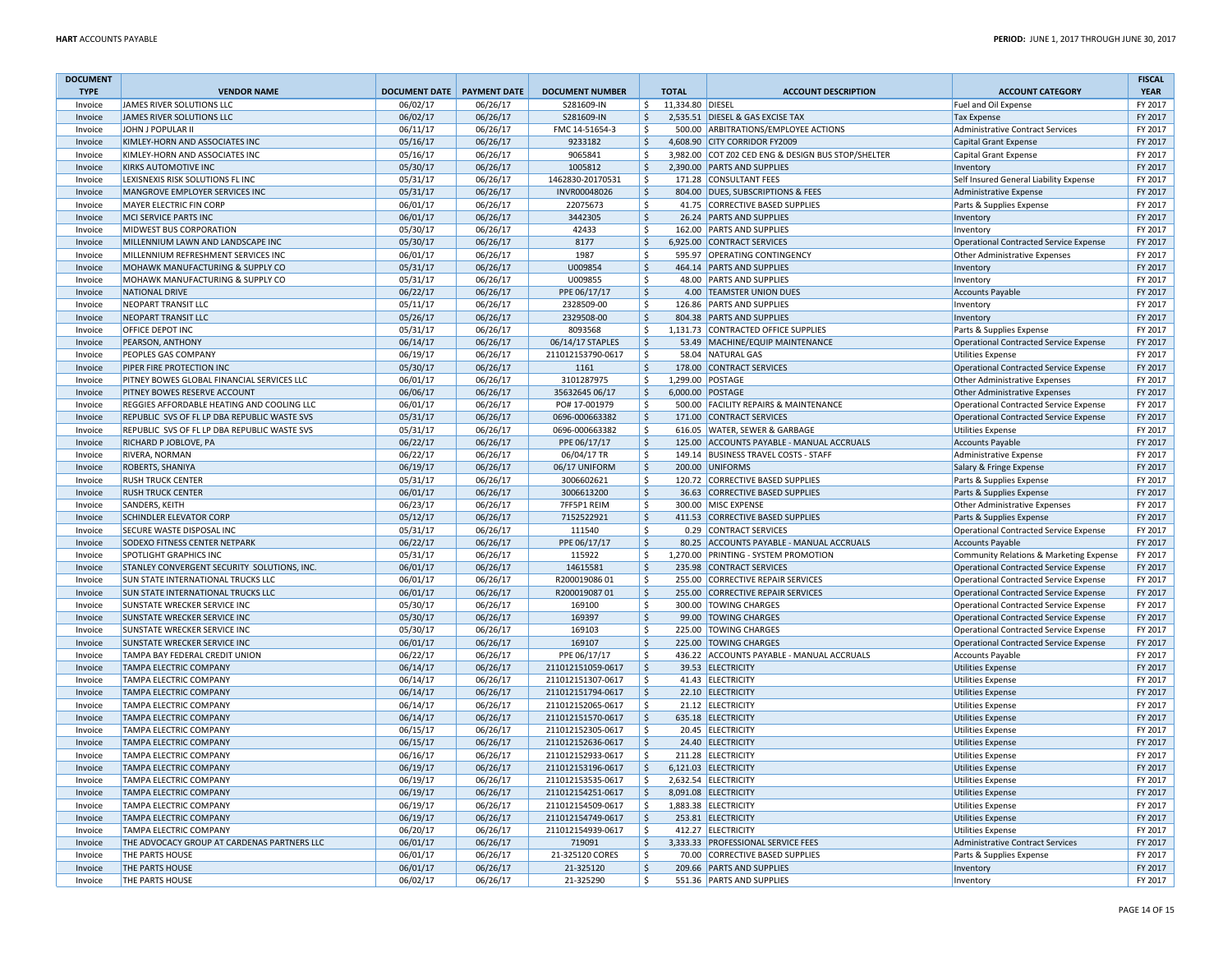| <b>DOCUMENT</b> |                                              |                                   |          |                                        |                     |                  |                                                    |                                               | <b>FISCAL</b> |
|-----------------|----------------------------------------------|-----------------------------------|----------|----------------------------------------|---------------------|------------------|----------------------------------------------------|-----------------------------------------------|---------------|
| <b>TYPE</b>     | <b>VENDOR NAME</b>                           | <b>DOCUMENT DATE PAYMENT DATE</b> |          | <b>DOCUMENT NUMBER</b>                 |                     | <b>TOTAL</b>     | <b>ACCOUNT DESCRIPTION</b>                         | <b>ACCOUNT CATEGORY</b>                       | <b>YEAR</b>   |
| Invoice         | JAMES RIVER SOLUTIONS LLC                    | 06/02/17                          | 06/26/17 | S281609-IN                             | \$                  | 11,334.80 DIESEL |                                                    | Fuel and Oil Expense                          | FY 2017       |
| Invoice         | JAMES RIVER SOLUTIONS LLC                    | 06/02/17                          | 06/26/17 | S281609-IN                             | $\zeta$             |                  | 2,535.51 DIESEL & GAS EXCISE TAX                   | <b>Tax Expense</b>                            | FY 2017       |
| Invoice         | JOHN J POPULAR II                            | 06/11/17                          | 06/26/17 | FMC 14-51654-3                         | <sup>S</sup>        |                  | 500.00 ARBITRATIONS/EMPLOYEE ACTIONS               | Administrative Contract Services              | FY 2017       |
| Invoice         | KIMLEY-HORN AND ASSOCIATES INC               | 05/16/17                          | 06/26/17 | 9233182                                | $\zeta$             |                  | 4,608.90 CITY CORRIDOR FY2009                      | <b>Capital Grant Expense</b>                  | FY 2017       |
| Invoice         | KIMLEY-HORN AND ASSOCIATES INC               | 05/16/17                          | 06/26/17 | 9065841                                | <sup>\$</sup>       |                  | 3,982.00 COT Z02 CED ENG & DESIGN BUS STOP/SHELTER | Capital Grant Expense                         | FY 2017       |
| Invoice         | KIRKS AUTOMOTIVE INC                         | 05/30/17                          | 06/26/17 | 1005812                                | $\mathsf{S}$        |                  | 2,390.00 PARTS AND SUPPLIES                        | Inventory                                     | FY 2017       |
| Invoice         | LEXISNEXIS RISK SOLUTIONS FL INC             | 05/31/17                          | 06/26/17 | 1462830-20170531                       | S.                  |                  | 171.28 CONSULTANT FEES                             | Self Insured General Liability Expense        | FY 2017       |
| Invoice         | MANGROVE EMPLOYER SERVICES INC               | 05/31/17                          | 06/26/17 | INVR00048026                           | $\zeta$             |                  | 804.00 DUES, SUBSCRIPTIONS & FEES                  | Administrative Expense                        | FY 2017       |
|                 |                                              |                                   |          |                                        |                     |                  |                                                    |                                               | FY 2017       |
| Invoice         | MAYER ELECTRIC FIN CORP                      | 06/01/17                          | 06/26/17 | 22075673                               | \$                  |                  | 41.75 CORRECTIVE BASED SUPPLIES                    | Parts & Supplies Expense                      |               |
| Invoice         | MCI SERVICE PARTS INC                        | 06/01/17                          | 06/26/17 | 3442305                                | $\mathsf{\hat{S}}$  |                  | 26.24 PARTS AND SUPPLIES                           | Inventory                                     | FY 2017       |
| Invoice         | MIDWEST BUS CORPORATION                      | 05/30/17                          | 06/26/17 | 42433                                  | \$                  |                  | 162.00 PARTS AND SUPPLIES                          | Inventory                                     | FY 2017       |
| Invoice         | MILLENNIUM LAWN AND LANDSCAPE INC            | 05/30/17                          | 06/26/17 | 8177                                   | $\mathsf{S}$        |                  | 6,925.00 CONTRACT SERVICES                         | Operational Contracted Service Expense        | FY 2017       |
| Invoice         | MILLENNIUM REFRESHMENT SERVICES INC          | 06/01/17                          | 06/26/17 | 1987                                   | \$                  |                  | 595.97 OPERATING CONTINGENCY                       | Other Administrative Expenses                 | FY 2017       |
| Invoice         | MOHAWK MANUFACTURING & SUPPLY CO             | 05/31/17                          | 06/26/17 | U009854                                | $\zeta$             |                  | 464.14 PARTS AND SUPPLIES                          | Inventory                                     | FY 2017       |
| Invoice         | MOHAWK MANUFACTURING & SUPPLY CO             | 05/31/17                          | 06/26/17 | U009855                                | \$                  |                  | 48.00 PARTS AND SUPPLIES                           | Inventory                                     | FY 2017       |
| Invoice         | <b>NATIONAL DRIVE</b>                        | 06/22/17                          | 06/26/17 | PPE 06/17/17                           | $\mathsf{S}$        |                  | 4.00 TEAMSTER UNION DUES                           | <b>Accounts Payable</b>                       | FY 2017       |
| Invoice         | NEOPART TRANSIT LLC                          | 05/11/17                          | 06/26/17 | 2328509-00                             | \$                  |                  | 126.86 PARTS AND SUPPLIES                          | Inventory                                     | FY 2017       |
| Invoice         | NEOPART TRANSIT LLC                          | 05/26/17                          | 06/26/17 | 2329508-00                             | $\ddot{\varsigma}$  |                  | 804.38 PARTS AND SUPPLIES                          | Inventory                                     | FY 2017       |
| Invoice         | OFFICE DEPOT INC                             | 05/31/17                          | 06/26/17 | 8093568                                | \$                  |                  | 1,131.73 CONTRACTED OFFICE SUPPLIES                | Parts & Supplies Expense                      | FY 2017       |
| Invoice         | PEARSON, ANTHONY                             | 06/14/17                          | 06/26/17 | 06/14/17 STAPLES                       | l\$                 |                  | 53.49 MACHINE/EQUIP MAINTENANCE                    | Operational Contracted Service Expense        | FY 2017       |
| Invoice         | PEOPLES GAS COMPANY                          | 06/19/17                          | 06/26/17 | 211012153790-0617                      | $\mathsf{s}$        |                  | 58.04 NATURAL GAS                                  | Utilities Expense                             | FY 2017       |
| Invoice         | PIPER FIRE PROTECTION INC                    | 05/30/17                          | 06/26/17 | 1161                                   | $\mathsf{S}$        |                  | 178.00 CONTRACT SERVICES                           | Operational Contracted Service Expense        | FY 2017       |
| Invoice         | PITNEY BOWES GLOBAL FINANCIAL SERVICES LLC   | 06/01/17                          | 06/26/17 | 3101287975                             | \$                  |                  | 1,299.00 POSTAGE                                   | Other Administrative Expenses                 | FY 2017       |
| Invoice         | PITNEY BOWES RESERVE ACCOUNT                 | 06/06/17                          | 06/26/17 | 35632645 06/17                         | $\zeta$             |                  | 6,000.00 POSTAGE                                   | Other Administrative Expenses                 | FY 2017       |
| Invoice         | REGGIES AFFORDABLE HEATING AND COOLING LLC   | 06/01/17                          | 06/26/17 | PO# 17-001979                          | \$                  |                  | 500.00 FACILITY REPAIRS & MAINTENANCE              | Operational Contracted Service Expense        | FY 2017       |
| Invoice         | REPUBLIC SVS OF FL LP DBA REPUBLIC WASTE SVS | 05/31/17                          | 06/26/17 | 0696-000663382                         | $\zeta$             |                  | 171.00 CONTRACT SERVICES                           | Operational Contracted Service Expense        | FY 2017       |
| Invoice         | REPUBLIC SVS OF FL LP DBA REPUBLIC WASTE SVS | 05/31/17                          | 06/26/17 | 0696-000663382                         | S.                  |                  | 616.05 WATER, SEWER & GARBAGE                      | <b>Utilities Expense</b>                      | FY 2017       |
|                 | RICHARD P JOBLOVE, PA                        | 06/22/17                          | 06/26/17 | PPE 06/17/17                           | $\ddot{\varsigma}$  |                  | 125.00 ACCOUNTS PAYABLE - MANUAL ACCRUALS          | Accounts Payable                              | FY 2017       |
| Invoice         |                                              |                                   |          |                                        |                     |                  |                                                    |                                               |               |
| Invoice         | RIVERA, NORMAN                               | 06/22/17                          | 06/26/17 | 06/04/17 TR                            | $\zeta$             |                  | 149.14 BUSINESS TRAVEL COSTS - STAFF               | Administrative Expense                        | FY 2017       |
| Invoice         | ROBERTS, SHANIYA                             | 06/19/17                          | 06/26/17 | 06/17 UNIFORM                          | $\zeta$             |                  | 200.00 UNIFORMS                                    | Salary & Fringe Expense                       | FY 2017       |
| Invoice         | <b>RUSH TRUCK CENTER</b>                     | 05/31/17                          | 06/26/17 | 3006602621                             | $\zeta$             |                  | 120.72 CORRECTIVE BASED SUPPLIES                   | Parts & Supplies Expense                      | FY 2017       |
| Invoice         | <b>RUSH TRUCK CENTER</b>                     | 06/01/17                          | 06/26/17 | 3006613200                             | $\zeta$             |                  | 36.63 CORRECTIVE BASED SUPPLIES                    | Parts & Supplies Expense                      | FY 2017       |
| Invoice         | SANDERS, KEITH                               | 06/23/17                          | 06/26/17 | 7FF5P1 REIM                            | <sup>5</sup>        |                  | 300.00 MISC EXPENSE                                | Other Administrative Expenses                 | FY 2017       |
| Invoice         | SCHINDLER ELEVATOR CORP                      | 05/12/17                          | 06/26/17 | 7152522921                             | $\mathsf{S}$        |                  | 411.53 CORRECTIVE BASED SUPPLIES                   | Parts & Supplies Expense                      | FY 2017       |
| Invoice         | SECURE WASTE DISPOSAL INC                    | 05/31/17                          | 06/26/17 | 111540                                 | \$                  |                  | 0.29 CONTRACT SERVICES                             | Operational Contracted Service Expense        | FY 2017       |
| Invoice         | SODEXO FITNESS CENTER NETPARK                | 06/22/17                          | 06/26/17 | PPE 06/17/17                           | $\ddot{\varsigma}$  |                  | 80.25 ACCOUNTS PAYABLE - MANUAL ACCRUALS           | Accounts Payable                              | FY 2017       |
| Invoice         | SPOTLIGHT GRAPHICS INC                       | 05/31/17                          | 06/26/17 | 115922                                 | $\mathsf{s}$        |                  | 1,270.00 PRINTING - SYSTEM PROMOTION               | Community Relations & Marketing Expense       | FY 2017       |
| Invoice         | STANLEY CONVERGENT SECURITY SOLUTIONS, INC.  | 06/01/17                          | 06/26/17 | 14615581                               | $\ddot{\varsigma}$  |                  | 235.98 CONTRACT SERVICES                           | Operational Contracted Service Expense        | FY 2017       |
| Invoice         | SUN STATE INTERNATIONAL TRUCKS LLC           | 06/01/17                          | 06/26/17 | R20001908601                           | \$                  |                  | 255.00 CORRECTIVE REPAIR SERVICES                  | Operational Contracted Service Expense        | FY 2017       |
| Invoice         | SUN STATE INTERNATIONAL TRUCKS LLC           | 06/01/17                          | 06/26/17 | R20001908701                           | S.                  |                  | 255.00 CORRECTIVE REPAIR SERVICES                  | <b>Operational Contracted Service Expense</b> | FY 2017       |
| Invoice         | SUNSTATE WRECKER SERVICE INC                 | 05/30/17                          | 06/26/17 | 169100                                 | .s                  |                  | 300.00 TOWING CHARGES                              | Operational Contracted Service Expense        | FY 2017       |
| Invoice         | <b>SUNSTATE WRECKER SERVICE INC</b>          | 05/30/17                          | 06/26/17 | 169397                                 | S.                  |                  | 99.00 TOWING CHARGES                               | Operational Contracted Service Expense        | FY 2017       |
| Invoice         | SUNSTATE WRECKER SERVICE INC                 | 05/30/17                          | 06/26/17 | 169103                                 | $\mathsf{\hat{S}}$  |                  | 225.00 TOWING CHARGES                              | Operational Contracted Service Expense        | FY 2017       |
| Invoice         | SUNSTATE WRECKER SERVICE INC                 | 06/01/17                          | 06/26/17 | 169107                                 | $\mathsf{\hat{S}}$  |                  | 225.00 TOWING CHARGES                              | Operational Contracted Service Expense        | FY 2017       |
| Invoice         | TAMPA BAY FEDERAL CREDIT UNION               | 06/22/17                          | 06/26/17 | PPE 06/17/17                           | -\$                 |                  | 436.22 ACCOUNTS PAYABLE - MANUAL ACCRUALS          | Accounts Payable                              | FY 2017       |
| Invoice         | <b>TAMPA ELECTRIC COMPANY</b>                | 06/14/17                          | 06/26/17 | 211012151059-0617                      | $\mathsf{S}$        |                  | 39.53 ELECTRICITY                                  | Utilities Expense                             | FY 2017       |
| Invoice         | TAMPA ELECTRIC COMPANY                       | 06/14/17                          | 06/26/17 | 211012151307-0617                      | \$                  |                  | 41.43 ELECTRICITY                                  | Utilities Expense                             | FY 2017       |
| Invoice         | TAMPA ELECTRIC COMPANY                       | 06/14/17                          | 06/26/17 | 211012151794-0617                      | $\ddot{\varsigma}$  |                  | 22.10 ELECTRICITY                                  | Utilities Expense                             | FY 2017       |
|                 | TAMPA ELECTRIC COMPANY                       |                                   | 06/26/17 |                                        | .s                  |                  | 21.12 ELECTRICITY                                  |                                               | FY 2017       |
| Invoice         | TAMPA ELECTRIC COMPANY                       | 06/14/17<br>06/14/17              | 06/26/17 | 211012152065-0617<br>211012151570-0617 | $\zeta$             |                  | 635.18 ELECTRICITY                                 | Utilities Expense                             | FY 2017       |
| Invoice         |                                              |                                   |          |                                        |                     |                  |                                                    | Utilities Expense                             |               |
| Invoice         | <b>TAMPA ELECTRIC COMPANY</b>                | 06/15/17                          | 06/26/17 | 211012152305-0617                      | \$                  |                  | 20.45 ELECTRICITY                                  | Utilities Expense                             | FY 2017       |
| Invoice         | <b>TAMPA ELECTRIC COMPANY</b>                | 06/15/17                          | 06/26/17 | 211012152636-0617                      | $\mathsf{S}$        |                  | 24.40 ELECTRICITY                                  | Utilities Expense                             | FY 2017       |
| Invoice         | TAMPA ELECTRIC COMPANY                       | 06/16/17                          | 06/26/17 | 211012152933-0617                      | $\mathsf{s}$        |                  | 211.28 ELECTRICITY                                 | <b>Utilities Expense</b>                      | FY 2017       |
| Invoice         | <b>TAMPA ELECTRIC COMPANY</b>                | 06/19/17                          | 06/26/17 | 211012153196-0617                      | $\ddot{\mathsf{S}}$ |                  | 6,121.03 ELECTRICITY                               | Utilities Expense                             | FY 2017       |
| Invoice         | <b>TAMPA ELECTRIC COMPANY</b>                | 06/19/17                          | 06/26/17 | 211012153535-0617                      | <sup>S</sup>        |                  | 2.632.54 ELECTRICITY                               | Utilities Expense                             | FY 2017       |
| Invoice         | <b>TAMPA ELECTRIC COMPANY</b>                | 06/19/17                          | 06/26/17 | 211012154251-0617                      | \$                  |                  | 8,091.08 ELECTRICITY                               | Utilities Expense                             | FY 2017       |
| Invoice         | TAMPA ELECTRIC COMPANY                       | 06/19/17                          | 06/26/17 | 211012154509-0617                      | \$                  |                  | 1,883.38 ELECTRICITY                               | Utilities Expense                             | FY 2017       |
| Invoice         | <b>TAMPA ELECTRIC COMPANY</b>                | 06/19/17                          | 06/26/17 | 211012154749-0617                      | \$                  |                  | 253.81 ELECTRICITY                                 | Utilities Expense                             | FY 2017       |
| Invoice         | <b>TAMPA ELECTRIC COMPANY</b>                | 06/20/17                          | 06/26/17 | 211012154939-0617                      | .s                  |                  | 412.27 ELECTRICITY                                 | Utilities Expense                             | FY 2017       |
| Invoice         | THE ADVOCACY GROUP AT CARDENAS PARTNERS LLC  | 06/01/17                          | 06/26/17 | 719091                                 | \$                  |                  | 3,333.33 PROFESSIONAL SERVICE FEES                 | Administrative Contract Services              | FY 2017       |
| Invoice         | THE PARTS HOUSE                              | 06/01/17                          | 06/26/17 | 21-325120 CORES                        | \$                  |                  | 70.00 CORRECTIVE BASED SUPPLIES                    | Parts & Supplies Expense                      | FY 2017       |
| Invoice         | THE PARTS HOUSE                              | 06/01/17                          | 06/26/17 | 21-325120                              | $\zeta$             |                  | 209.66 PARTS AND SUPPLIES                          | Inventory                                     | FY 2017       |
| Invoice         | <b>THE PARTS HOUSE</b>                       | 06/02/17                          | 06/26/17 | 21-325290                              | \$                  |                  | 551.36 PARTS AND SUPPLIES                          | Inventory                                     | FY 2017       |